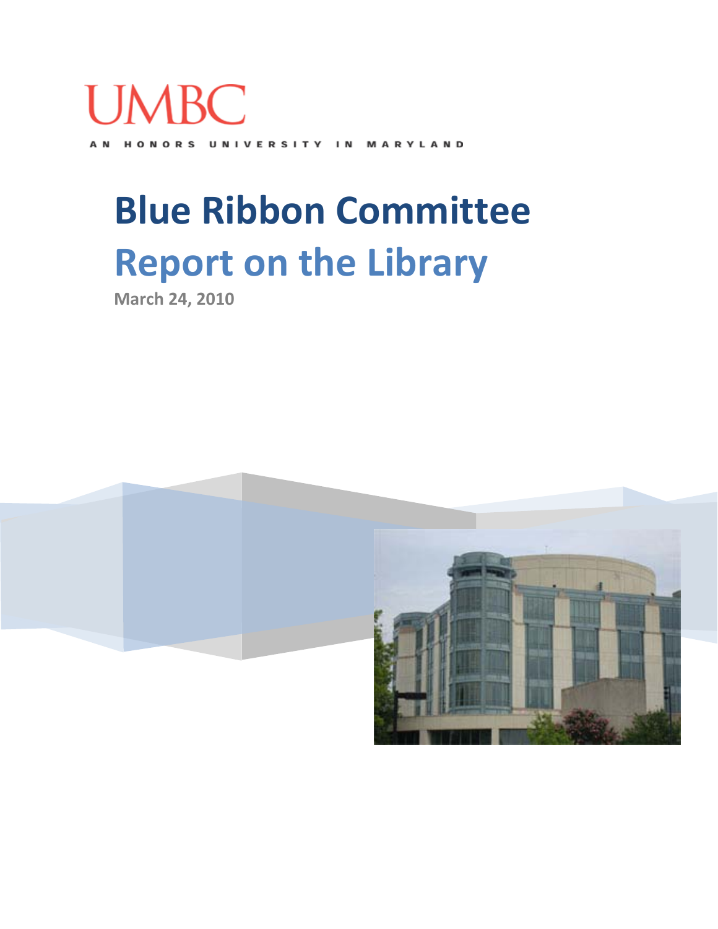

HONORS UNIVERSITY MARYLAND A<sub>N</sub>  $\blacksquare$ 

# **Blue Ribbon Committee Report on the Library**

**March 24, 2010**

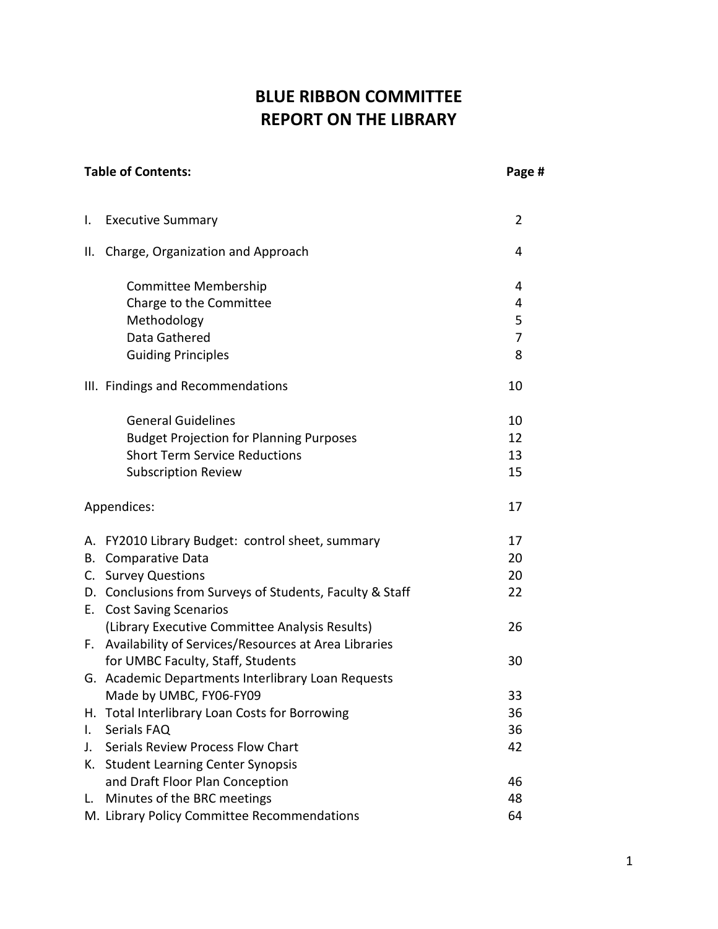# **BLUE RIBBON COMMITTEE REPORT ON THE LIBRARY**

|              | <b>Table of Contents:</b>                                | Page #         |
|--------------|----------------------------------------------------------|----------------|
| Ι.           | <b>Executive Summary</b>                                 | $\overline{2}$ |
| II.          | Charge, Organization and Approach                        | 4              |
|              | Committee Membership                                     | 4              |
|              | Charge to the Committee                                  | 4              |
|              | Methodology                                              | 5              |
|              | Data Gathered                                            | $\overline{7}$ |
|              | <b>Guiding Principles</b>                                | 8              |
|              | III. Findings and Recommendations                        | 10             |
|              | <b>General Guidelines</b>                                | 10             |
|              | <b>Budget Projection for Planning Purposes</b>           | 12             |
|              | <b>Short Term Service Reductions</b>                     | 13             |
|              | <b>Subscription Review</b>                               | 15             |
|              | Appendices:                                              | 17             |
|              | A. FY2010 Library Budget: control sheet, summary         | 17             |
| В.           | Comparative Data                                         | 20             |
|              | C. Survey Questions                                      | 20             |
|              | D. Conclusions from Surveys of Students, Faculty & Staff | 22             |
|              | E. Cost Saving Scenarios                                 |                |
|              | (Library Executive Committee Analysis Results)           | 26             |
|              | F. Availability of Services/Resources at Area Libraries  |                |
|              | for UMBC Faculty, Staff, Students                        | 30             |
|              | G. Academic Departments Interlibrary Loan Requests       |                |
|              | Made by UMBC, FY06-FY09                                  | 33             |
| Н.           | Total Interlibrary Loan Costs for Borrowing              | 36             |
| $\mathsf{L}$ | Serials FAQ                                              | 36             |
| J.           | Serials Review Process Flow Chart                        | 42             |
| К.           | <b>Student Learning Center Synopsis</b>                  |                |
|              | and Draft Floor Plan Conception                          | 46             |
| L.           | Minutes of the BRC meetings                              | 48             |
|              | M. Library Policy Committee Recommendations              | 64             |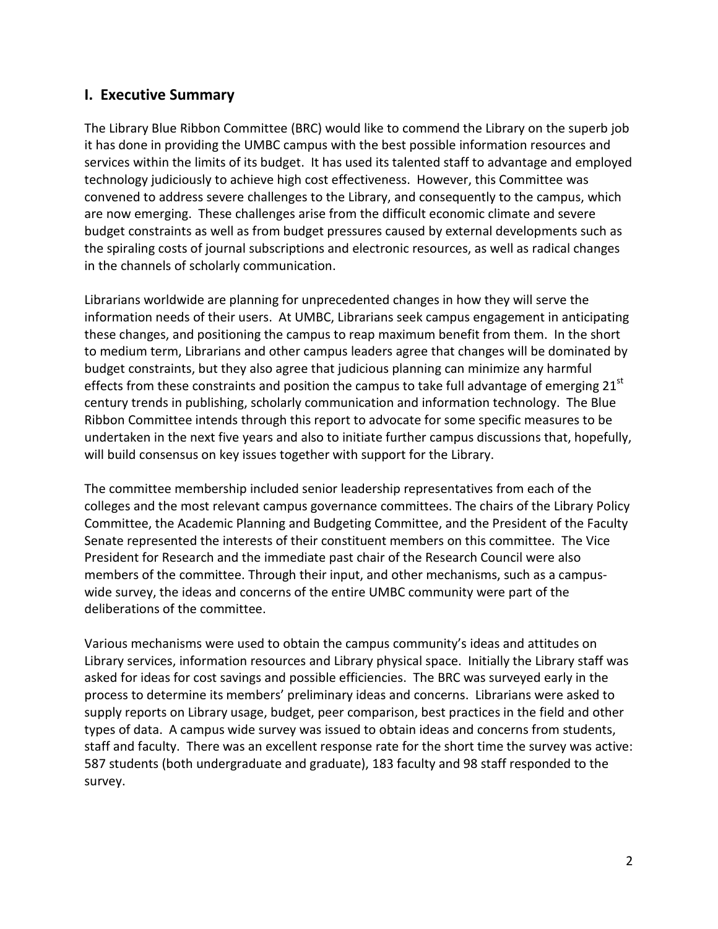## **I. Executive Summary**

The Library Blue Ribbon Committee (BRC) would like to commend the Library on the superb job it has done in providing the UMBC campus with the best possible information resources and services within the limits of its budget. It has used its talented staff to advantage and employed technology judiciously to achieve high cost effectiveness. However, this Committee was convened to address severe challenges to the Library, and consequently to the campus, which are now emerging. These challenges arise from the difficult economic climate and severe budget constraints as well as from budget pressures caused by external developments such as the spiraling costs of journal subscriptions and electronic resources, as well as radical changes in the channels of scholarly communication.

Librarians worldwide are planning for unprecedented changes in how they will serve the information needs of their users. At UMBC, Librarians seek campus engagement in anticipating these changes, and positioning the campus to reap maximum benefit from them. In the short to medium term, Librarians and other campus leaders agree that changes will be dominated by budget constraints, but they also agree that judicious planning can minimize any harmful effects from these constraints and position the campus to take full advantage of emerging 21<sup>st</sup> century trends in publishing, scholarly communication and information technology. The Blue Ribbon Committee intends through this report to advocate for some specific measures to be undertaken in the next five years and also to initiate further campus discussions that, hopefully, will build consensus on key issues together with support for the Library.

The committee membership included senior leadership representatives from each of the colleges and the most relevant campus governance committees. The chairs of the Library Policy Committee, the Academic Planning and Budgeting Committee, and the President of the Faculty Senate represented the interests of their constituent members on this committee. The Vice President for Research and the immediate past chair of the Research Council were also members of the committee. Through their input, and other mechanisms, such as a campuswide survey, the ideas and concerns of the entire UMBC community were part of the deliberations of the committee.

Various mechanisms were used to obtain the campus community's ideas and attitudes on Library services, information resources and Library physical space. Initially the Library staff was asked for ideas for cost savings and possible efficiencies. The BRC was surveyed early in the process to determine its members' preliminary ideas and concerns. Librarians were asked to supply reports on Library usage, budget, peer comparison, best practices in the field and other types of data. A campus wide survey was issued to obtain ideas and concerns from students, staff and faculty. There was an excellent response rate for the short time the survey was active: 587 students (both undergraduate and graduate), 183 faculty and 98 staff responded to the survey.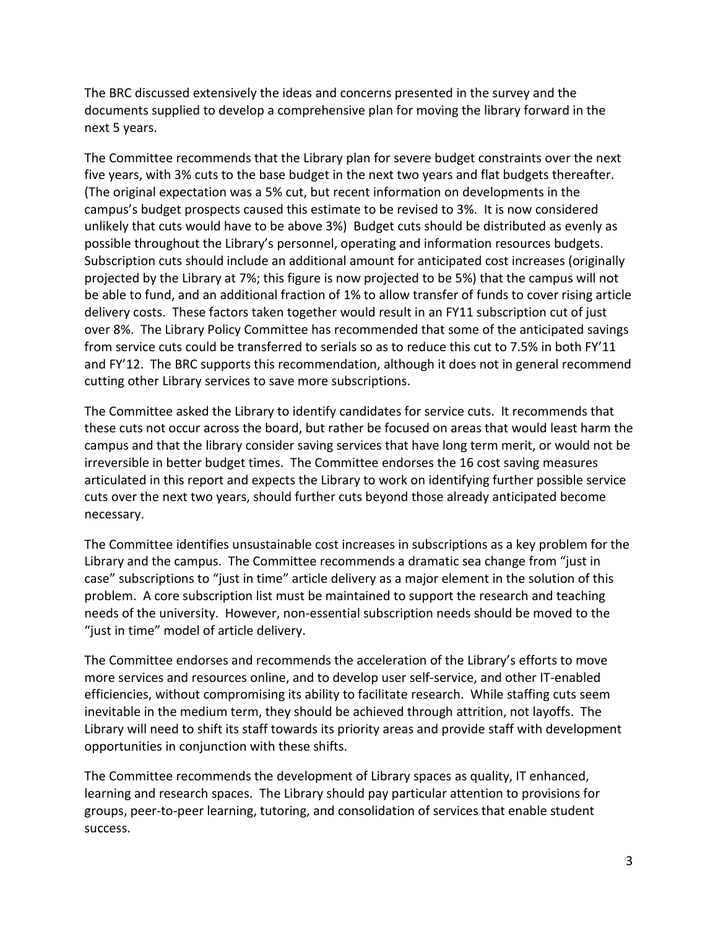The BRC discussed extensively the ideas and concerns presented in the survey and the documents supplied to develop a comprehensive plan for moving the library forward in the next 5 years.

The Committee recommends that the Library plan for severe budget constraints over the next five years, with 3% cuts to the base budget in the next two years and flat budgets thereafter. (The original expectation was a 5% cut, but recent information on developments in the campus's budget prospects caused this estimate to be revised to 3%. It is now considered unlikely that cuts would have to be above 3%) Budget cuts should be distributed as evenly as possible throughout the Library's personnel, operating and information resources budgets. Subscription cuts should include an additional amount for anticipated cost increases (originally projected by the Library at 7%; this figure is now projected to be 5%) that the campus will not be able to fund, and an additional fraction of 1% to allow transfer of funds to cover rising article delivery costs. These factors taken together would result in an FY11 subscription cut of just over 8%. The Library Policy Committee has recommended that some of the anticipated savings from service cuts could be transferred to serials so as to reduce this cut to 7.5% in both FY'11 and FY'12. The BRC supports this recommendation, although it does not in general recommend cutting other Library services to save more subscriptions.

The Committee asked the Library to identify candidates for service cuts. It recommends that these cuts not occur across the board, but rather be focused on areas that would least harm the campus and that the library consider saving services that have long term merit, or would not be irreversible in better budget times. The Committee endorses the 16 cost saving measures articulated in this report and expects the Library to work on identifying further possible service cuts over the next two years, should further cuts beyond those already anticipated become necessary.

The Committee identifies unsustainable cost increases in subscriptions as a key problem for the Library and the campus. The Committee recommends a dramatic sea change from "just in case" subscriptions to "just in time" article delivery as a major element in the solution of this problem. A core subscription list must be maintained to support the research and teaching needs of the university. However, non-essential subscription needs should be moved to the "just in time" model of article delivery.

The Committee endorses and recommends the acceleration of the Library's efforts to move more services and resources online, and to develop user self-service, and other IT-enabled efficiencies, without compromising its ability to facilitate research. While staffing cuts seem inevitable in the medium term, they should be achieved through attrition, not layoffs. The Library will need to shift its staff towards its priority areas and provide staff with development opportunities in conjunction with these shifts.

The Committee recommends the development of Library spaces as quality, IT enhanced, learning and research spaces. The Library should pay particular attention to provisions for groups, peer-to-peer learning, tutoring, and consolidation of services that enable student success.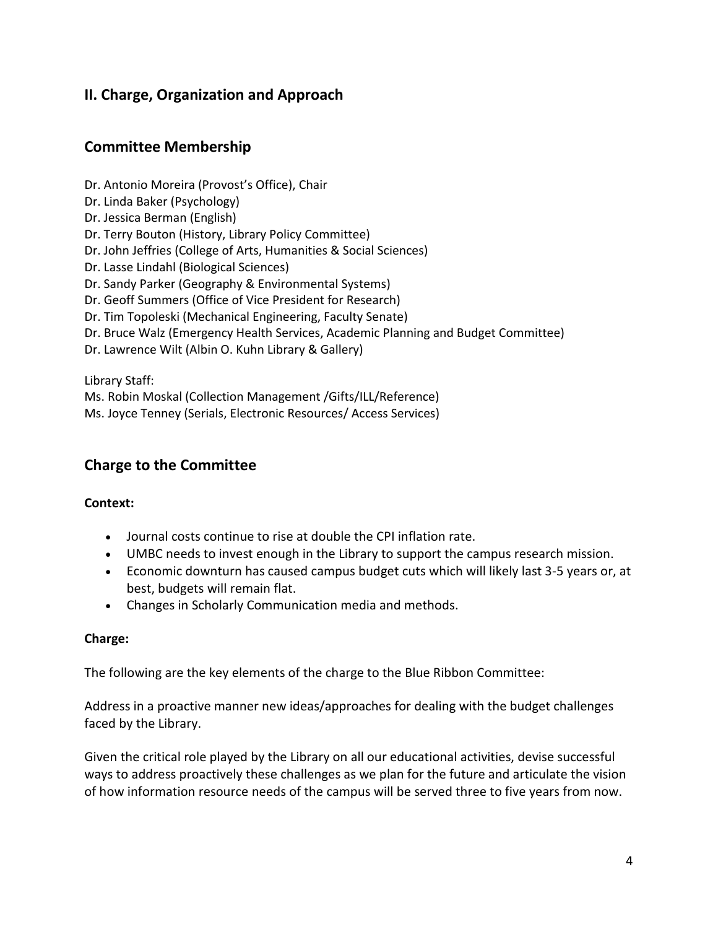## **II. Charge, Organization and Approach**

## **Committee Membership**

- Dr. Antonio Moreira (Provost's Office), Chair
- Dr. Linda Baker (Psychology)
- Dr. Jessica Berman (English)
- Dr. Terry Bouton (History, Library Policy Committee)
- Dr. John Jeffries (College of Arts, Humanities & Social Sciences)
- Dr. Lasse Lindahl (Biological Sciences)
- Dr. Sandy Parker (Geography & Environmental Systems)
- Dr. Geoff Summers (Office of Vice President for Research)
- Dr. Tim Topoleski (Mechanical Engineering, Faculty Senate)
- Dr. Bruce Walz (Emergency Health Services, Academic Planning and Budget Committee)
- Dr. Lawrence Wilt (Albin O. Kuhn Library & Gallery)

Library Staff:

Ms. Robin Moskal (Collection Management /Gifts/ILL/Reference)

Ms. Joyce Tenney (Serials, Electronic Resources/ Access Services)

## **Charge to the Committee**

#### **Context:**

- Journal costs continue to rise at double the CPI inflation rate.
- UMBC needs to invest enough in the Library to support the campus research mission.
- Economic downturn has caused campus budget cuts which will likely last 3-5 years or, at best, budgets will remain flat.
- Changes in Scholarly Communication media and methods.

#### **Charge:**

The following are the key elements of the charge to the Blue Ribbon Committee:

Address in a proactive manner new ideas/approaches for dealing with the budget challenges faced by the Library.

Given the critical role played by the Library on all our educational activities, devise successful ways to address proactively these challenges as we plan for the future and articulate the vision of how information resource needs of the campus will be served three to five years from now.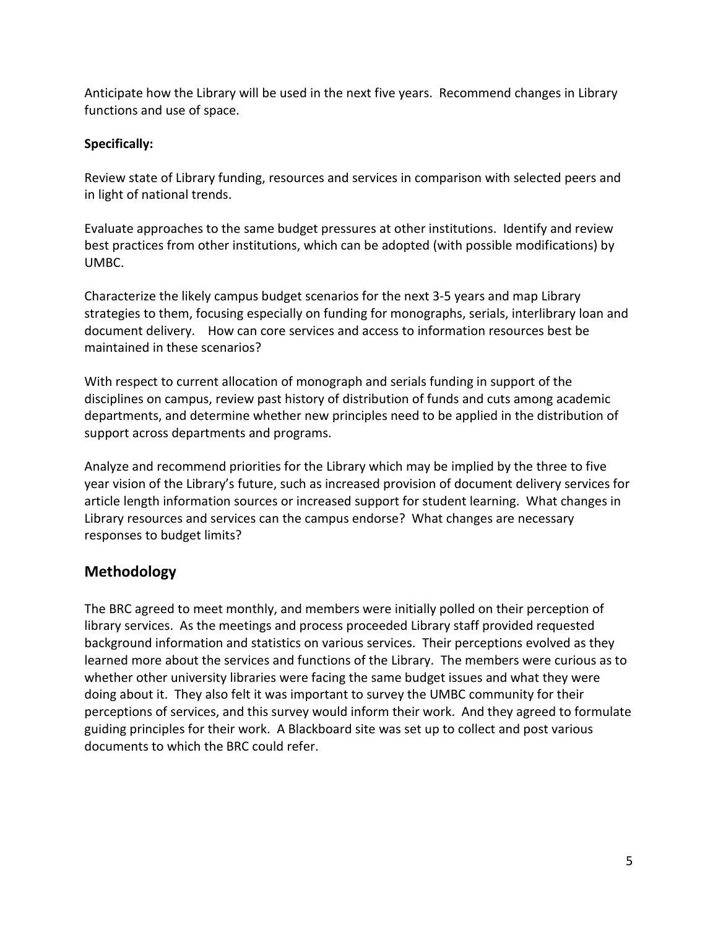Anticipate how the Library will be used in the next five years. Recommend changes in Library functions and use of space.

## **Specifically:**

Review state of Library funding, resources and services in comparison with selected peers and in light of national trends.

Evaluate approaches to the same budget pressures at other institutions. Identify and review best practices from other institutions, which can be adopted (with possible modifications) by UMBC.

Characterize the likely campus budget scenarios for the next 3-5 years and map Library strategies to them, focusing especially on funding for monographs, serials, interlibrary loan and document delivery. How can core services and access to information resources best be maintained in these scenarios?

With respect to current allocation of monograph and serials funding in support of the disciplines on campus, review past history of distribution of funds and cuts among academic departments, and determine whether new principles need to be applied in the distribution of support across departments and programs.

Analyze and recommend priorities for the Library which may be implied by the three to five year vision of the Library's future, such as increased provision of document delivery services for article length information sources or increased support for student learning. What changes in Library resources and services can the campus endorse? What changes are necessary responses to budget limits?

## **Methodology**

The BRC agreed to meet monthly, and members were initially polled on their perception of library services. As the meetings and process proceeded Library staff provided requested background information and statistics on various services. Their perceptions evolved as they learned more about the services and functions of the Library. The members were curious as to whether other university libraries were facing the same budget issues and what they were doing about it. They also felt it was important to survey the UMBC community for their perceptions of services, and this survey would inform their work. And they agreed to formulate guiding principles for their work. A Blackboard site was set up to collect and post various documents to which the BRC could refer.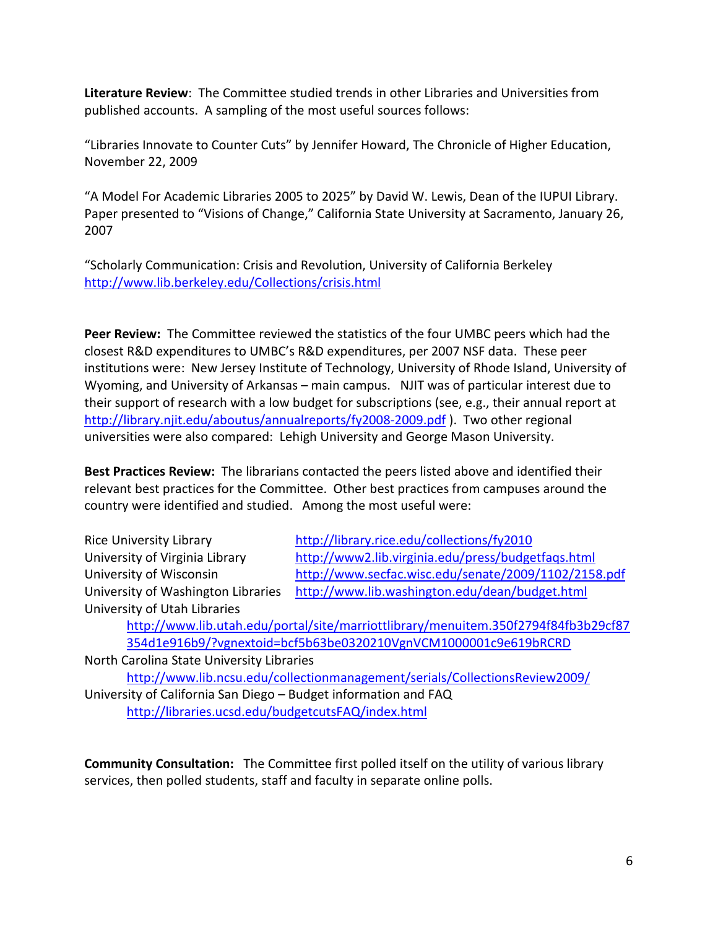**Literature Review**: The Committee studied trends in other Libraries and Universities from published accounts. A sampling of the most useful sources follows:

"Libraries Innovate to Counter Cuts" by Jennifer Howard, The Chronicle of Higher Education, November 22, 2009

"A Model For Academic Libraries 2005 to 2025" by David W. Lewis, Dean of the IUPUI Library. Paper presented to "Visions of Change," California State University at Sacramento, January 26, 2007

"Scholarly Communication: Crisis and Revolution, University of California Berkeley <http://www.lib.berkeley.edu/Collections/crisis.html>

**Peer Review:** The Committee reviewed the statistics of the four UMBC peers which had the closest R&D expenditures to UMBC's R&D expenditures, per 2007 NSF data. These peer institutions were: New Jersey Institute of Technology, University of Rhode Island, University of Wyoming, and University of Arkansas – main campus. NJIT was of particular interest due to their support of research with a low budget for subscriptions (see, e.g., their annual report at <http://library.njit.edu/aboutus/annualreports/fy2008-2009.pdf> ). Two other regional universities were also compared: Lehigh University and George Mason University.

**Best Practices Review:** The librarians contacted the peers listed above and identified their relevant best practices for the Committee. Other best practices from campuses around the country were identified and studied. Among the most useful were:

| <b>Rice University Library</b>     | http://library.rice.edu/collections/fy2010           |
|------------------------------------|------------------------------------------------------|
| University of Virginia Library     | http://www2.lib.virginia.edu/press/budgetfaqs.html   |
| University of Wisconsin            | http://www.secfac.wisc.edu/senate/2009/1102/2158.pdf |
| University of Washington Libraries | http://www.lib.washington.edu/dean/budget.html       |
| University of Utah Libraries       |                                                      |

[http://www.lib.utah.edu/portal/site/marriottlibrary/menuitem.350f2794f84fb3b29cf87](http://www.lib.utah.edu/portal/site/marriottlibrary/menuitem.350f2794f84fb3b29cf87354d1e916b9/?vgnextoid=bcf5b63be0320210VgnVCM1000001c9e619bRCRD) [354d1e916b9/?vgnextoid=bcf5b63be0320210VgnVCM1000001c9e619bRCRD](http://www.lib.utah.edu/portal/site/marriottlibrary/menuitem.350f2794f84fb3b29cf87354d1e916b9/?vgnextoid=bcf5b63be0320210VgnVCM1000001c9e619bRCRD)

North Carolina State University Libraries <http://www.lib.ncsu.edu/collectionmanagement/serials/CollectionsReview2009/>

University of California San Diego – Budget information and FAQ <http://libraries.ucsd.edu/budgetcutsFAQ/index.html>

**Community Consultation:** The Committee first polled itself on the utility of various library services, then polled students, staff and faculty in separate online polls.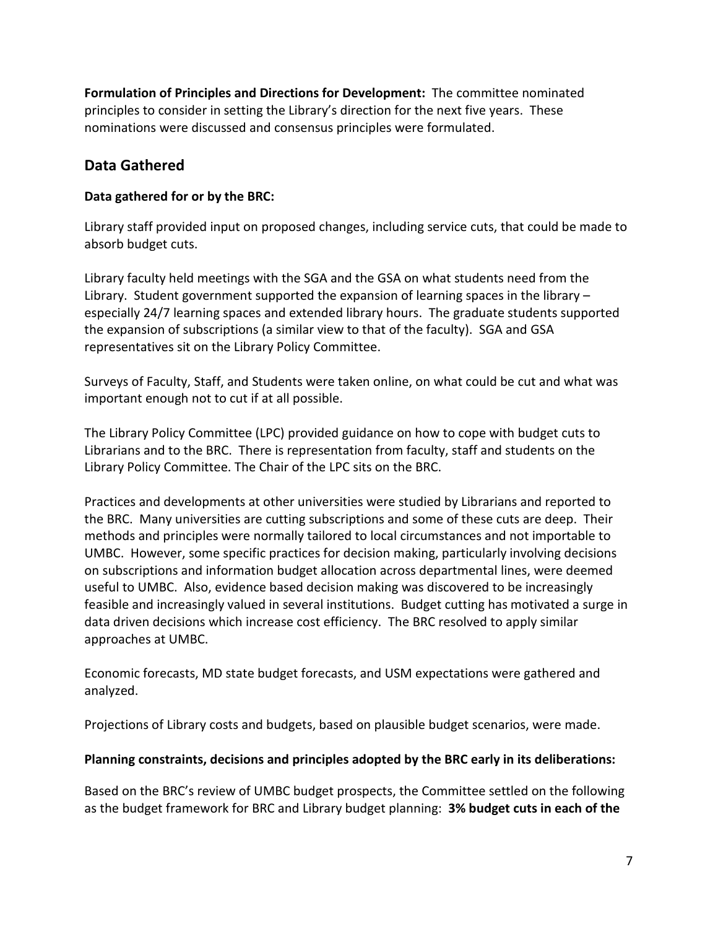**Formulation of Principles and Directions for Development:** The committee nominated principles to consider in setting the Library's direction for the next five years. These nominations were discussed and consensus principles were formulated.

## **Data Gathered**

## **Data gathered for or by the BRC:**

Library staff provided input on proposed changes, including service cuts, that could be made to absorb budget cuts.

Library faculty held meetings with the SGA and the GSA on what students need from the Library. Student government supported the expansion of learning spaces in the library – especially 24/7 learning spaces and extended library hours. The graduate students supported the expansion of subscriptions (a similar view to that of the faculty). SGA and GSA representatives sit on the Library Policy Committee.

Surveys of Faculty, Staff, and Students were taken online, on what could be cut and what was important enough not to cut if at all possible.

The Library Policy Committee (LPC) provided guidance on how to cope with budget cuts to Librarians and to the BRC. There is representation from faculty, staff and students on the Library Policy Committee. The Chair of the LPC sits on the BRC.

Practices and developments at other universities were studied by Librarians and reported to the BRC. Many universities are cutting subscriptions and some of these cuts are deep. Their methods and principles were normally tailored to local circumstances and not importable to UMBC. However, some specific practices for decision making, particularly involving decisions on subscriptions and information budget allocation across departmental lines, were deemed useful to UMBC. Also, evidence based decision making was discovered to be increasingly feasible and increasingly valued in several institutions. Budget cutting has motivated a surge in data driven decisions which increase cost efficiency. The BRC resolved to apply similar approaches at UMBC.

Economic forecasts, MD state budget forecasts, and USM expectations were gathered and analyzed.

Projections of Library costs and budgets, based on plausible budget scenarios, were made.

## **Planning constraints, decisions and principles adopted by the BRC early in its deliberations:**

Based on the BRC's review of UMBC budget prospects, the Committee settled on the following as the budget framework for BRC and Library budget planning: **3% budget cuts in each of the**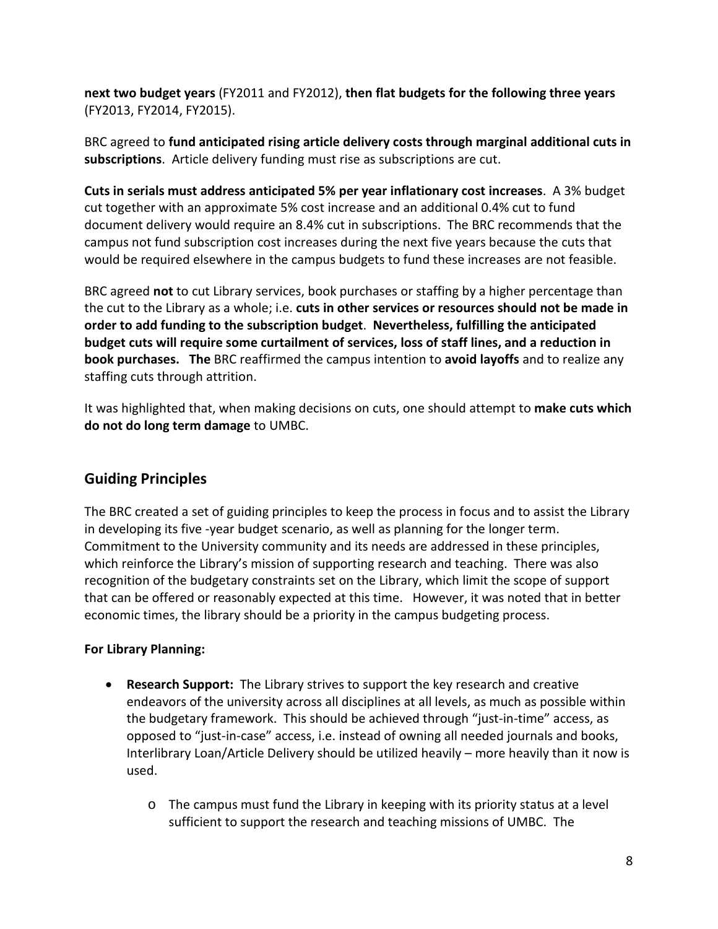**next two budget years** (FY2011 and FY2012), **then flat budgets for the following three years** (FY2013, FY2014, FY2015).

BRC agreed to **fund anticipated rising article delivery costs through marginal additional cuts in subscriptions**. Article delivery funding must rise as subscriptions are cut.

**Cuts in serials must address anticipated 5% per year inflationary cost increases**. A 3% budget cut together with an approximate 5% cost increase and an additional 0.4% cut to fund document delivery would require an 8.4% cut in subscriptions. The BRC recommends that the campus not fund subscription cost increases during the next five years because the cuts that would be required elsewhere in the campus budgets to fund these increases are not feasible.

BRC agreed **not** to cut Library services, book purchases or staffing by a higher percentage than the cut to the Library as a whole; i.e. **cuts in other services or resources should not be made in order to add funding to the subscription budget**. **Nevertheless, fulfilling the anticipated budget cuts will require some curtailment of services, loss of staff lines, and a reduction in book purchases. The** BRC reaffirmed the campus intention to **avoid layoffs** and to realize any staffing cuts through attrition.

It was highlighted that, when making decisions on cuts, one should attempt to **make cuts which do not do long term damage** to UMBC.

## **Guiding Principles**

The BRC created a set of guiding principles to keep the process in focus and to assist the Library in developing its five -year budget scenario, as well as planning for the longer term. Commitment to the University community and its needs are addressed in these principles, which reinforce the Library's mission of supporting research and teaching. There was also recognition of the budgetary constraints set on the Library, which limit the scope of support that can be offered or reasonably expected at this time. However, it was noted that in better economic times, the library should be a priority in the campus budgeting process.

#### **For Library Planning:**

- **Research Support:** The Library strives to support the key research and creative endeavors of the university across all disciplines at all levels, as much as possible within the budgetary framework. This should be achieved through "just-in-time" access, as opposed to "just-in-case" access, i.e. instead of owning all needed journals and books, Interlibrary Loan/Article Delivery should be utilized heavily – more heavily than it now is used.
	- o The campus must fund the Library in keeping with its priority status at a level sufficient to support the research and teaching missions of UMBC. The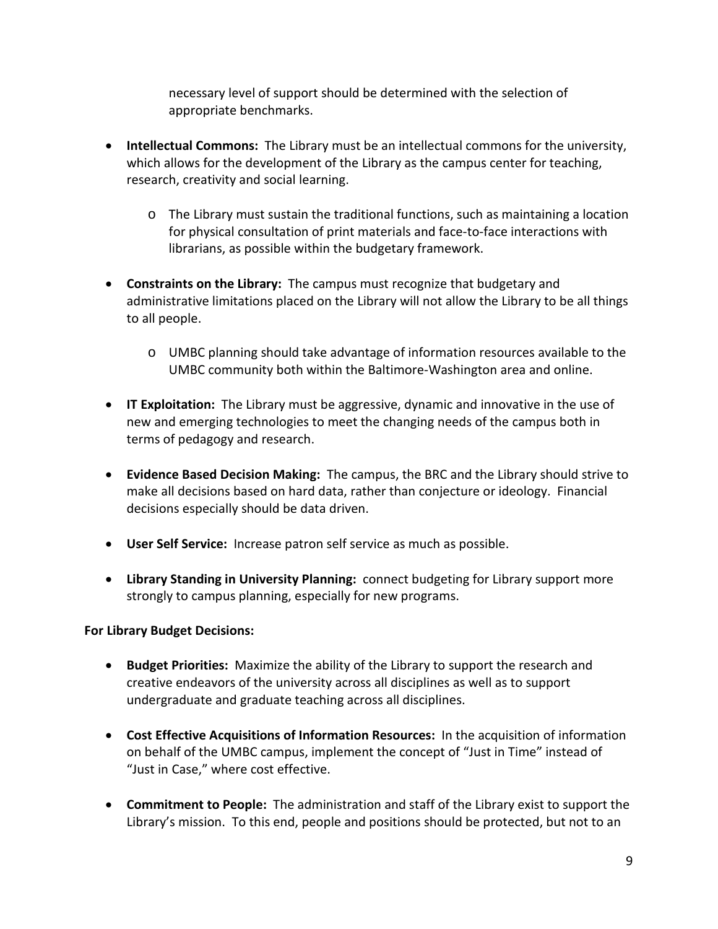necessary level of support should be determined with the selection of appropriate benchmarks.

- **Intellectual Commons:** The Library must be an intellectual commons for the university, which allows for the development of the Library as the campus center for teaching, research, creativity and social learning.
	- o The Library must sustain the traditional functions, such as maintaining a location for physical consultation of print materials and face-to-face interactions with librarians, as possible within the budgetary framework.
- **Constraints on the Library:** The campus must recognize that budgetary and administrative limitations placed on the Library will not allow the Library to be all things to all people.
	- o UMBC planning should take advantage of information resources available to the UMBC community both within the Baltimore-Washington area and online.
- **IT Exploitation:** The Library must be aggressive, dynamic and innovative in the use of new and emerging technologies to meet the changing needs of the campus both in terms of pedagogy and research.
- **Evidence Based Decision Making:** The campus, the BRC and the Library should strive to make all decisions based on hard data, rather than conjecture or ideology. Financial decisions especially should be data driven.
- **User Self Service:** Increase patron self service as much as possible.
- **Library Standing in University Planning:** connect budgeting for Library support more strongly to campus planning, especially for new programs.

#### **For Library Budget Decisions:**

- **Budget Priorities:** Maximize the ability of the Library to support the research and creative endeavors of the university across all disciplines as well as to support undergraduate and graduate teaching across all disciplines.
- **Cost Effective Acquisitions of Information Resources:** In the acquisition of information on behalf of the UMBC campus, implement the concept of "Just in Time" instead of "Just in Case," where cost effective.
- **Commitment to People:** The administration and staff of the Library exist to support the Library's mission. To this end, people and positions should be protected, but not to an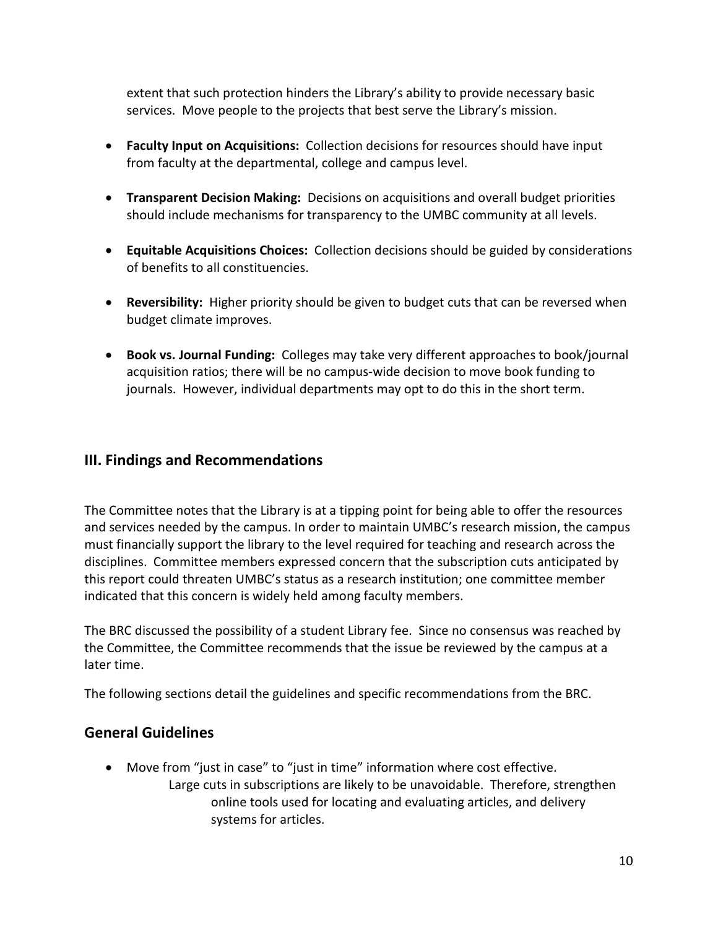extent that such protection hinders the Library's ability to provide necessary basic services. Move people to the projects that best serve the Library's mission.

- **Faculty Input on Acquisitions:** Collection decisions for resources should have input from faculty at the departmental, college and campus level.
- **Transparent Decision Making:** Decisions on acquisitions and overall budget priorities should include mechanisms for transparency to the UMBC community at all levels.
- **Equitable Acquisitions Choices:** Collection decisions should be guided by considerations of benefits to all constituencies.
- **Reversibility:** Higher priority should be given to budget cuts that can be reversed when budget climate improves.
- **Book vs. Journal Funding:** Colleges may take very different approaches to book/journal acquisition ratios; there will be no campus-wide decision to move book funding to journals. However, individual departments may opt to do this in the short term.

## **III. Findings and Recommendations**

The Committee notes that the Library is at a tipping point for being able to offer the resources and services needed by the campus. In order to maintain UMBC's research mission, the campus must financially support the library to the level required for teaching and research across the disciplines. Committee members expressed concern that the subscription cuts anticipated by this report could threaten UMBC's status as a research institution; one committee member indicated that this concern is widely held among faculty members.

The BRC discussed the possibility of a student Library fee. Since no consensus was reached by the Committee, the Committee recommends that the issue be reviewed by the campus at a later time.

The following sections detail the guidelines and specific recommendations from the BRC.

## **General Guidelines**

• Move from "just in case" to "just in time" information where cost effective. Large cuts in subscriptions are likely to be unavoidable. Therefore, strengthen online tools used for locating and evaluating articles, and delivery systems for articles.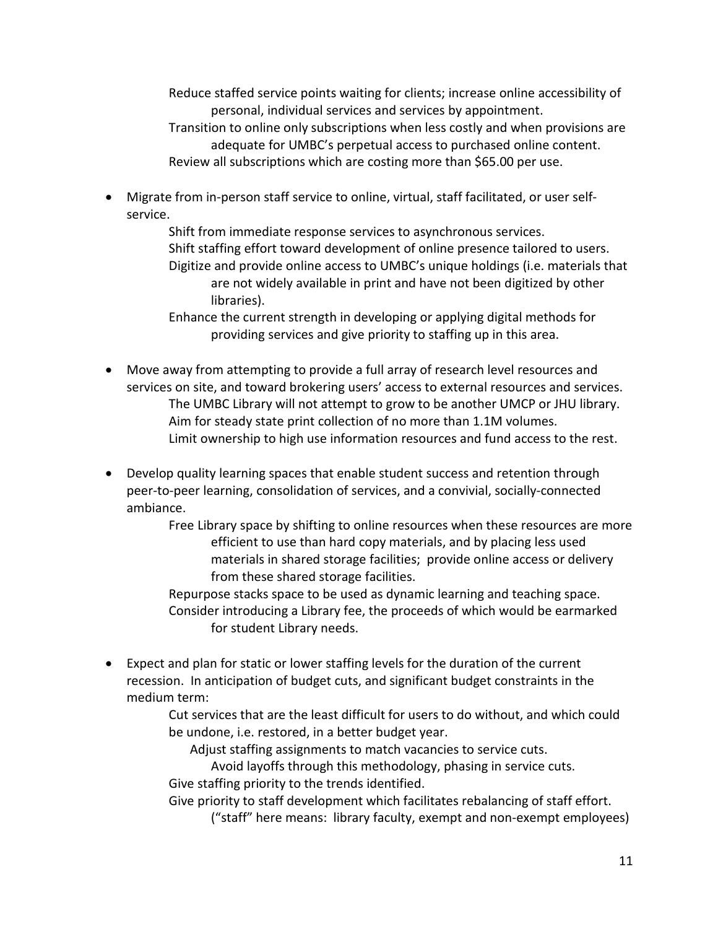Reduce staffed service points waiting for clients; increase online accessibility of personal, individual services and services by appointment.

Transition to online only subscriptions when less costly and when provisions are adequate for UMBC's perpetual access to purchased online content. Review all subscriptions which are costing more than \$65.00 per use.

• Migrate from in-person staff service to online, virtual, staff facilitated, or user selfservice.

> Shift from immediate response services to asynchronous services. Shift staffing effort toward development of online presence tailored to users. Digitize and provide online access to UMBC's unique holdings (i.e. materials that are not widely available in print and have not been digitized by other libraries).

Enhance the current strength in developing or applying digital methods for providing services and give priority to staffing up in this area.

- Move away from attempting to provide a full array of research level resources and services on site, and toward brokering users' access to external resources and services. The UMBC Library will not attempt to grow to be another UMCP or JHU library. Aim for steady state print collection of no more than 1.1M volumes. Limit ownership to high use information resources and fund access to the rest.
- Develop quality learning spaces that enable student success and retention through peer-to-peer learning, consolidation of services, and a convivial, socially-connected ambiance.

Free Library space by shifting to online resources when these resources are more efficient to use than hard copy materials, and by placing less used materials in shared storage facilities; provide online access or delivery from these shared storage facilities.

Repurpose stacks space to be used as dynamic learning and teaching space. Consider introducing a Library fee, the proceeds of which would be earmarked for student Library needs.

• Expect and plan for static or lower staffing levels for the duration of the current recession. In anticipation of budget cuts, and significant budget constraints in the medium term:

> Cut services that are the least difficult for users to do without, and which could be undone, i.e. restored, in a better budget year.

Adjust staffing assignments to match vacancies to service cuts.

Avoid layoffs through this methodology, phasing in service cuts. Give staffing priority to the trends identified.

Give priority to staff development which facilitates rebalancing of staff effort. ("staff" here means: library faculty, exempt and non-exempt employees)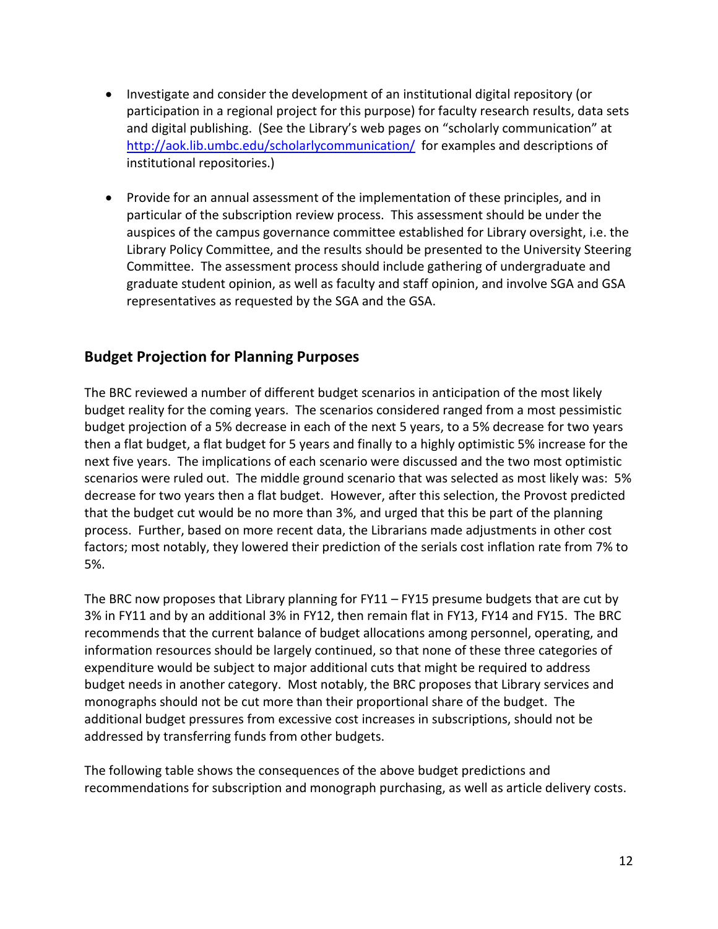- Investigate and consider the development of an institutional digital repository (or participation in a regional project for this purpose) for faculty research results, data sets and digital publishing. (See the Library's web pages on "scholarly communication" at <http://aok.lib.umbc.edu/scholarlycommunication/>for examples and descriptions of institutional repositories.)
- Provide for an annual assessment of the implementation of these principles, and in particular of the subscription review process. This assessment should be under the auspices of the campus governance committee established for Library oversight, i.e. the Library Policy Committee, and the results should be presented to the University Steering Committee. The assessment process should include gathering of undergraduate and graduate student opinion, as well as faculty and staff opinion, and involve SGA and GSA representatives as requested by the SGA and the GSA.

## **Budget Projection for Planning Purposes**

The BRC reviewed a number of different budget scenarios in anticipation of the most likely budget reality for the coming years. The scenarios considered ranged from a most pessimistic budget projection of a 5% decrease in each of the next 5 years, to a 5% decrease for two years then a flat budget, a flat budget for 5 years and finally to a highly optimistic 5% increase for the next five years. The implications of each scenario were discussed and the two most optimistic scenarios were ruled out. The middle ground scenario that was selected as most likely was: 5% decrease for two years then a flat budget. However, after this selection, the Provost predicted that the budget cut would be no more than 3%, and urged that this be part of the planning process. Further, based on more recent data, the Librarians made adjustments in other cost factors; most notably, they lowered their prediction of the serials cost inflation rate from 7% to 5%.

The BRC now proposes that Library planning for FY11 – FY15 presume budgets that are cut by 3% in FY11 and by an additional 3% in FY12, then remain flat in FY13, FY14 and FY15. The BRC recommends that the current balance of budget allocations among personnel, operating, and information resources should be largely continued, so that none of these three categories of expenditure would be subject to major additional cuts that might be required to address budget needs in another category. Most notably, the BRC proposes that Library services and monographs should not be cut more than their proportional share of the budget. The additional budget pressures from excessive cost increases in subscriptions, should not be addressed by transferring funds from other budgets.

The following table shows the consequences of the above budget predictions and recommendations for subscription and monograph purchasing, as well as article delivery costs.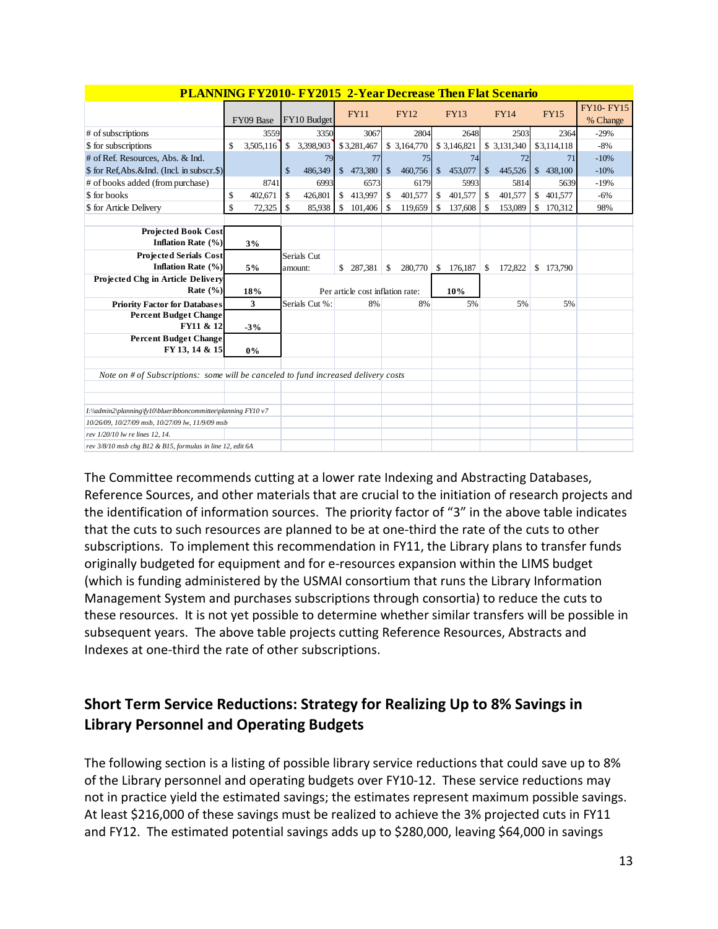| <b>PLANNING FY2010- FY2015 2-Year Decrease Then Flat Scenario</b>                  |                 |              |                |                                  |               |              |              |             |                    |              |               |                              |
|------------------------------------------------------------------------------------|-----------------|--------------|----------------|----------------------------------|---------------|--------------|--------------|-------------|--------------------|--------------|---------------|------------------------------|
|                                                                                    | FY09 Base       |              | FY10 Budget    | <b>FY11</b>                      |               | <b>FY12</b>  |              | <b>FY13</b> |                    | <b>FY14</b>  | <b>FY15</b>   | <b>FY10-FY15</b><br>% Change |
| # of subscriptions                                                                 | 3559            |              | 3350           | 3067                             |               | 2804         |              | 2648        |                    | 2503         | 2364          | $-29%$                       |
| \$ for subscriptions                                                               | \$<br>3,505,116 | $\mathbb{S}$ | 3,398,903      | \$3,281,467                      |               | \$ 3,164,770 |              | \$3,146,821 |                    | \$ 3,131,340 | \$3,114,118   | $-8%$                        |
| # of Ref. Resources, Abs. & Ind.                                                   |                 |              | 79             | 77                               |               | 75           |              | 74          |                    | 72           | 71            | $-10%$                       |
| \$ for Ref.Abs.&Ind. (Incl. in subscr.\$)                                          |                 | $\mathbb{S}$ | 486,349        | \$473,380                        | $\mathcal{S}$ | 460,756      | $\mathbb{S}$ | 453,077     | $\mathsf{\$}$      | 445,526      | \$438,100     | $-10%$                       |
| # of books added (from purchase)                                                   | 8741            |              | 6993           | 6573                             |               | 6179         |              | 5993        |                    | 5814         | 5639          | $-19%$                       |
| \$ for books                                                                       | \$<br>402.671   | $\mathbb{S}$ | 426,801        | \$<br>413,997                    | $\mathbf{s}$  | 401,577      | $\mathbb{S}$ | 401,577     | $\mathbf{\hat{S}}$ | 401,577      | \$<br>401.577 | $-6%$                        |
| \$ for Article Delivery                                                            | \$<br>72,325    | \$           | 85,938         | \$<br>101,406                    | -S            | 119,659      | \$           | 137,608     | \$                 | 153,089      | \$<br>170,312 | 98%                          |
|                                                                                    |                 |              |                |                                  |               |              |              |             |                    |              |               |                              |
| <b>Projected Book Cost</b><br>Inflation Rate (%)                                   | 3%              |              |                |                                  |               |              |              |             |                    |              |               |                              |
| <b>Projected Serials Cost</b>                                                      |                 |              | Serials Cut    |                                  |               |              |              |             |                    |              |               |                              |
| Inflation Rate (%)                                                                 | 5%              |              | amount:        | \$<br>287.381                    | \$            | 280,770      | \$           | 176,187     | \$                 | 172,822      | \$173,790     |                              |
| Projected Chg in Article Delivery                                                  |                 |              |                |                                  |               |              |              |             |                    |              |               |                              |
| Rate $(\% )$                                                                       | 18%             |              |                | Per article cost inflation rate: |               |              |              | 10%         |                    |              |               |                              |
| <b>Priority Factor for Databases</b>                                               | 3               |              | Serials Cut %: | 8%                               |               | 8%           |              | 5%          |                    | 5%           | 5%            |                              |
| <b>Percent Budget Change</b>                                                       |                 |              |                |                                  |               |              |              |             |                    |              |               |                              |
| FY11 & 12                                                                          | $-3%$           |              |                |                                  |               |              |              |             |                    |              |               |                              |
| <b>Percent Budget Change</b><br>FY 13, 14 & 15                                     | $0\%$           |              |                |                                  |               |              |              |             |                    |              |               |                              |
|                                                                                    |                 |              |                |                                  |               |              |              |             |                    |              |               |                              |
| Note on # of Subscriptions: some will be canceled to fund increased delivery costs |                 |              |                |                                  |               |              |              |             |                    |              |               |                              |
|                                                                                    |                 |              |                |                                  |               |              |              |             |                    |              |               |                              |
| I:\\admin2\planning\fy10\blueribboncommittee\planning FY10 v7                      |                 |              |                |                                  |               |              |              |             |                    |              |               |                              |
| 10/26/09, 10/27/09 msb, 10/27/09 lw, 11/9/09 msb                                   |                 |              |                |                                  |               |              |              |             |                    |              |               |                              |
| rev 1/20/10 lw re lines 12, 14.                                                    |                 |              |                |                                  |               |              |              |             |                    |              |               |                              |
| rev 3/8/10 msb chg B12 & B15, formulas in line 12, edit 6A                         |                 |              |                |                                  |               |              |              |             |                    |              |               |                              |

#### **PLANNING FY2010- FY2015 2-Year Decrease Then Flat Scenario**

The Committee recommends cutting at a lower rate Indexing and Abstracting Databases, Reference Sources, and other materials that are crucial to the initiation of research projects and the identification of information sources. The priority factor of "3" in the above table indicates that the cuts to such resources are planned to be at one-third the rate of the cuts to other subscriptions. To implement this recommendation in FY11, the Library plans to transfer funds originally budgeted for equipment and for e-resources expansion within the LIMS budget (which is funding administered by the USMAI consortium that runs the Library Information Management System and purchases subscriptions through consortia) to reduce the cuts to these resources. It is not yet possible to determine whether similar transfers will be possible in subsequent years. The above table projects cutting Reference Resources, Abstracts and Indexes at one-third the rate of other subscriptions.

## **Short Term Service Reductions: Strategy for Realizing Up to 8% Savings in Library Personnel and Operating Budgets**

The following section is a listing of possible library service reductions that could save up to 8% of the Library personnel and operating budgets over FY10-12. These service reductions may not in practice yield the estimated savings; the estimates represent maximum possible savings. At least \$216,000 of these savings must be realized to achieve the 3% projected cuts in FY11 and FY12. The estimated potential savings adds up to \$280,000, leaving \$64,000 in savings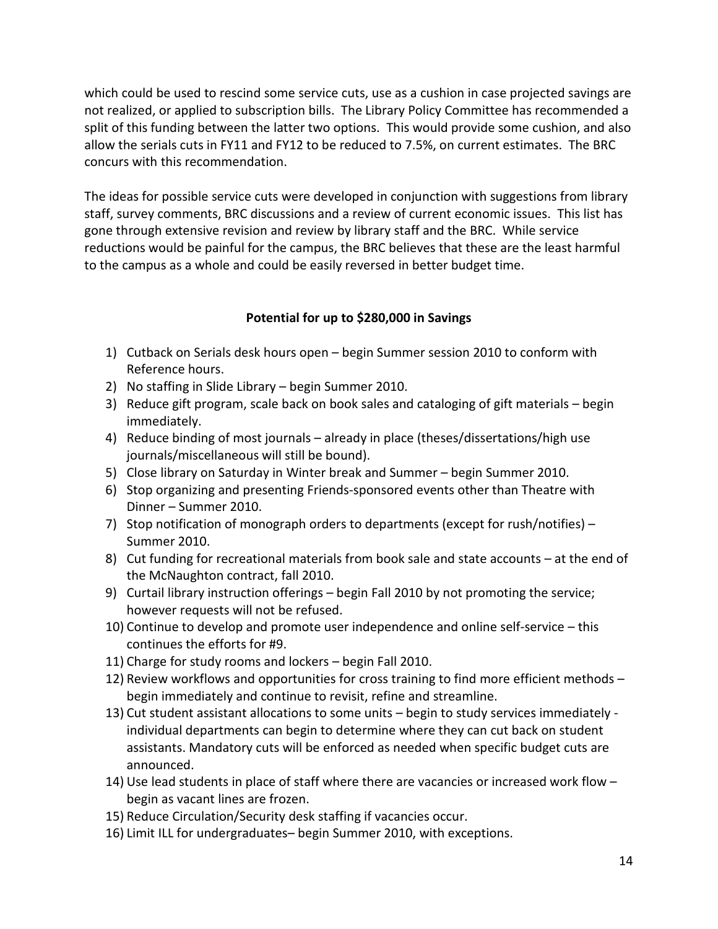which could be used to rescind some service cuts, use as a cushion in case projected savings are not realized, or applied to subscription bills. The Library Policy Committee has recommended a split of this funding between the latter two options. This would provide some cushion, and also allow the serials cuts in FY11 and FY12 to be reduced to 7.5%, on current estimates. The BRC concurs with this recommendation.

The ideas for possible service cuts were developed in conjunction with suggestions from library staff, survey comments, BRC discussions and a review of current economic issues. This list has gone through extensive revision and review by library staff and the BRC. While service reductions would be painful for the campus, the BRC believes that these are the least harmful to the campus as a whole and could be easily reversed in better budget time.

#### **Potential for up to \$280,000 in Savings**

- 1) Cutback on Serials desk hours open begin Summer session 2010 to conform with Reference hours.
- 2) No staffing in Slide Library begin Summer 2010.
- 3) Reduce gift program, scale back on book sales and cataloging of gift materials begin immediately.
- 4) Reduce binding of most journals already in place (theses/dissertations/high use journals/miscellaneous will still be bound).
- 5) Close library on Saturday in Winter break and Summer begin Summer 2010.
- 6) Stop organizing and presenting Friends-sponsored events other than Theatre with Dinner – Summer 2010.
- 7) Stop notification of monograph orders to departments (except for rush/notifies) Summer 2010.
- 8) Cut funding for recreational materials from book sale and state accounts at the end of the McNaughton contract, fall 2010.
- 9) Curtail library instruction offerings begin Fall 2010 by not promoting the service; however requests will not be refused.
- 10) Continue to develop and promote user independence and online self-service this continues the efforts for #9.
- 11) Charge for study rooms and lockers begin Fall 2010.
- 12) Review workflows and opportunities for cross training to find more efficient methods begin immediately and continue to revisit, refine and streamline.
- 13) Cut student assistant allocations to some units begin to study services immediately individual departments can begin to determine where they can cut back on student assistants. Mandatory cuts will be enforced as needed when specific budget cuts are announced.
- 14) Use lead students in place of staff where there are vacancies or increased work flow begin as vacant lines are frozen.
- 15) Reduce Circulation/Security desk staffing if vacancies occur.
- 16) Limit ILL for undergraduates– begin Summer 2010, with exceptions.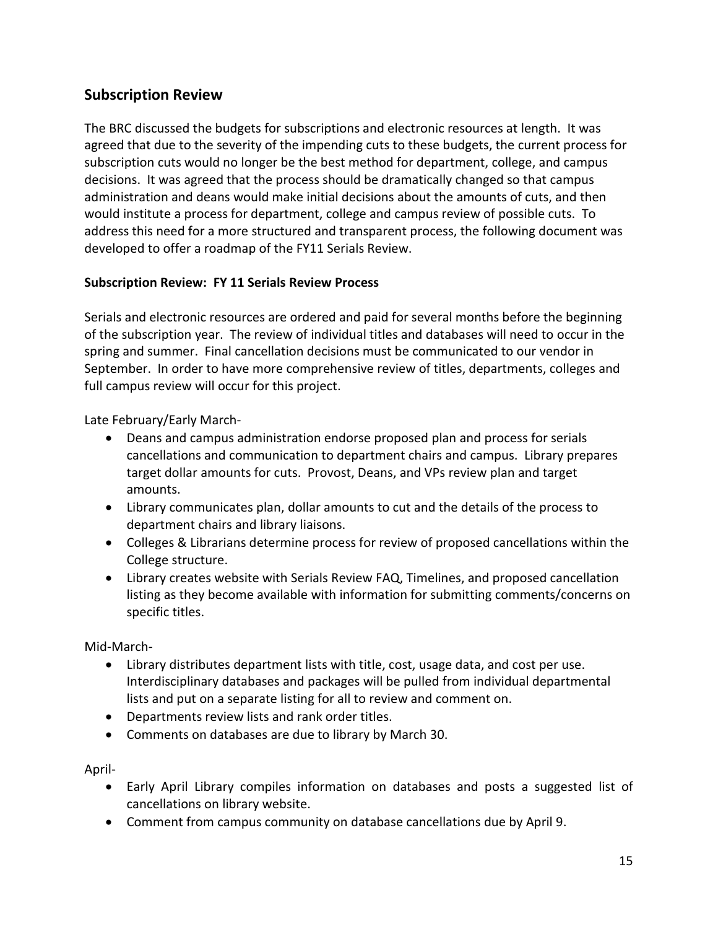## **Subscription Review**

The BRC discussed the budgets for subscriptions and electronic resources at length. It was agreed that due to the severity of the impending cuts to these budgets, the current process for subscription cuts would no longer be the best method for department, college, and campus decisions. It was agreed that the process should be dramatically changed so that campus administration and deans would make initial decisions about the amounts of cuts, and then would institute a process for department, college and campus review of possible cuts. To address this need for a more structured and transparent process, the following document was developed to offer a roadmap of the FY11 Serials Review.

#### **Subscription Review: FY 11 Serials Review Process**

Serials and electronic resources are ordered and paid for several months before the beginning of the subscription year. The review of individual titles and databases will need to occur in the spring and summer. Final cancellation decisions must be communicated to our vendor in September. In order to have more comprehensive review of titles, departments, colleges and full campus review will occur for this project.

Late February/Early March-

- Deans and campus administration endorse proposed plan and process for serials cancellations and communication to department chairs and campus. Library prepares target dollar amounts for cuts. Provost, Deans, and VPs review plan and target amounts.
- Library communicates plan, dollar amounts to cut and the details of the process to department chairs and library liaisons.
- Colleges & Librarians determine process for review of proposed cancellations within the College structure.
- Library creates website with Serials Review FAQ, Timelines, and proposed cancellation listing as they become available with information for submitting comments/concerns on specific titles.

Mid-March-

- Library distributes department lists with title, cost, usage data, and cost per use. Interdisciplinary databases and packages will be pulled from individual departmental lists and put on a separate listing for all to review and comment on.
- Departments review lists and rank order titles.
- Comments on databases are due to library by March 30.

April-

- Early April Library compiles information on databases and posts a suggested list of cancellations on library website.
- Comment from campus community on database cancellations due by April 9.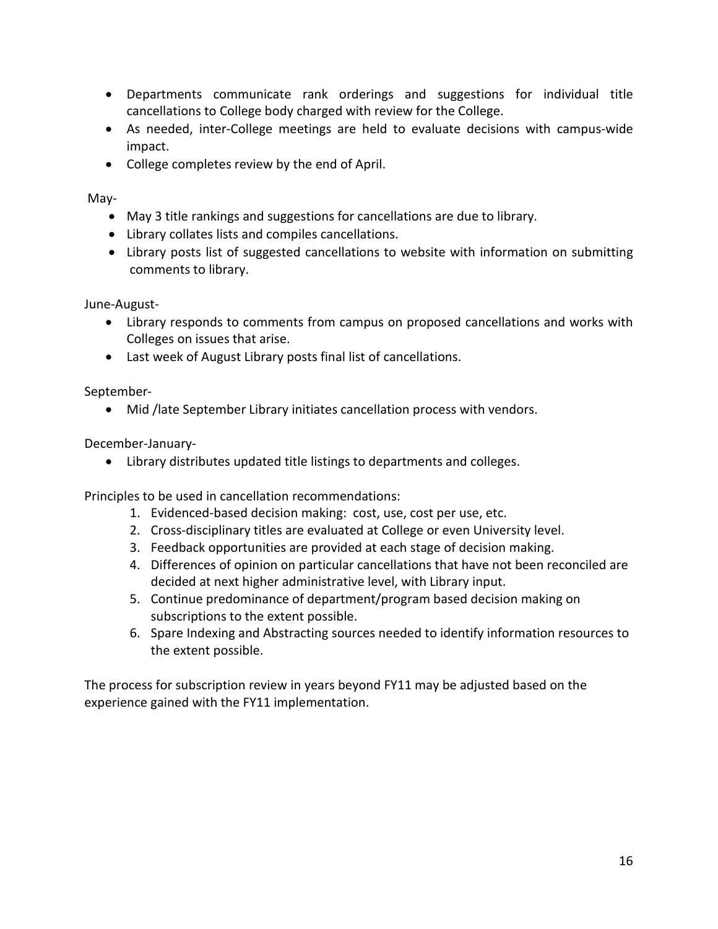- Departments communicate rank orderings and suggestions for individual title cancellations to College body charged with review for the College.
- As needed, inter-College meetings are held to evaluate decisions with campus-wide impact.
- College completes review by the end of April.

May-

- May 3 title rankings and suggestions for cancellations are due to library.
- Library collates lists and compiles cancellations.
- Library posts list of suggested cancellations to website with information on submitting comments to library.

June-August-

- Library responds to comments from campus on proposed cancellations and works with Colleges on issues that arise.
- Last week of August Library posts final list of cancellations.

September-

• Mid /late September Library initiates cancellation process with vendors.

December-January-

• Library distributes updated title listings to departments and colleges.

Principles to be used in cancellation recommendations:

- 1. Evidenced-based decision making: cost, use, cost per use, etc.
- 2. Cross-disciplinary titles are evaluated at College or even University level.
- 3. Feedback opportunities are provided at each stage of decision making.
- 4. Differences of opinion on particular cancellations that have not been reconciled are decided at next higher administrative level, with Library input.
- 5. Continue predominance of department/program based decision making on subscriptions to the extent possible.
- 6. Spare Indexing and Abstracting sources needed to identify information resources to the extent possible.

The process for subscription review in years beyond FY11 may be adjusted based on the experience gained with the FY11 implementation.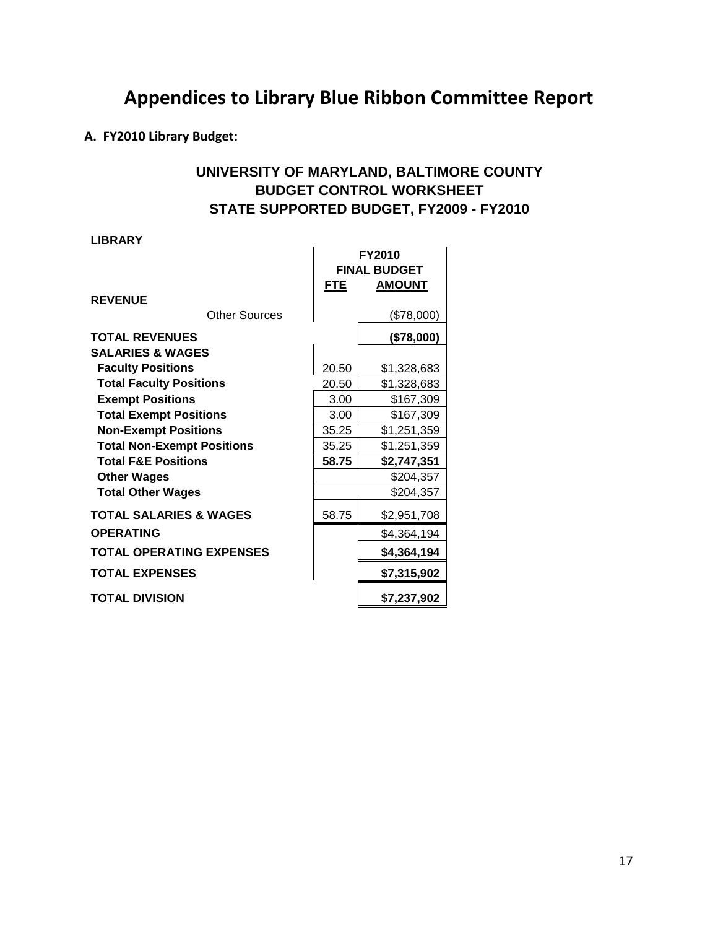# **Appendices to Library Blue Ribbon Committee Report**

**A. FY2010 Library Budget:**

## **UNIVERSITY OF MARYLAND, BALTIMORE COUNTY BUDGET CONTROL WORKSHEET STATE SUPPORTED BUDGET, FY2009 - FY2010**

**LIBRARY**

| <b>REVENUE</b>                    | <b>FTE</b> | <b>FY2010</b><br><b>FINAL BUDGET</b><br><b>AMOUNT</b> |
|-----------------------------------|------------|-------------------------------------------------------|
| <b>Other Sources</b>              |            | (\$78,000)                                            |
| <b>TOTAL REVENUES</b>             |            | (\$78,000)                                            |
| <b>SALARIES &amp; WAGES</b>       |            |                                                       |
| <b>Faculty Positions</b>          | 20.50      | \$1,328,683                                           |
| <b>Total Faculty Positions</b>    | 20.50      | \$1,328,683                                           |
| <b>Exempt Positions</b>           | 3.00       | \$167,309                                             |
| <b>Total Exempt Positions</b>     | 3.00       | \$167,309                                             |
| <b>Non-Exempt Positions</b>       | 35.25      | \$1,251,359                                           |
| <b>Total Non-Exempt Positions</b> | 35.25      | \$1,251,359                                           |
| <b>Total F&amp;E Positions</b>    | 58.75      | \$2,747,351                                           |
| <b>Other Wages</b>                |            | \$204,357                                             |
| <b>Total Other Wages</b>          |            | \$204,357                                             |
| <b>TOTAL SALARIES &amp; WAGES</b> | 58.75      | \$2,951,708                                           |
| <b>OPERATING</b>                  |            | \$4,364,194                                           |
| <b>TOTAL OPERATING EXPENSES</b>   |            | \$4,364,194                                           |
| <b>TOTAL EXPENSES</b>             |            | \$7,315,902                                           |
| <b>TOTAL DIVISION</b>             |            | \$7,237,902                                           |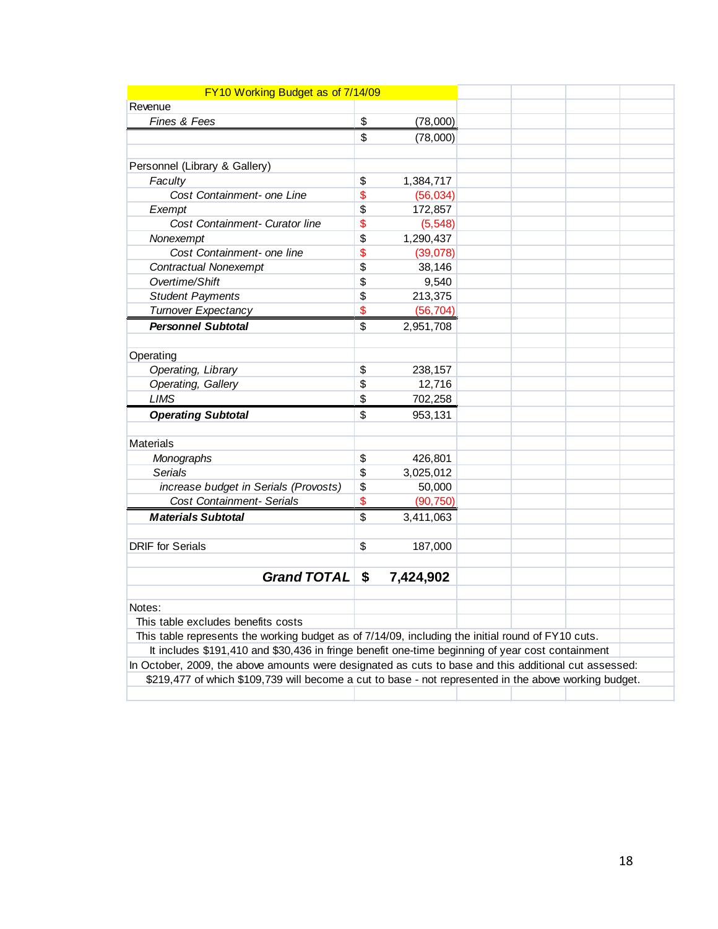| FY10 Working Budget as of 7/14/09                                                                     |                 |  |  |
|-------------------------------------------------------------------------------------------------------|-----------------|--|--|
| Revenue                                                                                               |                 |  |  |
| Fines & Fees                                                                                          | \$<br>(78,000)  |  |  |
|                                                                                                       | \$<br>(78,000)  |  |  |
|                                                                                                       |                 |  |  |
| Personnel (Library & Gallery)                                                                         |                 |  |  |
| Faculty                                                                                               | \$<br>1,384,717 |  |  |
| Cost Containment- one Line                                                                            | \$<br>(56, 034) |  |  |
| Exempt                                                                                                | \$<br>172,857   |  |  |
| Cost Containment- Curator line                                                                        | \$<br>(5, 548)  |  |  |
| Nonexempt                                                                                             | \$<br>1,290,437 |  |  |
| Cost Containment- one line                                                                            | \$<br>(39,078)  |  |  |
| <b>Contractual Nonexempt</b>                                                                          | \$<br>38,146    |  |  |
| Overtime/Shift                                                                                        | \$<br>9,540     |  |  |
| <b>Student Payments</b>                                                                               | \$<br>213,375   |  |  |
| <b>Turnover Expectancy</b>                                                                            | \$<br>(56, 704) |  |  |
| <b>Personnel Subtotal</b>                                                                             | \$<br>2,951,708 |  |  |
|                                                                                                       |                 |  |  |
| Operating                                                                                             |                 |  |  |
| Operating, Library                                                                                    | \$<br>238,157   |  |  |
| Operating, Gallery                                                                                    | \$<br>12,716    |  |  |
| <b>LIMS</b>                                                                                           | \$<br>702,258   |  |  |
| <b>Operating Subtotal</b>                                                                             | \$<br>953,131   |  |  |
|                                                                                                       |                 |  |  |
| <b>Materials</b>                                                                                      |                 |  |  |
| Monographs                                                                                            | \$<br>426,801   |  |  |
| <b>Serials</b>                                                                                        | \$<br>3,025,012 |  |  |
| increase budget in Serials (Provosts)                                                                 | \$<br>50,000    |  |  |
| Cost Containment- Serials                                                                             | \$<br>(90, 750) |  |  |
| <b>Materials Subtotal</b>                                                                             | \$<br>3,411,063 |  |  |
|                                                                                                       |                 |  |  |
| <b>DRIF</b> for Serials                                                                               | \$<br>187,000   |  |  |
|                                                                                                       |                 |  |  |
| <b>Grand TOTAL</b>                                                                                    | \$<br>7,424,902 |  |  |
|                                                                                                       |                 |  |  |
| Notes:                                                                                                |                 |  |  |
| This table excludes benefits costs                                                                    |                 |  |  |
| This table represents the working budget as of 7/14/09, including the initial round of FY10 cuts.     |                 |  |  |
| It includes \$191,410 and \$30,436 in fringe benefit one-time beginning of year cost containment      |                 |  |  |
| In October, 2009, the above amounts were designated as cuts to base and this additional cut assessed: |                 |  |  |
| \$219,477 of which \$109,739 will become a cut to base - not represented in the above working budget. |                 |  |  |
|                                                                                                       |                 |  |  |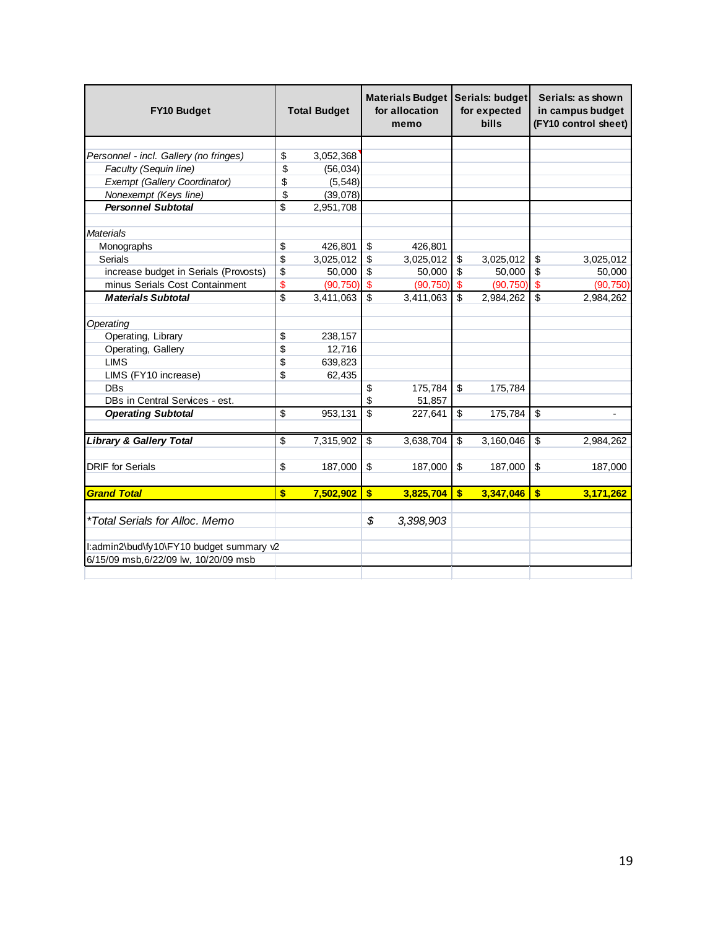| <b>FY10 Budget</b>                       |                          | <b>Total Budget</b> | Materials Budget<br>for allocation<br>memo |           |              | Serials: budget<br>for expected<br><b>bills</b> | Serials: as shown<br>in campus budget<br>(FY10 control sheet) |                |
|------------------------------------------|--------------------------|---------------------|--------------------------------------------|-----------|--------------|-------------------------------------------------|---------------------------------------------------------------|----------------|
|                                          |                          |                     |                                            |           |              |                                                 |                                                               |                |
| Personnel - incl. Gallery (no fringes)   | \$                       | 3,052,368           |                                            |           |              |                                                 |                                                               |                |
| Faculty (Sequin line)                    | \$                       | (56, 034)           |                                            |           |              |                                                 |                                                               |                |
| <b>Exempt (Gallery Coordinator)</b>      | \$                       | (5, 548)            |                                            |           |              |                                                 |                                                               |                |
| Nonexempt (Keys line)                    | \$                       | (39,078)            |                                            |           |              |                                                 |                                                               |                |
| <b>Personnel Subtotal</b>                | \$                       | 2,951,708           |                                            |           |              |                                                 |                                                               |                |
| <b>Materials</b>                         |                          |                     |                                            |           |              |                                                 |                                                               |                |
| Monographs                               | \$                       | 426,801             | \$                                         | 426,801   |              |                                                 |                                                               |                |
| <b>Serials</b>                           | \$                       | 3,025,012           | \$                                         | 3,025,012 | \$           | 3,025,012                                       | \$                                                            | 3,025,012      |
| increase budget in Serials (Provosts)    | \$                       | 50,000              | \$                                         | 50,000    | \$           | 50,000                                          | \$                                                            | 50,000         |
| minus Serials Cost Containment           | \$                       | (90, 750)           | $\mathbf{s}$                               | (90, 750) | \$           | (90, 750)                                       | $\sqrt{3}$                                                    | (90, 750)      |
| <b>Materials Subtotal</b>                | $\overline{\mathcal{S}}$ | 3,411,063           | $\overline{\mathbf{s}}$                    | 3,411,063 | \$           | 2,984,262                                       | $\overline{\mathbf{s}}$                                       | 2,984,262      |
| Operating                                |                          |                     |                                            |           |              |                                                 |                                                               |                |
| Operating, Library                       | \$                       | 238,157             |                                            |           |              |                                                 |                                                               |                |
| Operating, Gallery                       | \$                       | 12,716              |                                            |           |              |                                                 |                                                               |                |
| <b>LIMS</b>                              | \$                       | 639,823             |                                            |           |              |                                                 |                                                               |                |
| LIMS (FY10 increase)                     | \$                       | 62,435              |                                            |           |              |                                                 |                                                               |                |
| <b>DBs</b>                               |                          |                     | \$                                         | 175,784   | \$           | 175,784                                         |                                                               |                |
| DBs in Central Services - est.           |                          |                     | \$                                         | 51,857    |              |                                                 |                                                               |                |
| <b>Operating Subtotal</b>                | \$                       | 953,131             | $\overline{\mathbf{s}}$                    | 227,641   | \$           | 175,784                                         | \$                                                            | $\blacksquare$ |
| <b>Library &amp; Gallery Total</b>       | \$                       | 7,315,902           | \$                                         | 3,638,704 | \$           | 3,160,046                                       | \$                                                            | 2,984,262      |
| <b>DRIF</b> for Serials                  | \$                       | 187,000             | \$                                         | 187,000   | \$           | 187,000                                         | \$                                                            |                |
|                                          |                          |                     |                                            |           |              |                                                 |                                                               | 187,000        |
| <b>Grand Total</b>                       | \$                       | 7,502,902           | \$                                         | 3,825,704 | $\mathbf{s}$ | 3,347,046                                       | $\sqrt[6]{3}$                                                 | 3,171,262      |
| <i>*Total Serials for Alloc. Memo</i>    |                          |                     | \$                                         | 3,398,903 |              |                                                 |                                                               |                |
| I:admin2\bud\fy10\FY10 budget summary v2 |                          |                     |                                            |           |              |                                                 |                                                               |                |
| 6/15/09 msb, 6/22/09 lw, 10/20/09 msb    |                          |                     |                                            |           |              |                                                 |                                                               |                |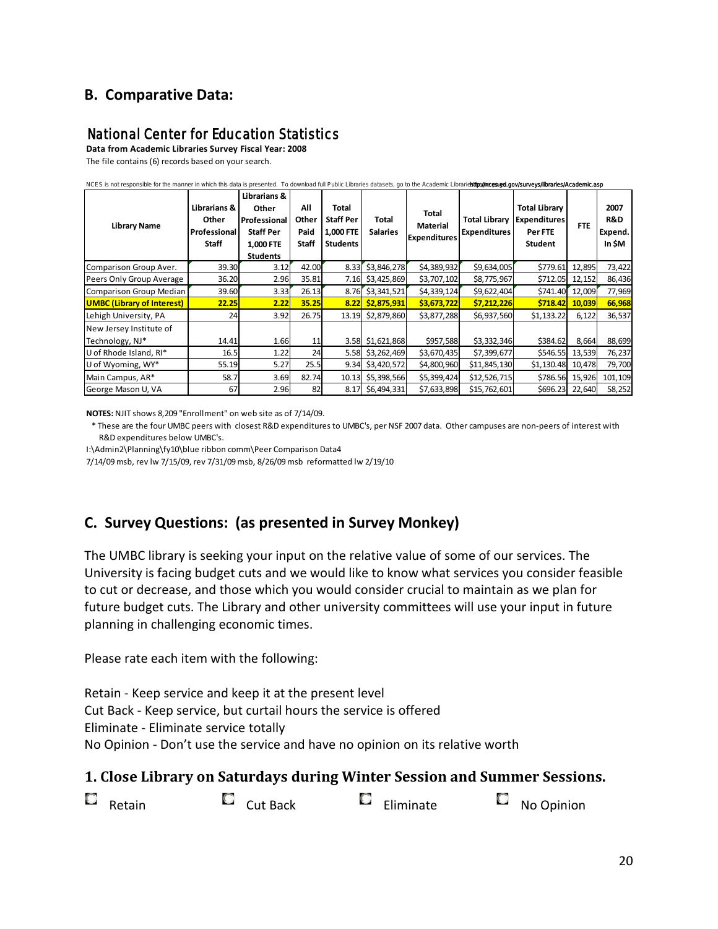## **B. Comparative Data:**

## National Center for Education Statistics

**Data from Academic Libraries Survey Fiscal Year: 2008** The file contains (6) records based on your search.

| NCES is not responsible for the manner in which this data is presented. To download full Public Libraries datasets, go to the Academic Librarietttp://nces.ed.gov/surveys/libraries/Academic.asp |                                                       |                                                                                           |                               |                                                           |                          |                                                 |                                             |                                                                          |            |                                  |
|--------------------------------------------------------------------------------------------------------------------------------------------------------------------------------------------------|-------------------------------------------------------|-------------------------------------------------------------------------------------------|-------------------------------|-----------------------------------------------------------|--------------------------|-------------------------------------------------|---------------------------------------------|--------------------------------------------------------------------------|------------|----------------------------------|
| <b>Library Name</b>                                                                                                                                                                              | Librarians &<br>Other<br>Professional<br><b>Staff</b> | Librarians &<br>Other<br>Professional<br><b>Staff Per</b><br>1,000 FTE<br><b>Students</b> | All<br>Other<br>Paid<br>Staff | Total<br><b>Staff Per</b><br>1,000 FTE<br><b>Students</b> | Total<br><b>Salaries</b> | Total<br><b>Material</b><br><b>Expenditures</b> | <b>Total Library</b><br><b>Expenditures</b> | <b>Total Library</b><br><b>Expenditures</b><br>Per FTE<br><b>Student</b> | <b>FTE</b> | 2007<br>R&D<br>Expend.<br>In \$M |
| Comparison Group Aver.                                                                                                                                                                           | 39.30                                                 | 3.12                                                                                      | 42.00                         | 8.33                                                      | \$3,846,278              | \$4,389,932                                     | \$9,634,005                                 | \$779.61                                                                 | 12,895     | 73,422                           |
| Peers Only Group Average                                                                                                                                                                         | 36.20                                                 | 2.96                                                                                      | 35.81                         | 7.16                                                      | \$3,425,869              | \$3,707,102                                     | \$8,775,967                                 | \$712.05                                                                 | 12,152     | 86,436                           |
| Comparison Group Median                                                                                                                                                                          | 39.60                                                 | 3.33                                                                                      | 26.13                         | 8.76                                                      | \$3,341,521              | \$4,339,124                                     | \$9,622,404                                 | \$741.40                                                                 | 12,009     | 77,969                           |
| <b>UMBC (Library of Interest)</b>                                                                                                                                                                | 22.25                                                 | 2.22                                                                                      | 35.25                         |                                                           | 8.22 \$2,875,931         | \$3,673,722                                     | \$7,212,226                                 | \$718.42                                                                 | 10,039     | 66,968                           |
| Lehigh University, PA                                                                                                                                                                            | 24                                                    | 3.92                                                                                      | 26.75                         | 13.19                                                     | \$2,879,860              | \$3,877,288                                     | \$6,937,560                                 | \$1,133.22                                                               | 6,122      | 36,537                           |
| New Jersey Institute of<br>Technology, NJ*                                                                                                                                                       | 14.41                                                 | 1.66                                                                                      | 11                            |                                                           | 3.58 \$1,621,868         | \$957,588                                       | \$3,332,346                                 | \$384.62                                                                 | 8,664      | 88,699                           |
| U of Rhode Island, RI*                                                                                                                                                                           | 16.5                                                  | 1.22                                                                                      | 24                            | 5.58                                                      | \$3,262,469              | \$3,670,435                                     | \$7,399,677                                 | \$546.55                                                                 | 13,539     | 76,237                           |
| U of Wyoming, WY*                                                                                                                                                                                | 55.19                                                 | 5.27                                                                                      | 25.5                          | 9.34                                                      | \$3,420,572              | \$4,800,960                                     | \$11,845,130                                | \$1,130.48                                                               | 10,478     | 79,700                           |
| Main Campus, AR*                                                                                                                                                                                 | 58.7                                                  | 3.69                                                                                      | 82.74                         | 10.13                                                     | \$5,398,566              | \$5,399,424                                     | \$12,526,715                                | \$786.56                                                                 | 15,926     | 101,109                          |
| George Mason U, VA                                                                                                                                                                               | 67                                                    | 2.96                                                                                      | 82                            |                                                           | 8.17 \$6,494,331         | \$7,633,898                                     | \$15,762,601                                | \$696.23                                                                 | 22,640     | 58,252                           |

**NOTES:** NJIT shows 8,209 "Enrollment" on web site as of 7/14/09.

 \* These are the four UMBC peers with closest R&D expenditures to UMBC's, per NSF 2007 data. Other campuses are non-peers of interest with R&D expenditures below UMBC's.

I:\Admin2\Planning\fy10\blue ribbon comm\Peer Comparison Data4

7/14/09 msb, rev lw 7/15/09, rev 7/31/09 msb, 8/26/09 msb reformatted lw 2/19/10

## **C. Survey Questions: (as presented in Survey Monkey)**

The UMBC library is seeking your input on the relative value of some of our services. The University is facing budget cuts and we would like to know what services you consider feasible to cut or decrease, and those which you would consider crucial to maintain as we plan for future budget cuts. The Library and other university committees will use your input in future planning in challenging economic times.

Please rate each item with the following:

Retain - Keep service and keep it at the present level Cut Back - Keep service, but curtail hours the service is offered Eliminate - Eliminate service totally No Opinion - Don't use the service and have no opinion on its relative worth

#### **1. Close Library on Saturdays during Winter Session and Summer Sessions.**

| $\Box$ Retain<br>$\Box$ Cut Back | $\blacksquare$ Eliminate | $\overline{\phantom{a}}$ No Opinion |
|----------------------------------|--------------------------|-------------------------------------|
|----------------------------------|--------------------------|-------------------------------------|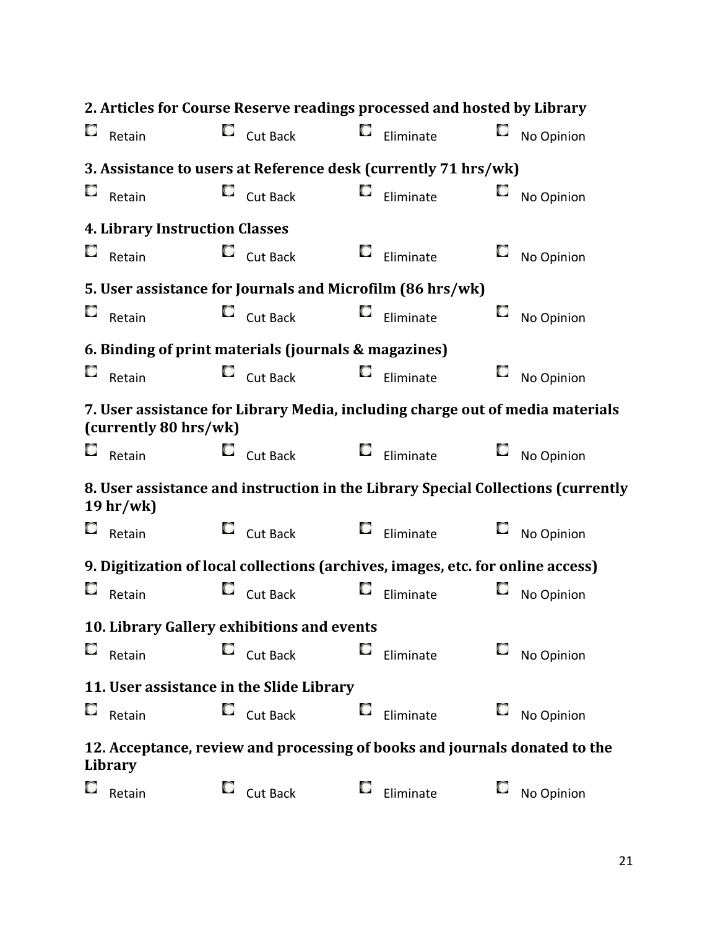|    |                                       |    | 2. Articles for Course Reserve readings processed and hosted by Library          |    |                  |    |            |
|----|---------------------------------------|----|----------------------------------------------------------------------------------|----|------------------|----|------------|
| C  | Retain                                |    | $\Box$ Cut Back                                                                  |    | $\Box$ Eliminate | С  | No Opinion |
|    |                                       |    | 3. Assistance to users at Reference desk (currently 71 hrs/wk)                   |    |                  |    |            |
| L. | Retain                                | C. | Cut Back                                                                         | C  | Eliminate        | C  | No Opinion |
|    | <b>4. Library Instruction Classes</b> |    |                                                                                  |    |                  |    |            |
| C  | Retain                                | G  | Cut Back                                                                         | C, | Eliminate        |    | No Opinion |
|    |                                       |    | 5. User assistance for Journals and Microfilm (86 hrs/wk)                        |    |                  |    |            |
| L, | Retain                                | G  | Cut Back                                                                         | C  | Eliminate        |    | No Opinion |
|    |                                       |    | 6. Binding of print materials (journals & magazines)                             |    |                  |    |            |
| C  | Retain                                |    | $\Box$ Cut Back                                                                  | C  | Eliminate        |    | No Opinion |
|    | (currently 80 hrs/wk)                 |    | 7. User assistance for Library Media, including charge out of media materials    |    |                  |    |            |
|    | Retain                                |    | $\Box$ Cut Back                                                                  |    | $\Box$ Eliminate |    | No Opinion |
|    | 19 <sup>hr</sup> /wk                  |    | 8. User assistance and instruction in the Library Special Collections (currently |    |                  |    |            |
| C  | Retain                                |    | $\Box$ Cut Back                                                                  |    | $\Box$ Eliminate | L, | No Opinion |
|    |                                       |    | 9. Digitization of local collections (archives, images, etc. for online access)  |    |                  |    |            |
| С  | Retain                                | С  | Cut Back                                                                         | С  | Eliminate        |    | No Opinion |
|    |                                       |    | 10. Library Gallery exhibitions and events                                       |    |                  |    |            |
| C  | Retain                                |    | Cut Back                                                                         | С  | Eliminate        |    | No Opinion |
|    |                                       |    | 11. User assistance in the Slide Library                                         |    |                  |    |            |
| C  | Retain                                | C  | Cut Back                                                                         | С  | Eliminate        | L, | No Opinion |
|    | Library                               |    | 12. Acceptance, review and processing of books and journals donated to the       |    |                  |    |            |
| C  | Retain                                | L. | Cut Back                                                                         | L. | Eliminate        |    | No Opinion |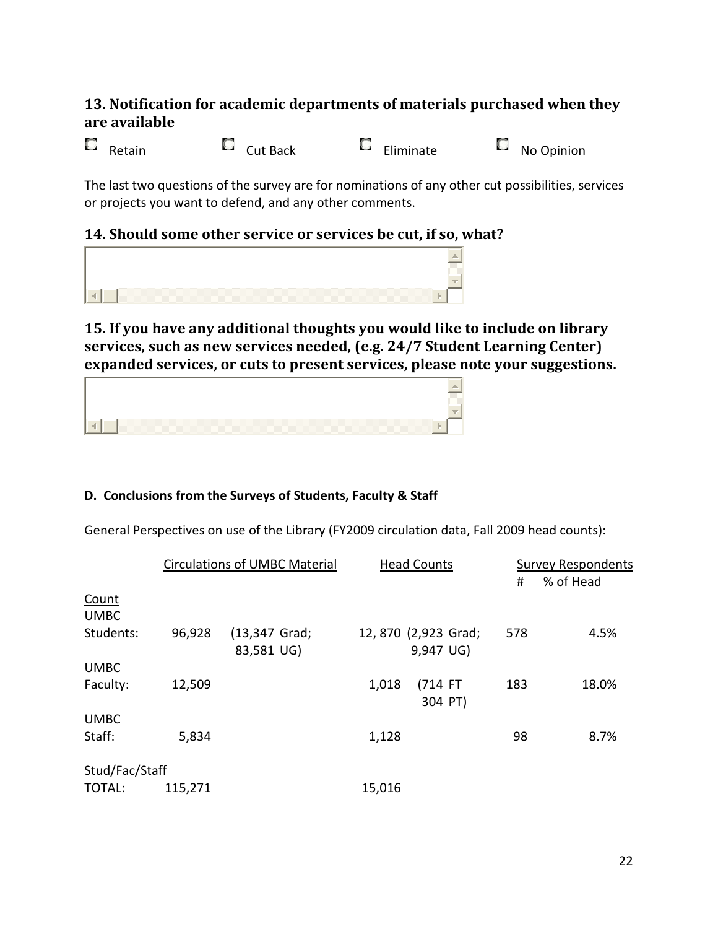## **13. Notification for academic departments of materials purchased when they are available**

Retain Cut Back Eliminate No Opinion

The last two questions of the survey are for nominations of any other cut possibilities, services or projects you want to defend, and any other comments.

## **14. Should some other service or services be cut, if so, what?**



## **15. If you have any additional thoughts you would like to include on library services, such as new services needed, (e.g. 24/7 Student Learning Center) expanded services, or cuts to present services, please note your suggestions.**



## **D. Conclusions from the Surveys of Students, Faculty & Staff**

General Perspectives on use of the Library (FY2009 circulation data, Fall 2009 head counts):

|                             |         | <b>Circulations of UMBC Material</b> |        | <b>Head Counts</b>               |          | <b>Survey Respondents</b> |
|-----------------------------|---------|--------------------------------------|--------|----------------------------------|----------|---------------------------|
|                             |         |                                      |        |                                  | <u>#</u> | % of Head                 |
| <b>Count</b><br><b>UMBC</b> |         |                                      |        |                                  |          |                           |
| Students:                   | 96,928  | (13,347 Grad;<br>83,581 UG)          |        | 12,870 (2,923 Grad;<br>9,947 UG) | 578      | 4.5%                      |
| <b>UMBC</b>                 |         |                                      |        |                                  |          |                           |
| Faculty:                    | 12,509  |                                      | 1,018  | (714 FT<br>304 PT)               | 183      | 18.0%                     |
| <b>UMBC</b>                 |         |                                      |        |                                  |          |                           |
| Staff:                      | 5,834   |                                      | 1,128  |                                  | 98       | 8.7%                      |
| Stud/Fac/Staff              |         |                                      |        |                                  |          |                           |
| TOTAL:                      | 115,271 |                                      | 15,016 |                                  |          |                           |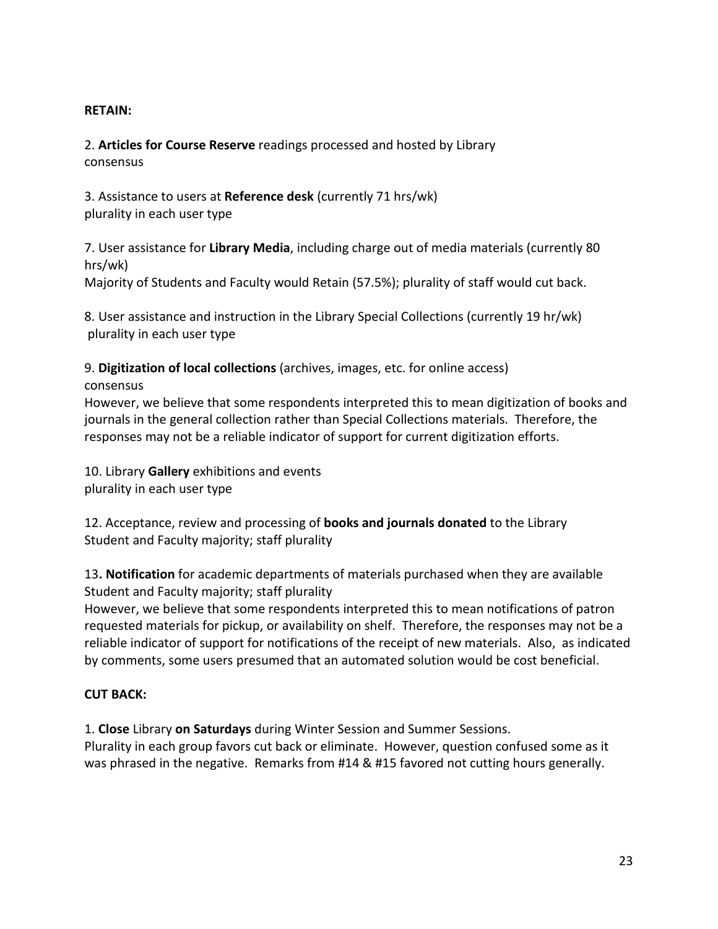#### **RETAIN:**

2. **Articles for Course Reserve** readings processed and hosted by Library consensus

3. Assistance to users at **Reference desk** (currently 71 hrs/wk) plurality in each user type

7. User assistance for **Library Media**, including charge out of media materials (currently 80 hrs/wk)

Majority of Students and Faculty would Retain (57.5%); plurality of staff would cut back.

8. User assistance and instruction in the Library Special Collections (currently 19 hr/wk) plurality in each user type

9. **Digitization of local collections** (archives, images, etc. for online access) consensus

However, we believe that some respondents interpreted this to mean digitization of books and journals in the general collection rather than Special Collections materials. Therefore, the responses may not be a reliable indicator of support for current digitization efforts.

10. Library **Gallery** exhibitions and events plurality in each user type

12. Acceptance, review and processing of **books and journals donated** to the Library Student and Faculty majority; staff plurality

13**. Notification** for academic departments of materials purchased when they are available Student and Faculty majority; staff plurality

However, we believe that some respondents interpreted this to mean notifications of patron requested materials for pickup, or availability on shelf. Therefore, the responses may not be a reliable indicator of support for notifications of the receipt of new materials. Also, as indicated by comments, some users presumed that an automated solution would be cost beneficial.

## **CUT BACK:**

1. **Close** Library **on Saturdays** during Winter Session and Summer Sessions. Plurality in each group favors cut back or eliminate. However, question confused some as it was phrased in the negative. Remarks from #14 & #15 favored not cutting hours generally.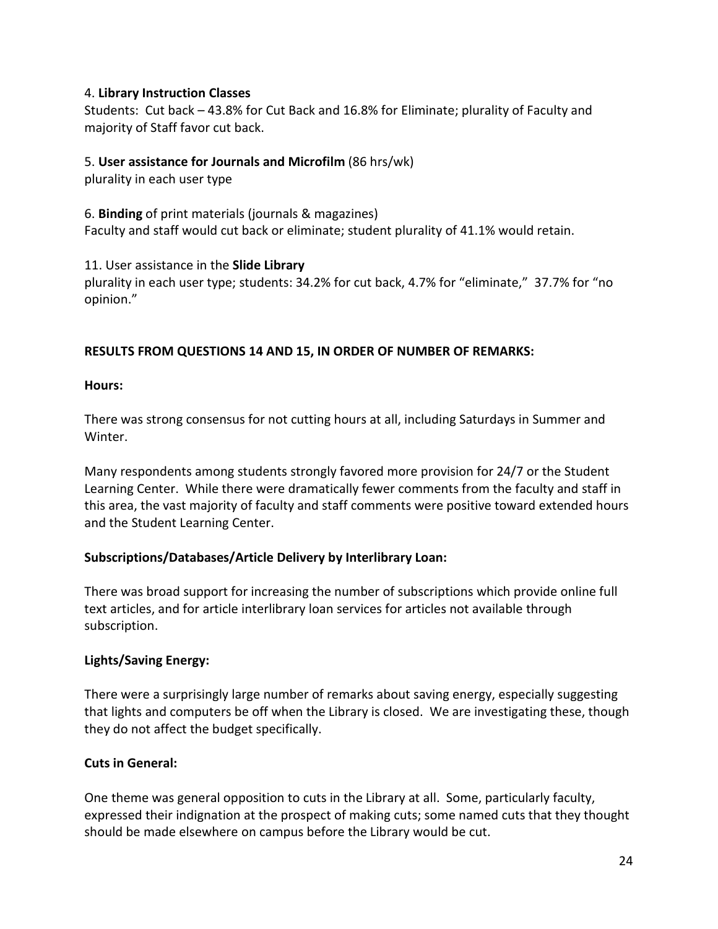#### 4. **Library Instruction Classes**

Students: Cut back – 43.8% for Cut Back and 16.8% for Eliminate; plurality of Faculty and majority of Staff favor cut back.

#### 5. **User assistance for Journals and Microfilm** (86 hrs/wk)

plurality in each user type

6. **Binding** of print materials (journals & magazines) Faculty and staff would cut back or eliminate; student plurality of 41.1% would retain.

11. User assistance in the **Slide Library**

plurality in each user type; students: 34.2% for cut back, 4.7% for "eliminate," 37.7% for "no opinion."

#### **RESULTS FROM QUESTIONS 14 AND 15, IN ORDER OF NUMBER OF REMARKS:**

**Hours:**

There was strong consensus for not cutting hours at all, including Saturdays in Summer and Winter.

Many respondents among students strongly favored more provision for 24/7 or the Student Learning Center. While there were dramatically fewer comments from the faculty and staff in this area, the vast majority of faculty and staff comments were positive toward extended hours and the Student Learning Center.

#### **Subscriptions/Databases/Article Delivery by Interlibrary Loan:**

There was broad support for increasing the number of subscriptions which provide online full text articles, and for article interlibrary loan services for articles not available through subscription.

#### **Lights/Saving Energy:**

There were a surprisingly large number of remarks about saving energy, especially suggesting that lights and computers be off when the Library is closed. We are investigating these, though they do not affect the budget specifically.

#### **Cuts in General:**

One theme was general opposition to cuts in the Library at all. Some, particularly faculty, expressed their indignation at the prospect of making cuts; some named cuts that they thought should be made elsewhere on campus before the Library would be cut.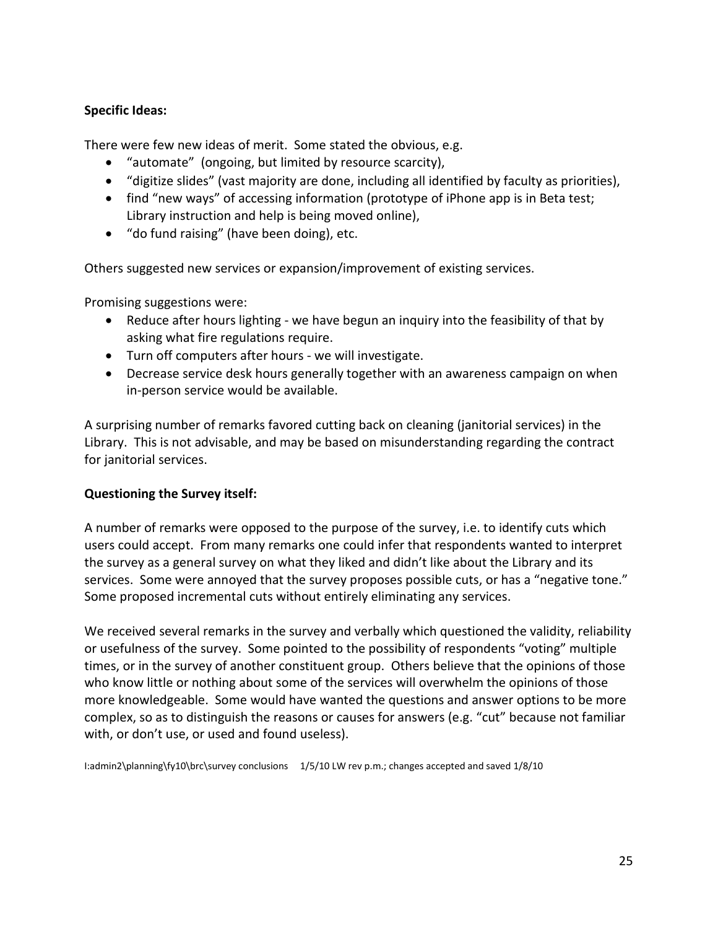#### **Specific Ideas:**

There were few new ideas of merit. Some stated the obvious, e.g.

- "automate" (ongoing, but limited by resource scarcity),
- "digitize slides" (vast majority are done, including all identified by faculty as priorities),
- find "new ways" of accessing information (prototype of iPhone app is in Beta test; Library instruction and help is being moved online),
- "do fund raising" (have been doing), etc.

Others suggested new services or expansion/improvement of existing services.

Promising suggestions were:

- Reduce after hours lighting we have begun an inquiry into the feasibility of that by asking what fire regulations require.
- Turn off computers after hours we will investigate.
- Decrease service desk hours generally together with an awareness campaign on when in-person service would be available.

A surprising number of remarks favored cutting back on cleaning (janitorial services) in the Library. This is not advisable, and may be based on misunderstanding regarding the contract for janitorial services.

#### **Questioning the Survey itself:**

A number of remarks were opposed to the purpose of the survey, i.e. to identify cuts which users could accept. From many remarks one could infer that respondents wanted to interpret the survey as a general survey on what they liked and didn't like about the Library and its services. Some were annoyed that the survey proposes possible cuts, or has a "negative tone." Some proposed incremental cuts without entirely eliminating any services.

We received several remarks in the survey and verbally which questioned the validity, reliability or usefulness of the survey. Some pointed to the possibility of respondents "voting" multiple times, or in the survey of another constituent group. Others believe that the opinions of those who know little or nothing about some of the services will overwhelm the opinions of those more knowledgeable. Some would have wanted the questions and answer options to be more complex, so as to distinguish the reasons or causes for answers (e.g. "cut" because not familiar with, or don't use, or used and found useless).

I:admin2\planning\fy10\brc\survey conclusions 1/5/10 LW rev p.m.; changes accepted and saved 1/8/10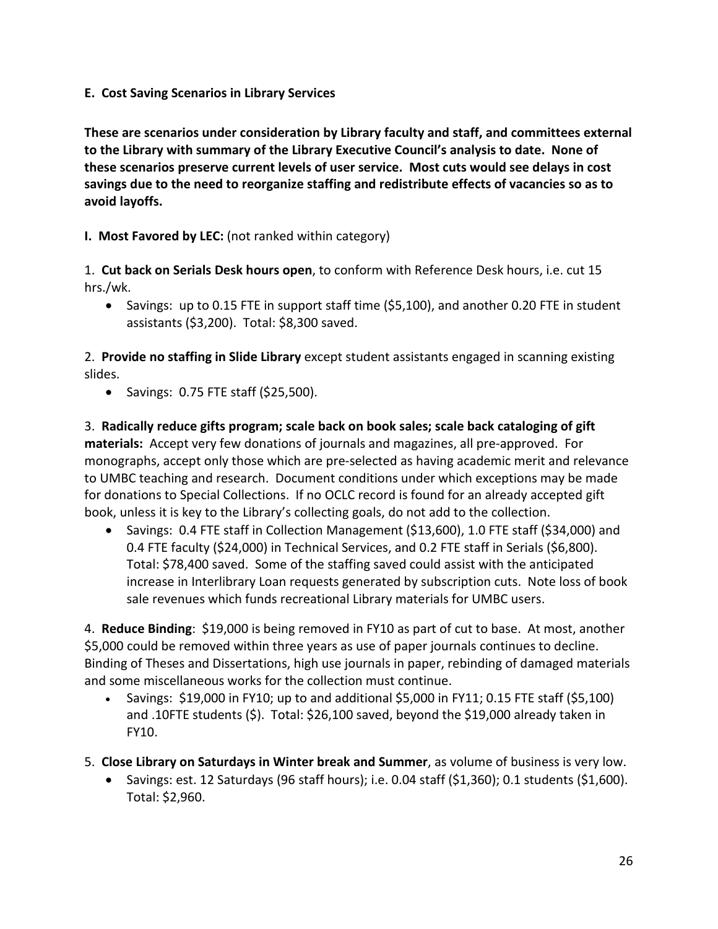**E. Cost Saving Scenarios in Library Services**

**These are scenarios under consideration by Library faculty and staff, and committees external to the Library with summary of the Library Executive Council's analysis to date. None of these scenarios preserve current levels of user service. Most cuts would see delays in cost savings due to the need to reorganize staffing and redistribute effects of vacancies so as to avoid layoffs.**

**I. Most Favored by LEC:** (not ranked within category)

1. **Cut back on Serials Desk hours open**, to conform with Reference Desk hours, i.e. cut 15 hrs./wk.

• Savings: up to 0.15 FTE in support staff time (\$5,100), and another 0.20 FTE in student assistants (\$3,200). Total: \$8,300 saved.

2. **Provide no staffing in Slide Library** except student assistants engaged in scanning existing slides.

• Savings: 0.75 FTE staff (\$25,500).

3. **Radically reduce gifts program; scale back on book sales; scale back cataloging of gift materials:** Accept very few donations of journals and magazines, all pre-approved. For monographs, accept only those which are pre-selected as having academic merit and relevance to UMBC teaching and research. Document conditions under which exceptions may be made for donations to Special Collections. If no OCLC record is found for an already accepted gift book, unless it is key to the Library's collecting goals, do not add to the collection.

• Savings: 0.4 FTE staff in Collection Management (\$13,600), 1.0 FTE staff (\$34,000) and 0.4 FTE faculty (\$24,000) in Technical Services, and 0.2 FTE staff in Serials (\$6,800). Total: \$78,400 saved. Some of the staffing saved could assist with the anticipated increase in Interlibrary Loan requests generated by subscription cuts. Note loss of book sale revenues which funds recreational Library materials for UMBC users.

4. **Reduce Binding**: \$19,000 is being removed in FY10 as part of cut to base. At most, another \$5,000 could be removed within three years as use of paper journals continues to decline. Binding of Theses and Dissertations, high use journals in paper, rebinding of damaged materials and some miscellaneous works for the collection must continue.

- Savings:  $$19,000$  in FY10; up to and additional  $$5,000$  in FY11; 0.15 FTE staff ( $$5,100$ ) and .10FTE students (\$). Total: \$26,100 saved, beyond the \$19,000 already taken in FY10.
- 5. **Close Library on Saturdays in Winter break and Summer**, as volume of business is very low.
	- Savings: est. 12 Saturdays (96 staff hours); i.e. 0.04 staff (\$1,360); 0.1 students (\$1,600). Total: \$2,960.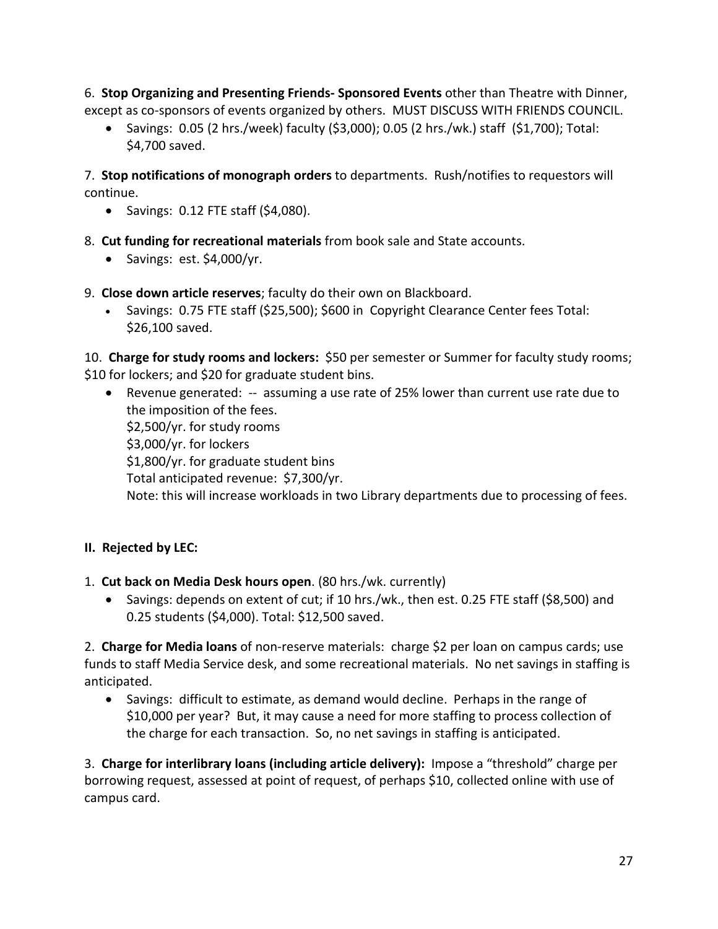6. **Stop Organizing and Presenting Friends- Sponsored Events** other than Theatre with Dinner, except as co-sponsors of events organized by others. MUST DISCUSS WITH FRIENDS COUNCIL.

• Savings: 0.05 (2 hrs./week) faculty (\$3,000); 0.05 (2 hrs./wk.) staff (\$1,700); Total: \$4,700 saved.

7. **Stop notifications of monograph orders** to departments. Rush/notifies to requestors will continue.

- Savings: 0.12 FTE staff (\$4,080).
- 8. **Cut funding for recreational materials** from book sale and State accounts.
	- Savings: est. \$4,000/yr.
- 9. **Close down article reserves**; faculty do their own on Blackboard.
	- Savings: 0.75 FTE staff (\$25,500); \$600 in Copyright Clearance Center fees Total: \$26,100 saved.

10. **Charge for study rooms and lockers:** \$50 per semester or Summer for faculty study rooms; \$10 for lockers; and \$20 for graduate student bins.

• Revenue generated: -- assuming a use rate of 25% lower than current use rate due to the imposition of the fees.

\$2,500/yr. for study rooms \$3,000/yr. for lockers

\$1,800/yr. for graduate student bins

Total anticipated revenue: \$7,300/yr.

Note: this will increase workloads in two Library departments due to processing of fees.

## **II. Rejected by LEC:**

1. **Cut back on Media Desk hours open**. (80 hrs./wk. currently)

• Savings: depends on extent of cut; if 10 hrs./wk., then est. 0.25 FTE staff (\$8,500) and 0.25 students (\$4,000). Total: \$12,500 saved.

2. **Charge for Media loans** of non-reserve materials: charge \$2 per loan on campus cards; use funds to staff Media Service desk, and some recreational materials. No net savings in staffing is anticipated.

• Savings: difficult to estimate, as demand would decline. Perhaps in the range of \$10,000 per year? But, it may cause a need for more staffing to process collection of the charge for each transaction. So, no net savings in staffing is anticipated.

3. **Charge for interlibrary loans (including article delivery):** Impose a "threshold" charge per borrowing request, assessed at point of request, of perhaps \$10, collected online with use of campus card.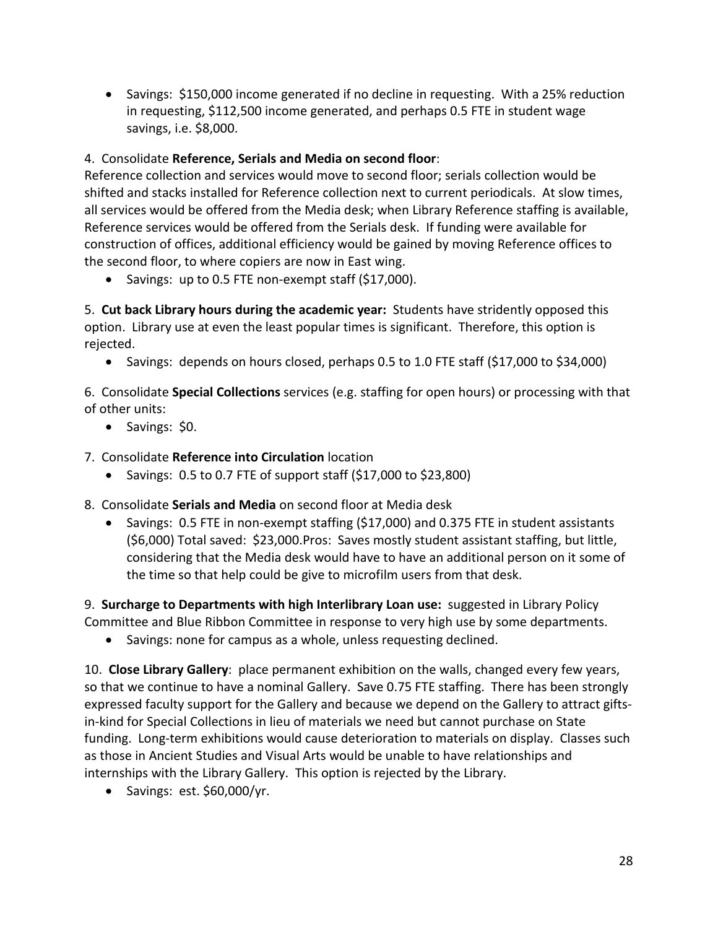• Savings: \$150,000 income generated if no decline in requesting. With a 25% reduction in requesting, \$112,500 income generated, and perhaps 0.5 FTE in student wage savings, i.e. \$8,000.

## 4. Consolidate **Reference, Serials and Media on second floor**:

Reference collection and services would move to second floor; serials collection would be shifted and stacks installed for Reference collection next to current periodicals. At slow times, all services would be offered from the Media desk; when Library Reference staffing is available, Reference services would be offered from the Serials desk. If funding were available for construction of offices, additional efficiency would be gained by moving Reference offices to the second floor, to where copiers are now in East wing.

• Savings: up to 0.5 FTE non-exempt staff (\$17,000).

5. **Cut back Library hours during the academic year:** Students have stridently opposed this option. Library use at even the least popular times is significant. Therefore, this option is rejected.

• Savings: depends on hours closed, perhaps 0.5 to 1.0 FTE staff (\$17,000 to \$34,000)

6. Consolidate **Special Collections** services (e.g. staffing for open hours) or processing with that of other units:

• Savings: \$0.

7. Consolidate **Reference into Circulation** location

• Savings:  $0.5$  to  $0.7$  FTE of support staff  $(517,000)$  to  $523,800$ )

8. Consolidate **Serials and Media** on second floor at Media desk

• Savings: 0.5 FTE in non-exempt staffing (\$17,000) and 0.375 FTE in student assistants (\$6,000) Total saved: \$23,000.Pros: Saves mostly student assistant staffing, but little, considering that the Media desk would have to have an additional person on it some of the time so that help could be give to microfilm users from that desk.

9. **Surcharge to Departments with high Interlibrary Loan use:** suggested in Library Policy Committee and Blue Ribbon Committee in response to very high use by some departments.

• Savings: none for campus as a whole, unless requesting declined.

10. **Close Library Gallery**: place permanent exhibition on the walls, changed every few years, so that we continue to have a nominal Gallery. Save 0.75 FTE staffing. There has been strongly expressed faculty support for the Gallery and because we depend on the Gallery to attract giftsin-kind for Special Collections in lieu of materials we need but cannot purchase on State funding. Long-term exhibitions would cause deterioration to materials on display. Classes such as those in Ancient Studies and Visual Arts would be unable to have relationships and internships with the Library Gallery. This option is rejected by the Library.

• Savings: est. \$60,000/yr.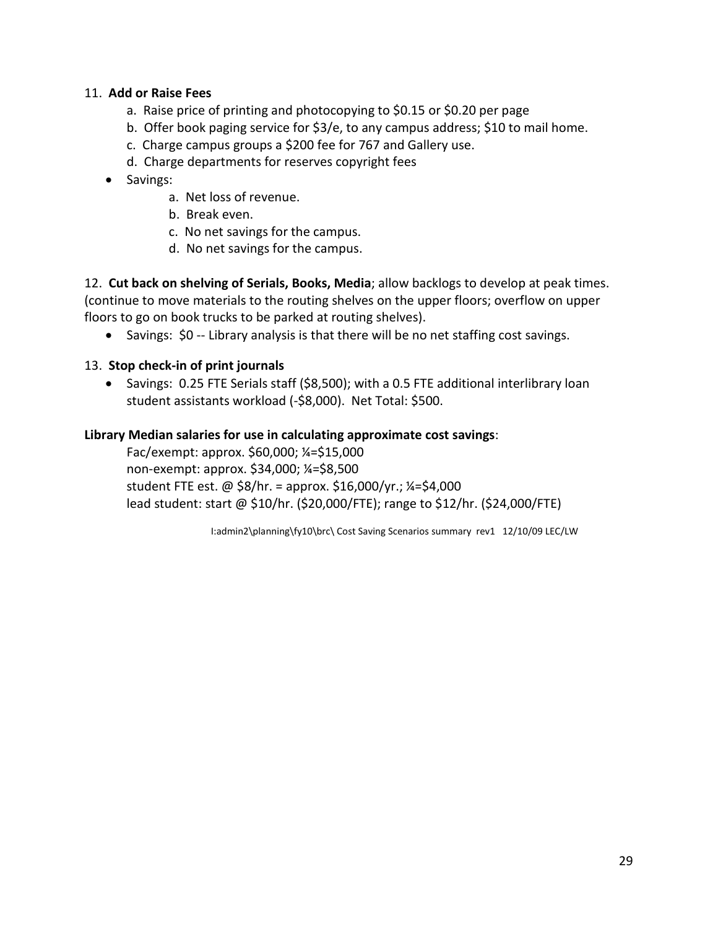#### 11. **Add or Raise Fees**

- a. Raise price of printing and photocopying to \$0.15 or \$0.20 per page
- b. Offer book paging service for \$3/e, to any campus address; \$10 to mail home.
- c. Charge campus groups a \$200 fee for 767 and Gallery use.
- d. Charge departments for reserves copyright fees
- Savings:
	- a. Net loss of revenue.
	- b. Break even.
	- c. No net savings for the campus.
	- d. No net savings for the campus.

12. **Cut back on shelving of Serials, Books, Media**; allow backlogs to develop at peak times. (continue to move materials to the routing shelves on the upper floors; overflow on upper floors to go on book trucks to be parked at routing shelves).

• Savings: \$0 -- Library analysis is that there will be no net staffing cost savings.

#### 13. **Stop check-in of print journals**

• Savings: 0.25 FTE Serials staff (\$8,500); with a 0.5 FTE additional interlibrary loan student assistants workload (-\$8,000). Net Total: \$500.

#### **Library Median salaries for use in calculating approximate cost savings**:

Fac/exempt: approx. \$60,000; ¼=\$15,000 non-exempt: approx. \$34,000; ¼=\$8,500 student FTE est. @ \$8/hr. = approx. \$16,000/yr.; ¼=\$4,000 lead student: start @ \$10/hr. (\$20,000/FTE); range to \$12/hr. (\$24,000/FTE)

I:admin2\planning\fy10\brc\ Cost Saving Scenarios summary rev1 12/10/09 LEC/LW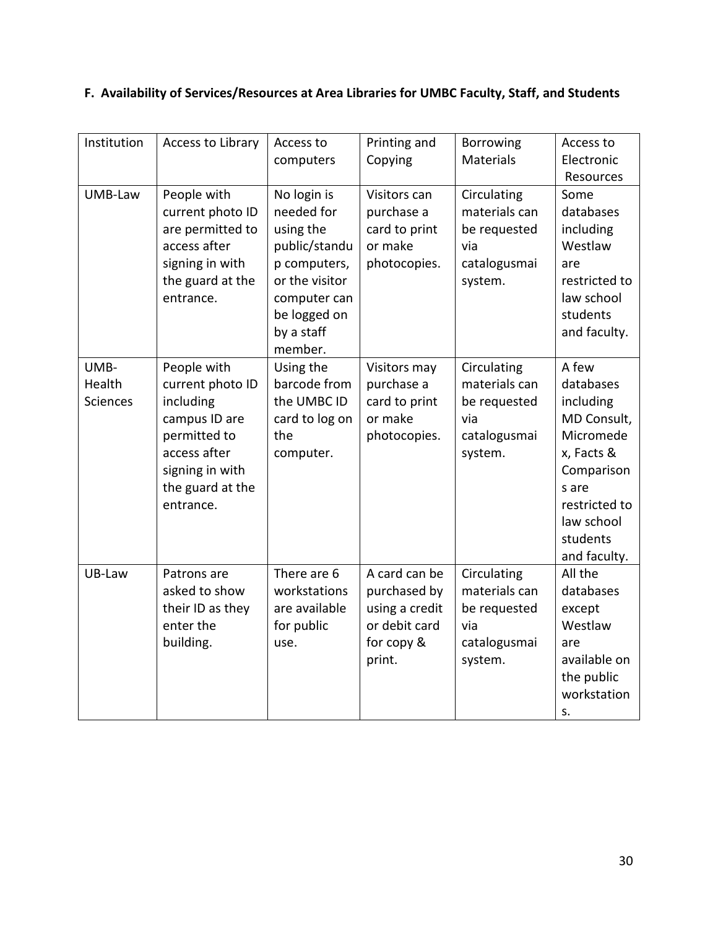## **F. Availability of Services/Resources at Area Libraries for UMBC Faculty, Staff, and Students**

| Institution     | Access to Library | Access to      | Printing and   | Borrowing     | Access to     |
|-----------------|-------------------|----------------|----------------|---------------|---------------|
|                 |                   | computers      | Copying        | Materials     | Electronic    |
|                 |                   |                |                |               | Resources     |
| UMB-Law         | People with       | No login is    | Visitors can   | Circulating   | Some          |
|                 | current photo ID  | needed for     | purchase a     | materials can | databases     |
|                 | are permitted to  | using the      | card to print  | be requested  | including     |
|                 | access after      | public/standu  | or make        | via           | Westlaw       |
|                 | signing in with   | p computers,   | photocopies.   | catalogusmai  | are           |
|                 | the guard at the  | or the visitor |                | system.       | restricted to |
|                 | entrance.         | computer can   |                |               | law school    |
|                 |                   | be logged on   |                |               | students      |
|                 |                   | by a staff     |                |               | and faculty.  |
|                 |                   | member.        |                |               |               |
| UMB-            | People with       | Using the      | Visitors may   | Circulating   | A few         |
| Health          | current photo ID  | barcode from   | purchase a     | materials can | databases     |
| <b>Sciences</b> | including         | the UMBC ID    | card to print  | be requested  | including     |
|                 | campus ID are     | card to log on | or make        | via           | MD Consult,   |
|                 | permitted to      | the            | photocopies.   | catalogusmai  | Micromede     |
|                 | access after      | computer.      |                | system.       | x, Facts &    |
|                 | signing in with   |                |                |               | Comparison    |
|                 | the guard at the  |                |                |               | s are         |
|                 | entrance.         |                |                |               | restricted to |
|                 |                   |                |                |               | law school    |
|                 |                   |                |                |               | students      |
|                 |                   |                |                |               | and faculty.  |
| UB-Law          | Patrons are       | There are 6    | A card can be  | Circulating   | All the       |
|                 | asked to show     | workstations   | purchased by   | materials can | databases     |
|                 | their ID as they  | are available  | using a credit | be requested  | except        |
|                 | enter the         | for public     | or debit card  | via           | Westlaw       |
|                 | building.         | use.           | for copy &     | catalogusmai  | are           |
|                 |                   |                | print.         | system.       | available on  |
|                 |                   |                |                |               | the public    |
|                 |                   |                |                |               | workstation   |
|                 |                   |                |                |               | S.            |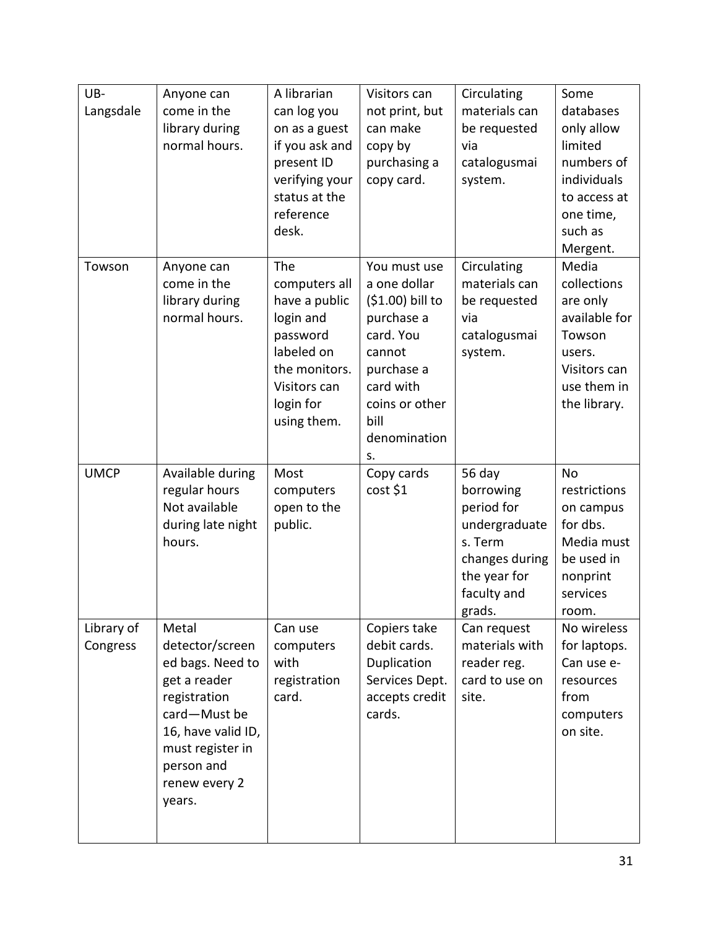| UB-         | Anyone can                         | A librarian            | Visitors can             | Circulating             | Some                  |
|-------------|------------------------------------|------------------------|--------------------------|-------------------------|-----------------------|
| Langsdale   | come in the                        | can log you            | not print, but           | materials can           | databases             |
|             | library during                     | on as a guest          | can make                 | be requested            | only allow            |
|             | normal hours.                      | if you ask and         | copy by                  | via                     | limited               |
|             |                                    | present ID             | purchasing a             | catalogusmai            | numbers of            |
|             |                                    | verifying your         | copy card.               | system.                 | individuals           |
|             |                                    | status at the          |                          |                         | to access at          |
|             |                                    | reference              |                          |                         | one time,             |
|             |                                    | desk.                  |                          |                         | such as               |
|             |                                    |                        |                          |                         | Mergent.              |
| Towson      | Anyone can                         | The                    | You must use             | Circulating             | Media                 |
|             | come in the                        | computers all          | a one dollar             | materials can           | collections           |
|             | library during                     | have a public          | (\$1.00) bill to         | be requested            | are only              |
|             | normal hours.                      | login and              | purchase a               | via                     | available for         |
|             |                                    | password<br>labeled on | card. You<br>cannot      | catalogusmai<br>system. | Towson<br>users.      |
|             |                                    | the monitors.          | purchase a               |                         | Visitors can          |
|             |                                    | Visitors can           | card with                |                         | use them in           |
|             |                                    | login for              | coins or other           |                         | the library.          |
|             |                                    | using them.            | bill                     |                         |                       |
|             |                                    |                        | denomination             |                         |                       |
|             |                                    |                        | s.                       |                         |                       |
|             |                                    |                        |                          |                         |                       |
| <b>UMCP</b> | Available during                   | Most                   | Copy cards               | 56 day                  | <b>No</b>             |
|             | regular hours                      | computers              | cost \$1                 | borrowing               | restrictions          |
|             | Not available                      | open to the            |                          | period for              | on campus             |
|             | during late night                  | public.                |                          | undergraduate           | for dbs.              |
|             | hours.                             |                        |                          | s. Term                 | Media must            |
|             |                                    |                        |                          | changes during          | be used in            |
|             |                                    |                        |                          | the year for            | nonprint              |
|             |                                    |                        |                          | faculty and             | services              |
|             |                                    |                        |                          | grads.                  | room.                 |
| Library of  | Metal                              | Can use                | Copiers take             | Can request             | No wireless           |
| Congress    | detector/screen                    | computers              | debit cards.             | materials with          | for laptops.          |
|             | ed bags. Need to                   | with                   | Duplication              | reader reg.             | Can use e-            |
|             | get a reader                       | registration           | Services Dept.           | card to use on          | resources             |
|             | registration                       | card.                  | accepts credit<br>cards. | site.                   | from                  |
|             | card-Must be<br>16, have valid ID, |                        |                          |                         | computers<br>on site. |
|             | must register in                   |                        |                          |                         |                       |
|             | person and                         |                        |                          |                         |                       |
|             | renew every 2                      |                        |                          |                         |                       |
|             | years.                             |                        |                          |                         |                       |
|             |                                    |                        |                          |                         |                       |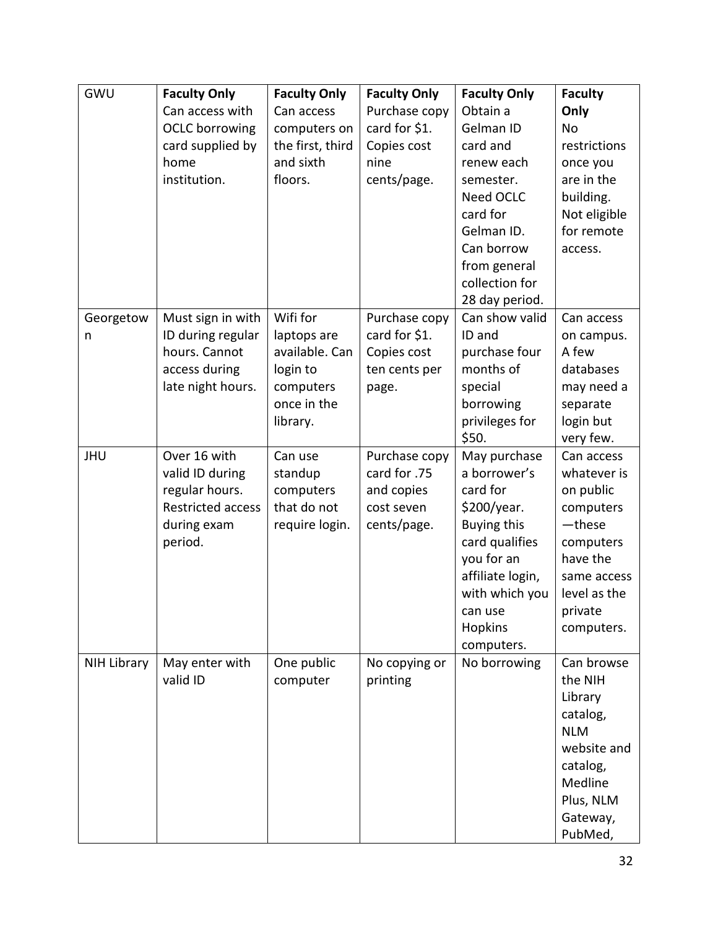| GWU         | <b>Faculty Only</b>                                                              | <b>Faculty Only</b>                                     | <b>Faculty Only</b>                                    | <b>Faculty Only</b>                                                                                                                                       | <b>Faculty</b>                                                                                                                                                                                                                               |
|-------------|----------------------------------------------------------------------------------|---------------------------------------------------------|--------------------------------------------------------|-----------------------------------------------------------------------------------------------------------------------------------------------------------|----------------------------------------------------------------------------------------------------------------------------------------------------------------------------------------------------------------------------------------------|
|             | Can access with                                                                  | Can access                                              | Purchase copy                                          | Obtain a                                                                                                                                                  | Only                                                                                                                                                                                                                                         |
|             | <b>OCLC</b> borrowing                                                            | computers on                                            | card for \$1.                                          | Gelman ID                                                                                                                                                 | <b>No</b>                                                                                                                                                                                                                                    |
|             | card supplied by                                                                 | the first, third                                        | Copies cost                                            | card and                                                                                                                                                  | restrictions                                                                                                                                                                                                                                 |
|             | home                                                                             | and sixth                                               | nine                                                   | renew each                                                                                                                                                | once you                                                                                                                                                                                                                                     |
|             | institution.                                                                     | floors.                                                 | cents/page.                                            | semester.                                                                                                                                                 | are in the                                                                                                                                                                                                                                   |
|             |                                                                                  |                                                         |                                                        | Need OCLC                                                                                                                                                 | building.                                                                                                                                                                                                                                    |
|             |                                                                                  |                                                         |                                                        | card for                                                                                                                                                  | Not eligible                                                                                                                                                                                                                                 |
|             |                                                                                  |                                                         |                                                        | Gelman ID.                                                                                                                                                | for remote                                                                                                                                                                                                                                   |
|             |                                                                                  |                                                         |                                                        | Can borrow                                                                                                                                                | access.                                                                                                                                                                                                                                      |
|             |                                                                                  |                                                         |                                                        | from general                                                                                                                                              |                                                                                                                                                                                                                                              |
|             |                                                                                  |                                                         |                                                        | collection for                                                                                                                                            |                                                                                                                                                                                                                                              |
|             |                                                                                  |                                                         |                                                        | 28 day period.                                                                                                                                            |                                                                                                                                                                                                                                              |
| Georgetow   | Must sign in with                                                                | Wifi for                                                | Purchase copy                                          | Can show valid                                                                                                                                            | Can access                                                                                                                                                                                                                                   |
| n           | ID during regular                                                                | laptops are                                             | card for \$1.                                          | ID and                                                                                                                                                    | on campus.                                                                                                                                                                                                                                   |
|             | hours. Cannot                                                                    | available. Can                                          | Copies cost                                            | purchase four                                                                                                                                             | A few                                                                                                                                                                                                                                        |
|             | access during                                                                    | login to                                                | ten cents per                                          | months of                                                                                                                                                 | databases                                                                                                                                                                                                                                    |
|             | late night hours.                                                                | computers                                               | page.                                                  | special                                                                                                                                                   | may need a                                                                                                                                                                                                                                   |
|             |                                                                                  | once in the                                             |                                                        | borrowing                                                                                                                                                 | separate                                                                                                                                                                                                                                     |
|             |                                                                                  | library.                                                |                                                        | privileges for                                                                                                                                            | login but                                                                                                                                                                                                                                    |
|             |                                                                                  |                                                         |                                                        | \$50.                                                                                                                                                     | very few.                                                                                                                                                                                                                                    |
| <b>JHU</b>  | Over 16 with                                                                     | Can use                                                 | Purchase copy                                          | May purchase                                                                                                                                              | Can access                                                                                                                                                                                                                                   |
|             | valid ID during                                                                  | standup                                                 | card for .75                                           | a borrower's                                                                                                                                              | whatever is                                                                                                                                                                                                                                  |
|             | regular hours.                                                                   | computers                                               | and copies                                             | card for                                                                                                                                                  | on public                                                                                                                                                                                                                                    |
|             |                                                                                  |                                                         |                                                        |                                                                                                                                                           |                                                                                                                                                                                                                                              |
|             |                                                                                  |                                                         |                                                        |                                                                                                                                                           |                                                                                                                                                                                                                                              |
|             |                                                                                  |                                                         |                                                        |                                                                                                                                                           |                                                                                                                                                                                                                                              |
|             |                                                                                  |                                                         |                                                        |                                                                                                                                                           |                                                                                                                                                                                                                                              |
|             |                                                                                  |                                                         |                                                        |                                                                                                                                                           |                                                                                                                                                                                                                                              |
|             |                                                                                  |                                                         |                                                        |                                                                                                                                                           |                                                                                                                                                                                                                                              |
|             |                                                                                  |                                                         |                                                        | can use                                                                                                                                                   |                                                                                                                                                                                                                                              |
|             |                                                                                  |                                                         |                                                        |                                                                                                                                                           |                                                                                                                                                                                                                                              |
|             |                                                                                  |                                                         |                                                        |                                                                                                                                                           |                                                                                                                                                                                                                                              |
|             |                                                                                  |                                                         |                                                        |                                                                                                                                                           |                                                                                                                                                                                                                                              |
|             |                                                                                  |                                                         |                                                        |                                                                                                                                                           |                                                                                                                                                                                                                                              |
|             |                                                                                  |                                                         |                                                        |                                                                                                                                                           |                                                                                                                                                                                                                                              |
|             |                                                                                  |                                                         |                                                        |                                                                                                                                                           |                                                                                                                                                                                                                                              |
|             |                                                                                  |                                                         |                                                        |                                                                                                                                                           |                                                                                                                                                                                                                                              |
|             |                                                                                  |                                                         |                                                        |                                                                                                                                                           |                                                                                                                                                                                                                                              |
|             |                                                                                  |                                                         |                                                        |                                                                                                                                                           |                                                                                                                                                                                                                                              |
|             |                                                                                  |                                                         |                                                        |                                                                                                                                                           |                                                                                                                                                                                                                                              |
|             |                                                                                  |                                                         |                                                        |                                                                                                                                                           |                                                                                                                                                                                                                                              |
|             |                                                                                  |                                                         |                                                        |                                                                                                                                                           |                                                                                                                                                                                                                                              |
| NIH Library | <b>Restricted access</b><br>during exam<br>period.<br>May enter with<br>valid ID | that do not<br>require login.<br>One public<br>computer | cost seven<br>cents/page.<br>No copying or<br>printing | $$200/year$ .<br><b>Buying this</b><br>card qualifies<br>you for an<br>affiliate login,<br>with which you<br><b>Hopkins</b><br>computers.<br>No borrowing | computers<br>-these<br>computers<br>have the<br>same access<br>level as the<br>private<br>computers.<br>Can browse<br>the NIH<br>Library<br>catalog,<br><b>NLM</b><br>website and<br>catalog,<br>Medline<br>Plus, NLM<br>Gateway,<br>PubMed, |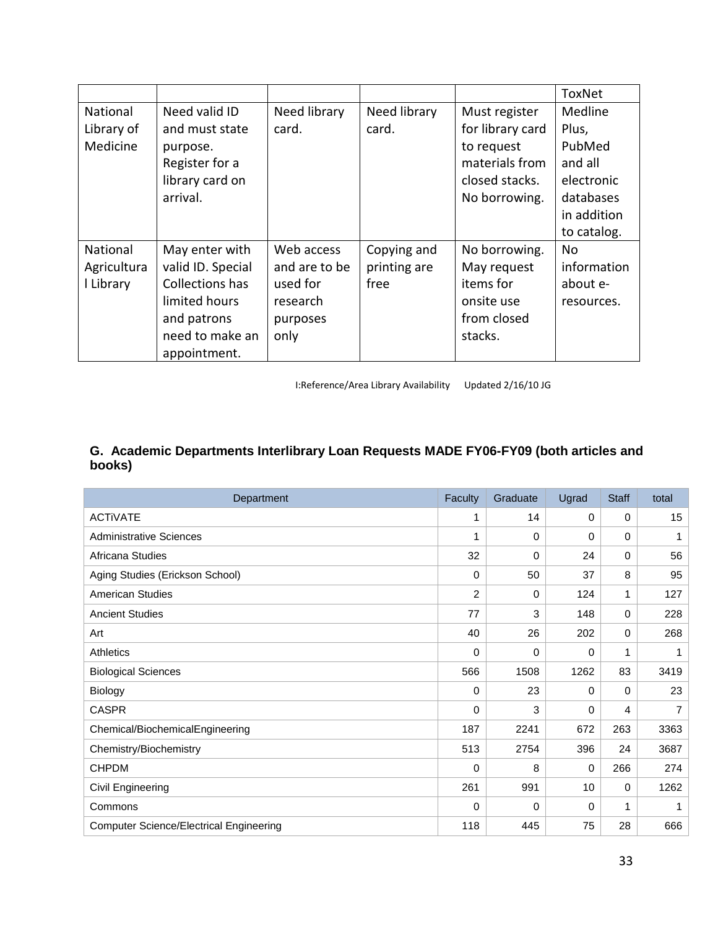|             |                   |               |              |                  | ToxNet      |
|-------------|-------------------|---------------|--------------|------------------|-------------|
| National    | Need valid ID     | Need library  | Need library | Must register    | Medline     |
| Library of  | and must state    | card.         | card.        | for library card | Plus,       |
| Medicine    | purpose.          |               |              | to request       | PubMed      |
|             | Register for a    |               |              | materials from   | and all     |
|             | library card on   |               |              | closed stacks.   | electronic  |
|             | arrival.          |               |              | No borrowing.    | databases   |
|             |                   |               |              |                  | in addition |
|             |                   |               |              |                  | to catalog. |
| National    | May enter with    | Web access    | Copying and  | No borrowing.    | No.         |
| Agricultura | valid ID. Special | and are to be | printing are | May request      | information |
| I Library   | Collections has   | used for      | free         | items for        | about e-    |
|             | limited hours     | research      |              | onsite use       | resources.  |
|             | and patrons       | purposes      |              | from closed      |             |
|             | need to make an   | only          |              | stacks.          |             |
|             | appointment.      |               |              |                  |             |

I:Reference/Area Library Availability Updated 2/16/10 JG

## **G. Academic Departments Interlibrary Loan Requests MADE FY06-FY09 (both articles and books)**

| Department                                     | Faculty        | Graduate | Ugrad    | <b>Staff</b> | total           |
|------------------------------------------------|----------------|----------|----------|--------------|-----------------|
| <b>ACTIVATE</b>                                | 1              | 14       | $\Omega$ | $\Omega$     | 15 <sub>1</sub> |
| <b>Administrative Sciences</b>                 | 1              | 0        | $\Omega$ | 0            | 1               |
| Africana Studies                               | 32             | 0        | 24       | $\Omega$     | 56              |
| Aging Studies (Erickson School)                | 0              | 50       | 37       | 8            | 95              |
| <b>American Studies</b>                        | $\overline{c}$ | 0        | 124      | 1            | 127             |
| <b>Ancient Studies</b>                         | 77             | 3        | 148      | $\mathbf 0$  | 228             |
| Art                                            | 40             | 26       | 202      | $\Omega$     | 268             |
| Athletics                                      | $\Omega$       | 0        | $\Omega$ | 1            | 1               |
| <b>Biological Sciences</b>                     | 566            | 1508     | 1262     | 83           | 3419            |
| Biology                                        | 0              | 23       | $\Omega$ | 0            | 23              |
| <b>CASPR</b>                                   | 0              | 3        | $\Omega$ | 4            | $\overline{7}$  |
| Chemical/BiochemicalEngineering                | 187            | 2241     | 672      | 263          | 3363            |
| Chemistry/Biochemistry                         | 513            | 2754     | 396      | 24           | 3687            |
| <b>CHPDM</b>                                   | 0              | 8        | 0        | 266          | 274             |
| Civil Engineering                              | 261            | 991      | 10       | 0            | 1262            |
| Commons                                        | 0              | 0        | 0        | 1            | 1               |
| <b>Computer Science/Electrical Engineering</b> | 118            | 445      | 75       | 28           | 666             |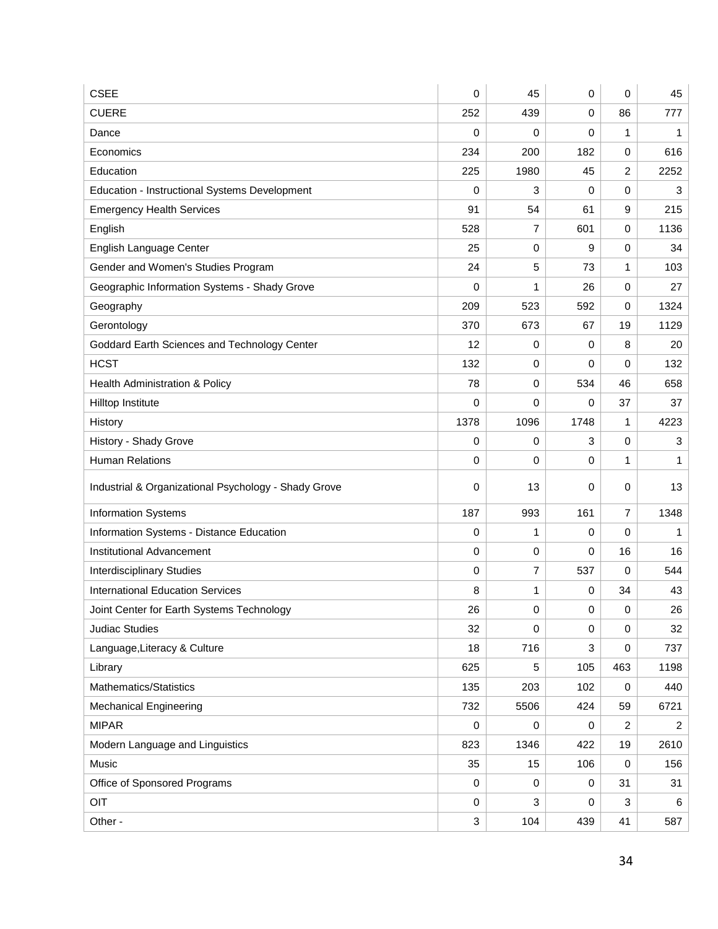| <b>CSEE</b>                                          | 0           | 45             | 0           | 0              | 45             |
|------------------------------------------------------|-------------|----------------|-------------|----------------|----------------|
| <b>CUERE</b>                                         | 252         | 439            | $\mathbf 0$ | 86             | 777            |
| Dance                                                | 0           | 0              | 0           | 1              | 1              |
| Economics                                            | 234         | 200            | 182         | $\mathbf 0$    | 616            |
| Education                                            | 225         | 1980           | 45          | $\overline{2}$ | 2252           |
| Education - Instructional Systems Development        | 0           | 3              | 0           | $\mathbf 0$    | 3              |
| <b>Emergency Health Services</b>                     | 91          | 54             | 61          | 9              | 215            |
| English                                              | 528         | 7              | 601         | $\mathbf 0$    | 1136           |
| English Language Center                              | 25          | 0              | 9           | 0              | 34             |
| Gender and Women's Studies Program                   | 24          | 5              | 73          | 1              | 103            |
| Geographic Information Systems - Shady Grove         | 0           | 1              | 26          | 0              | 27             |
| Geography                                            | 209         | 523            | 592         | 0              | 1324           |
| Gerontology                                          | 370         | 673            | 67          | 19             | 1129           |
| Goddard Earth Sciences and Technology Center         | 12          | 0              | 0           | 8              | 20             |
| <b>HCST</b>                                          | 132         | 0              | 0           | 0              | 132            |
| Health Administration & Policy                       | 78          | $\mathbf 0$    | 534         | 46             | 658            |
| Hilltop Institute                                    | 0           | 0              | 0           | 37             | 37             |
| History                                              | 1378        | 1096           | 1748        | 1              | 4223           |
| History - Shady Grove                                | 0           | 0              | 3           | 0              | 3              |
| <b>Human Relations</b>                               | 0           | 0              | $\mathbf 0$ | $\mathbf{1}$   | $\mathbf 1$    |
| Industrial & Organizational Psychology - Shady Grove | 0           | 13             | 0           | 0              | 13             |
| <b>Information Systems</b>                           | 187         | 993            | 161         | 7              | 1348           |
| Information Systems - Distance Education             | 0           | 1              | $\mathbf 0$ | 0              | $\mathbf{1}$   |
| Institutional Advancement                            | 0           | 0              | $\mathbf 0$ | 16             | 16             |
| <b>Interdisciplinary Studies</b>                     | 0           | $\overline{7}$ | 537         | 0              | 544            |
| <b>International Education Services</b>              | 8           | 1              | 0           | 34             | 43             |
| Joint Center for Earth Systems Technology            | 26          | 0              | 0           | $\pmb{0}$      | 26             |
| <b>Judiac Studies</b>                                | 32          | $\mathbf 0$    | $\mathbf 0$ | $\mathbf 0$    | 32             |
| Language, Literacy & Culture                         | 18          | 716            | 3           | 0              | 737            |
| Library                                              | 625         | 5              | 105         | 463            | 1198           |
| Mathematics/Statistics                               | 135         | 203            | 102         | 0              | 440            |
| <b>Mechanical Engineering</b>                        | 732         | 5506           | 424         | 59             | 6721           |
| <b>MIPAR</b>                                         | 0           | 0              | $\mathbf 0$ | $\overline{2}$ | $\overline{2}$ |
| Modern Language and Linguistics                      | 823         | 1346           | 422         | 19             | 2610           |
| Music                                                | 35          | 15             | 106         | 0              | 156            |
| Office of Sponsored Programs                         | $\mathbf 0$ | 0              | $\mathbf 0$ | 31             | 31             |
| OIT                                                  | 0           | 3              | 0           | 3              | 6              |
| Other -                                              | 3           | 104            | 439         | 41             | 587            |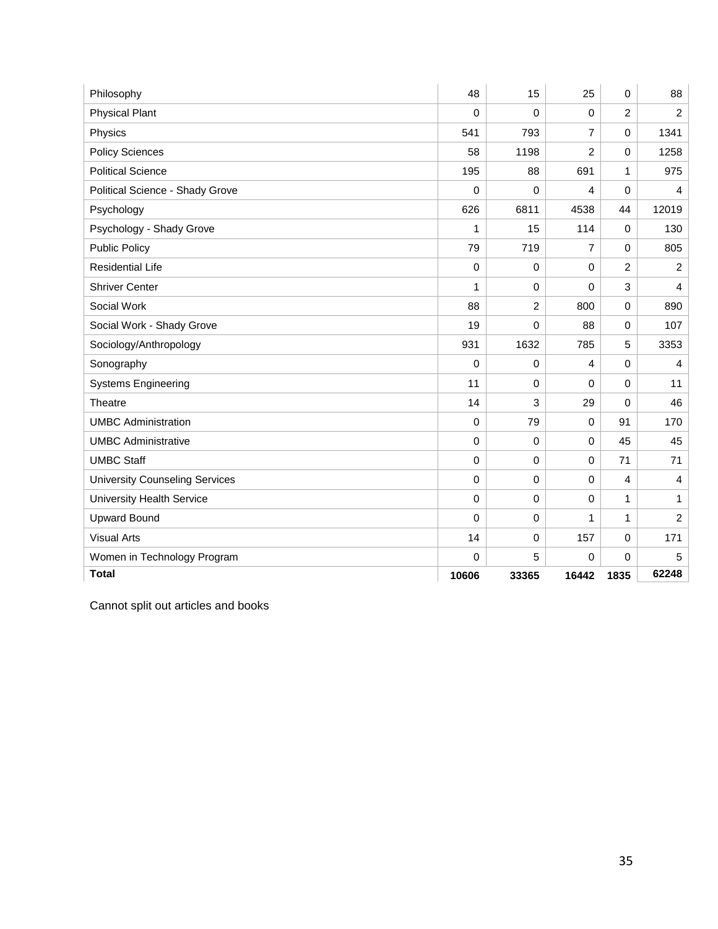| Philosophy                            | 48          | 15             | 25             | 0              | 88               |
|---------------------------------------|-------------|----------------|----------------|----------------|------------------|
| <b>Physical Plant</b>                 | 0           | 0              | $\mathbf 0$    | $\overline{2}$ | $\overline{c}$   |
| Physics                               | 541         | 793            | $\overline{7}$ | $\mathbf 0$    | 1341             |
| <b>Policy Sciences</b>                | 58          | 1198           | $\overline{2}$ | $\mathbf 0$    | 1258             |
| <b>Political Science</b>              | 195         | 88             | 691            | 1              | 975              |
| Political Science - Shady Grove       | 0           | 0              | 4              | 0              | 4                |
| Psychology                            | 626         | 6811           | 4538           | 44             | 12019            |
| Psychology - Shady Grove              | 1           | 15             | 114            | $\mathbf 0$    | 130              |
| <b>Public Policy</b>                  | 79          | 719            | $\overline{7}$ | 0              | 805              |
| <b>Residential Life</b>               | $\mathbf 0$ | 0              | $\mathbf 0$    | $\overline{2}$ | 2                |
| <b>Shriver Center</b>                 | 1           | 0              | 0              | 3              | 4                |
| Social Work                           | 88          | $\overline{c}$ | 800            | $\mathbf 0$    | 890              |
| Social Work - Shady Grove             | 19          | 0              | 88             | 0              | 107              |
| Sociology/Anthropology                | 931         | 1632           | 785            | 5              | 3353             |
| Sonography                            | 0           | 0              | $\overline{4}$ | $\mathbf 0$    | $\overline{4}$   |
| <b>Systems Engineering</b>            | 11          | 0              | 0              | $\mathbf 0$    | 11               |
| Theatre                               | 14          | 3              | 29             | $\mathbf 0$    | 46               |
| <b>UMBC Administration</b>            | 0           | 79             | $\mathbf 0$    | 91             | 170              |
| <b>UMBC Administrative</b>            | 0           | 0              | $\mathbf 0$    | 45             | 45               |
| <b>UMBC Staff</b>                     | 0           | 0              | $\mathbf 0$    | 71             | 71               |
| <b>University Counseling Services</b> | 0           | 0              | 0              | 4              | 4                |
| <b>University Health Service</b>      | $\pmb{0}$   | 0              | $\mathbf 0$    | $\mathbf{1}$   | 1                |
| <b>Upward Bound</b>                   | 0           | 0              | 1              | 1              | $\boldsymbol{2}$ |
| <b>Visual Arts</b>                    | 14          | 0              | 157            | $\mathbf 0$    | 171              |
| Women in Technology Program           | 0           | 5              | $\Omega$       | 0              | 5                |
| <b>Total</b>                          | 10606       | 33365          | 16442          | 1835           | 62248            |

Cannot split out articles and books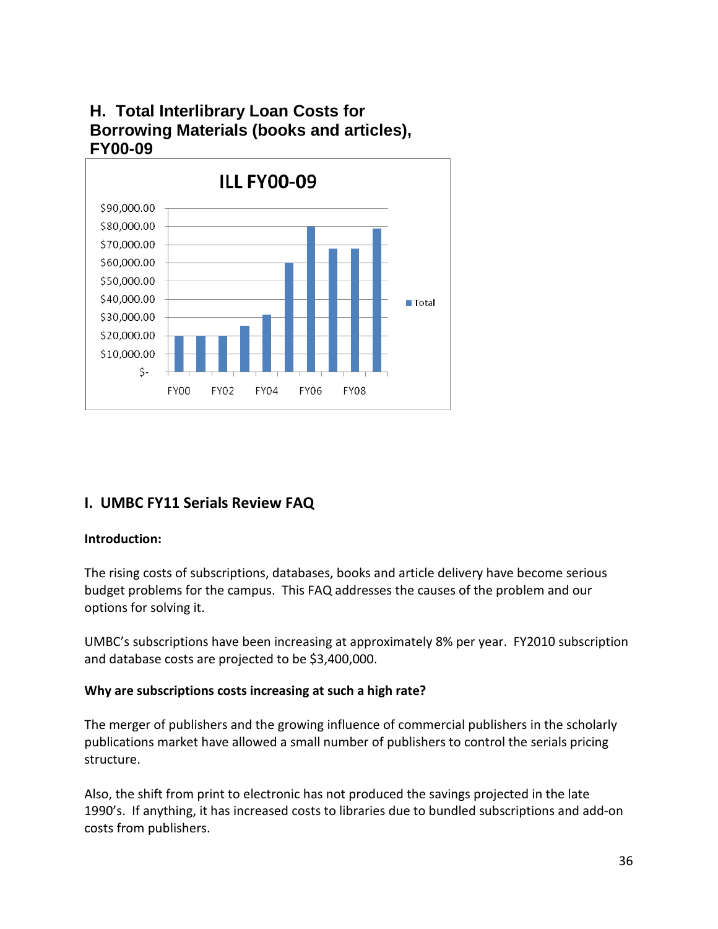# **H. Total Interlibrary Loan Costs for Borrowing Materials (books and articles), FY00-09**



## **I. UMBC FY11 Serials Review FAQ**

## **Introduction:**

The rising costs of subscriptions, databases, books and article delivery have become serious budget problems for the campus. This FAQ addresses the causes of the problem and our options for solving it.

UMBC's subscriptions have been increasing at approximately 8% per year. FY2010 subscription and database costs are projected to be \$3,400,000.

#### **Why are subscriptions costs increasing at such a high rate?**

The merger of publishers and the growing influence of commercial publishers in the scholarly publications market have allowed a small number of publishers to control the serials pricing structure.

Also, the shift from print to electronic has not produced the savings projected in the late 1990's. If anything, it has increased costs to libraries due to bundled subscriptions and add-on costs from publishers.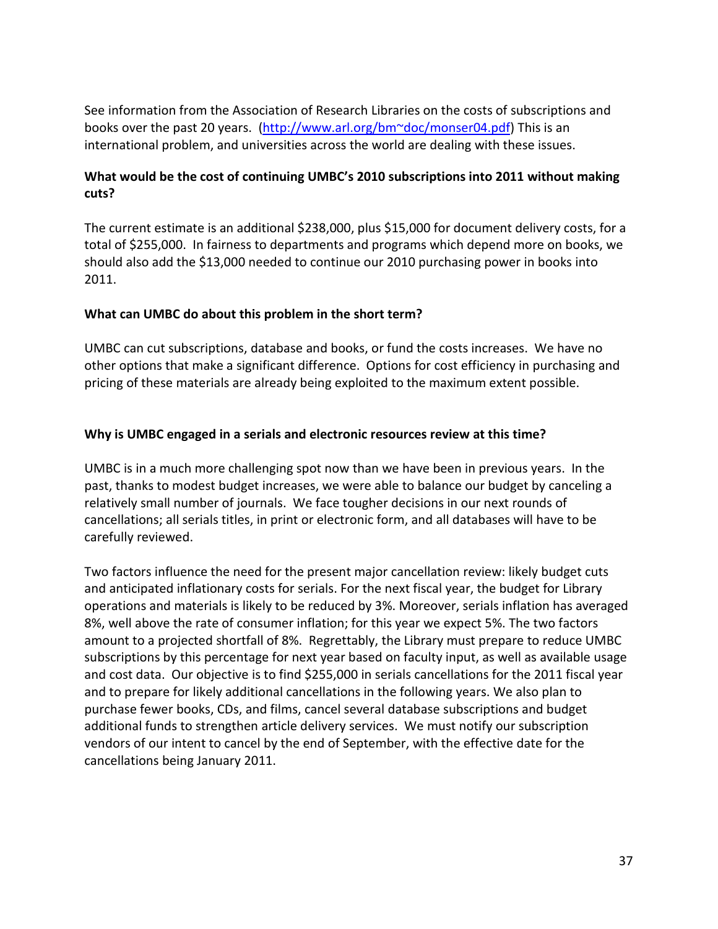See information from the Association of Research Libraries on the costs of subscriptions and books over the past 20 years. [\(http://www.arl.org/bm~doc/monser04.pdf\)](http://www.arl.org/bm~doc/monser04.pdf) This is an international problem, and universities across the world are dealing with these issues.

#### **What would be the cost of continuing UMBC's 2010 subscriptions into 2011 without making cuts?**

The current estimate is an additional \$238,000, plus \$15,000 for document delivery costs, for a total of \$255,000. In fairness to departments and programs which depend more on books, we should also add the \$13,000 needed to continue our 2010 purchasing power in books into 2011.

#### **What can UMBC do about this problem in the short term?**

UMBC can cut subscriptions, database and books, or fund the costs increases. We have no other options that make a significant difference. Options for cost efficiency in purchasing and pricing of these materials are already being exploited to the maximum extent possible.

#### **Why is UMBC engaged in a serials and electronic resources review at this time?**

UMBC is in a much more challenging spot now than we have been in previous years. In the past, thanks to modest budget increases, we were able to balance our budget by canceling a relatively small number of journals. We face tougher decisions in our next rounds of cancellations; all serials titles, in print or electronic form, and all databases will have to be carefully reviewed.

Two factors influence the need for the present major cancellation review: likely budget cuts and anticipated inflationary costs for serials. For the next fiscal year, the budget for Library operations and materials is likely to be reduced by 3%. Moreover, serials inflation has averaged 8%, well above the rate of consumer inflation; for this year we expect 5%. The two factors amount to a projected shortfall of 8%. Regrettably, the Library must prepare to reduce UMBC subscriptions by this percentage for next year based on faculty input, as well as available usage and cost data. Our objective is to find \$255,000 in serials cancellations for the 2011 fiscal year and to prepare for likely additional cancellations in the following years. We also plan to purchase fewer books, CDs, and films, cancel several database subscriptions and budget additional funds to strengthen article delivery services. We must notify our subscription vendors of our intent to cancel by the end of September, with the effective date for the cancellations being January 2011.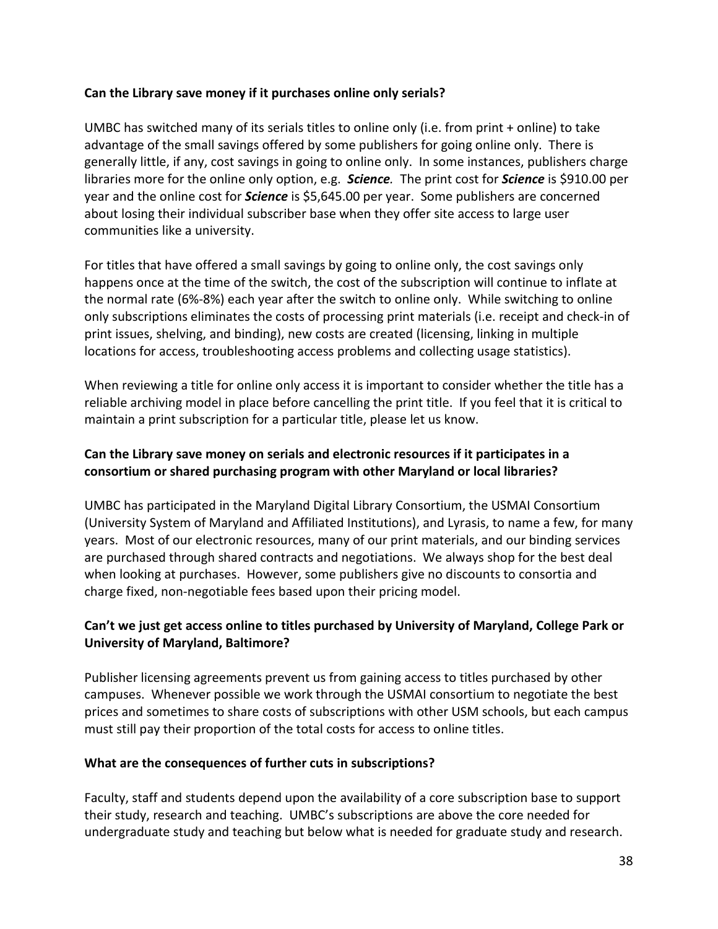#### **Can the Library save money if it purchases online only serials?**

UMBC has switched many of its serials titles to online only (i.e. from print + online) to take advantage of the small savings offered by some publishers for going online only. There is generally little, if any, cost savings in going to online only. In some instances, publishers charge libraries more for the online only option, e.g. *Science.* The print cost for *Science* is \$910.00 per year and the online cost for *Science* is \$5,645.00 per year. Some publishers are concerned about losing their individual subscriber base when they offer site access to large user communities like a university.

For titles that have offered a small savings by going to online only, the cost savings only happens once at the time of the switch, the cost of the subscription will continue to inflate at the normal rate (6%-8%) each year after the switch to online only. While switching to online only subscriptions eliminates the costs of processing print materials (i.e. receipt and check-in of print issues, shelving, and binding), new costs are created (licensing, linking in multiple locations for access, troubleshooting access problems and collecting usage statistics).

When reviewing a title for online only access it is important to consider whether the title has a reliable archiving model in place before cancelling the print title. If you feel that it is critical to maintain a print subscription for a particular title, please let us know.

#### **Can the Library save money on serials and electronic resources if it participates in a consortium or shared purchasing program with other Maryland or local libraries?**

UMBC has participated in the Maryland Digital Library Consortium, the USMAI Consortium (University System of Maryland and Affiliated Institutions), and Lyrasis, to name a few, for many years. Most of our electronic resources, many of our print materials, and our binding services are purchased through shared contracts and negotiations. We always shop for the best deal when looking at purchases. However, some publishers give no discounts to consortia and charge fixed, non-negotiable fees based upon their pricing model.

#### **Can't we just get access online to titles purchased by University of Maryland, College Park or University of Maryland, Baltimore?**

Publisher licensing agreements prevent us from gaining access to titles purchased by other campuses. Whenever possible we work through the USMAI consortium to negotiate the best prices and sometimes to share costs of subscriptions with other USM schools, but each campus must still pay their proportion of the total costs for access to online titles.

#### **What are the consequences of further cuts in subscriptions?**

Faculty, staff and students depend upon the availability of a core subscription base to support their study, research and teaching. UMBC's subscriptions are above the core needed for undergraduate study and teaching but below what is needed for graduate study and research.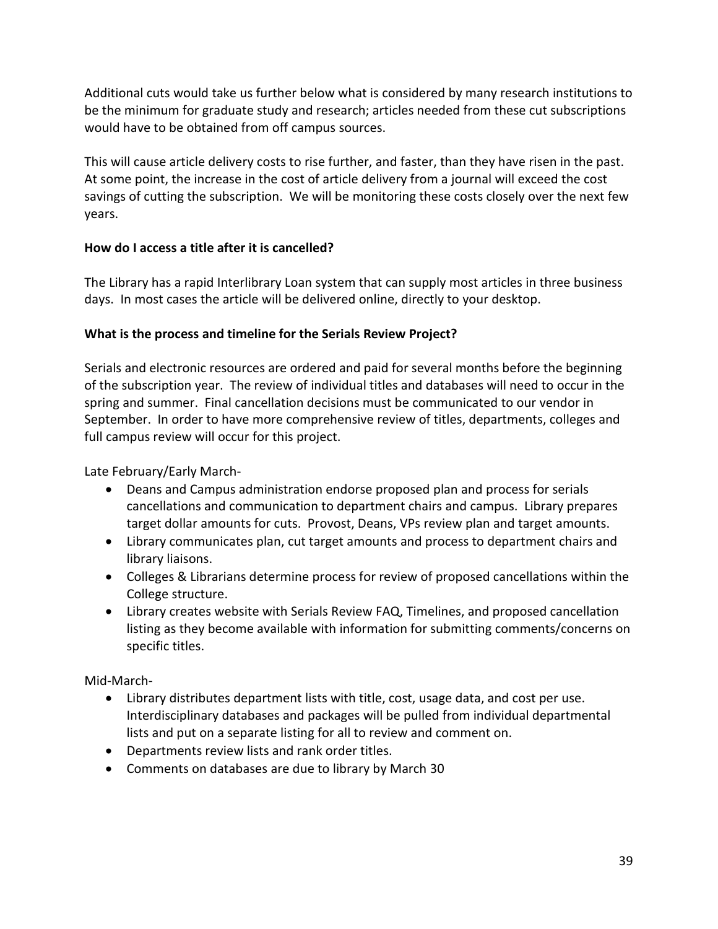Additional cuts would take us further below what is considered by many research institutions to be the minimum for graduate study and research; articles needed from these cut subscriptions would have to be obtained from off campus sources.

This will cause article delivery costs to rise further, and faster, than they have risen in the past. At some point, the increase in the cost of article delivery from a journal will exceed the cost savings of cutting the subscription. We will be monitoring these costs closely over the next few years.

#### **How do I access a title after it is cancelled?**

The Library has a rapid Interlibrary Loan system that can supply most articles in three business days. In most cases the article will be delivered online, directly to your desktop.

#### **What is the process and timeline for the Serials Review Project?**

Serials and electronic resources are ordered and paid for several months before the beginning of the subscription year. The review of individual titles and databases will need to occur in the spring and summer. Final cancellation decisions must be communicated to our vendor in September. In order to have more comprehensive review of titles, departments, colleges and full campus review will occur for this project.

Late February/Early March-

- Deans and Campus administration endorse proposed plan and process for serials cancellations and communication to department chairs and campus. Library prepares target dollar amounts for cuts. Provost, Deans, VPs review plan and target amounts.
- Library communicates plan, cut target amounts and process to department chairs and library liaisons.
- Colleges & Librarians determine process for review of proposed cancellations within the College structure.
- Library creates website with Serials Review FAQ, Timelines, and proposed cancellation listing as they become available with information for submitting comments/concerns on specific titles.

Mid-March-

- Library distributes department lists with title, cost, usage data, and cost per use. Interdisciplinary databases and packages will be pulled from individual departmental lists and put on a separate listing for all to review and comment on.
- Departments review lists and rank order titles.
- Comments on databases are due to library by March 30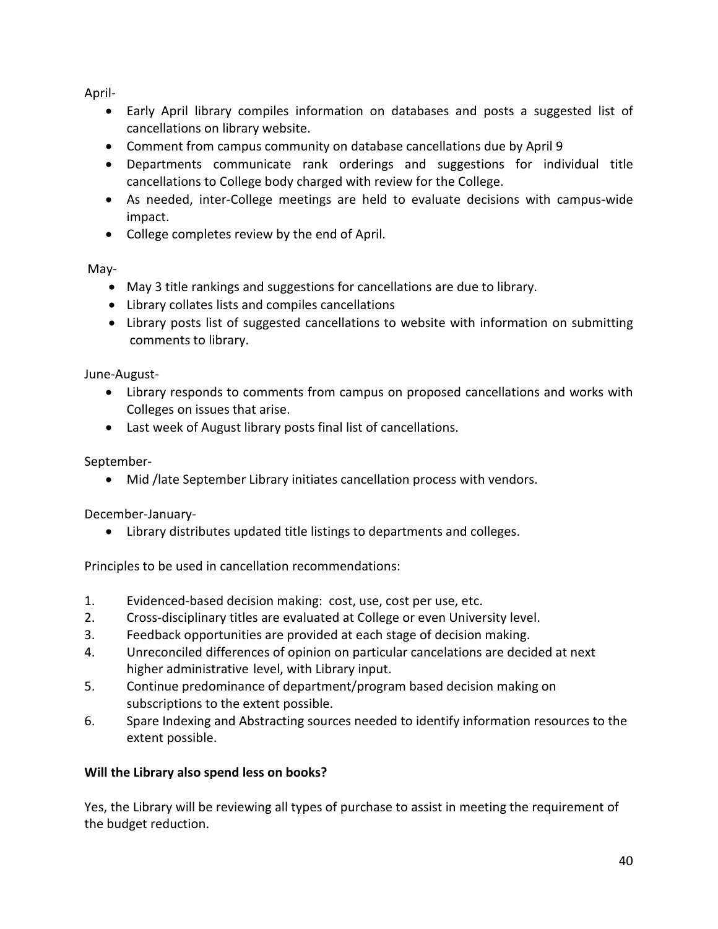April-

- Early April library compiles information on databases and posts a suggested list of cancellations on library website.
- Comment from campus community on database cancellations due by April 9
- Departments communicate rank orderings and suggestions for individual title cancellations to College body charged with review for the College.
- As needed, inter-College meetings are held to evaluate decisions with campus-wide impact.
- College completes review by the end of April.

May-

- May 3 title rankings and suggestions for cancellations are due to library.
- Library collates lists and compiles cancellations
- Library posts list of suggested cancellations to website with information on submitting comments to library.

June-August-

- Library responds to comments from campus on proposed cancellations and works with Colleges on issues that arise.
- Last week of August library posts final list of cancellations.

September-

• Mid /late September Library initiates cancellation process with vendors.

December-January-

• Library distributes updated title listings to departments and colleges.

Principles to be used in cancellation recommendations:

- 1. Evidenced-based decision making: cost, use, cost per use, etc.
- 2. Cross-disciplinary titles are evaluated at College or even University level.
- 3. Feedback opportunities are provided at each stage of decision making.
- 4. Unreconciled differences of opinion on particular cancelations are decided at next higher administrative level, with Library input.
- 5. Continue predominance of department/program based decision making on subscriptions to the extent possible.
- 6. Spare Indexing and Abstracting sources needed to identify information resources to the extent possible.

## **Will the Library also spend less on books?**

Yes, the Library will be reviewing all types of purchase to assist in meeting the requirement of the budget reduction.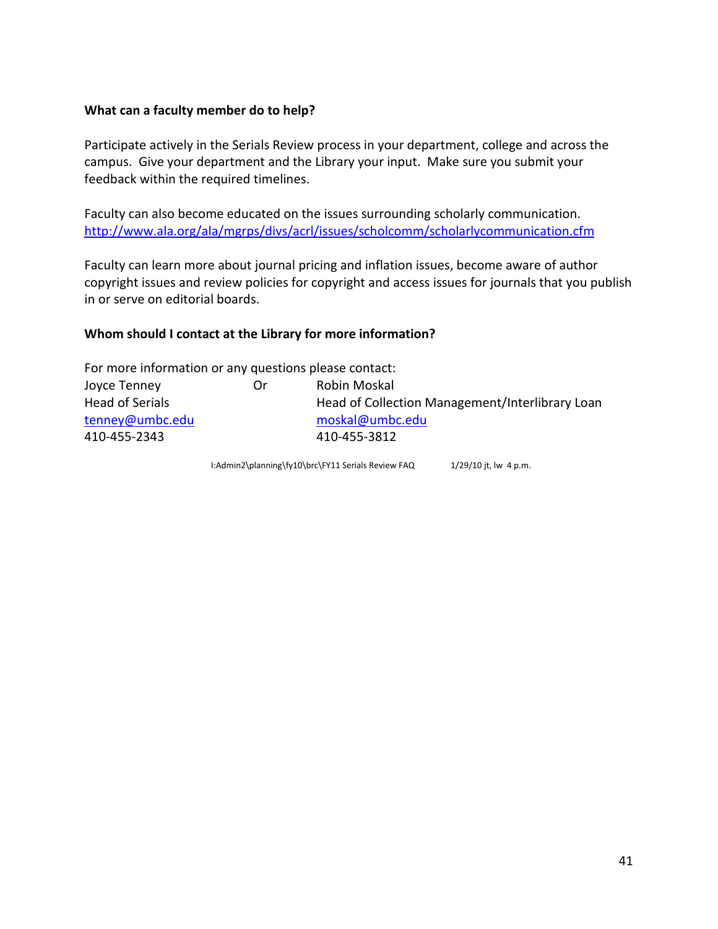#### **What can a faculty member do to help?**

Participate actively in the Serials Review process in your department, college and across the campus. Give your department and the Library your input. Make sure you submit your feedback within the required timelines.

Faculty can also become educated on the issues surrounding scholarly communication. <http://www.ala.org/ala/mgrps/divs/acrl/issues/scholcomm/scholarlycommunication.cfm>

Faculty can learn more about journal pricing and inflation issues, become aware of author copyright issues and review policies for copyright and access issues for journals that you publish in or serve on editorial boards.

#### **Whom should I contact at the Library for more information?**

| For more information or any questions please contact: |    |                                                 |
|-------------------------------------------------------|----|-------------------------------------------------|
| Joyce Tenney                                          | Or | Robin Moskal                                    |
| Head of Serials                                       |    | Head of Collection Management/Interlibrary Loan |
| tenney@umbc.edu                                       |    | moskal@umbc.edu                                 |
| 410-455-2343                                          |    | 410-455-3812                                    |

I:Admin2\planning\fy10\brc\FY11 Serials Review FAQ 1/29/10 jt, lw 4 p.m.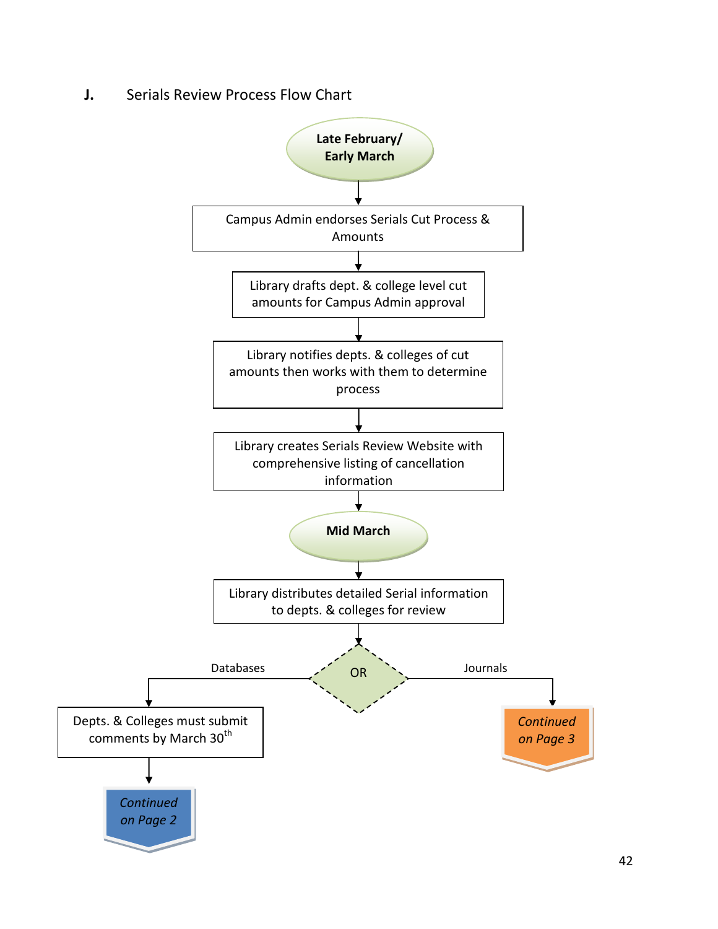**J.** Serials Review Process Flow Chart

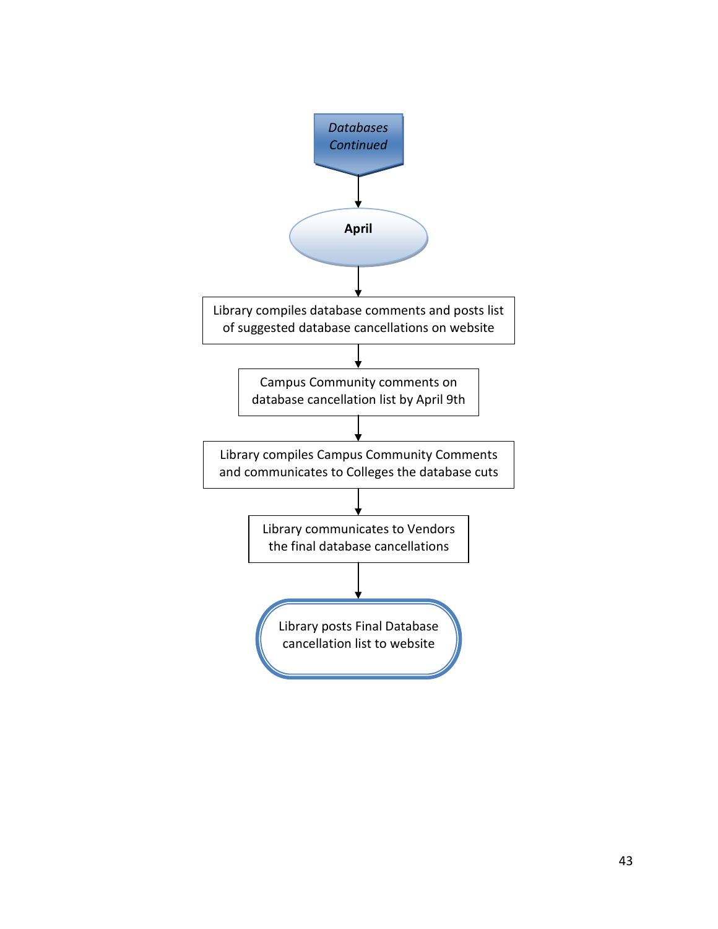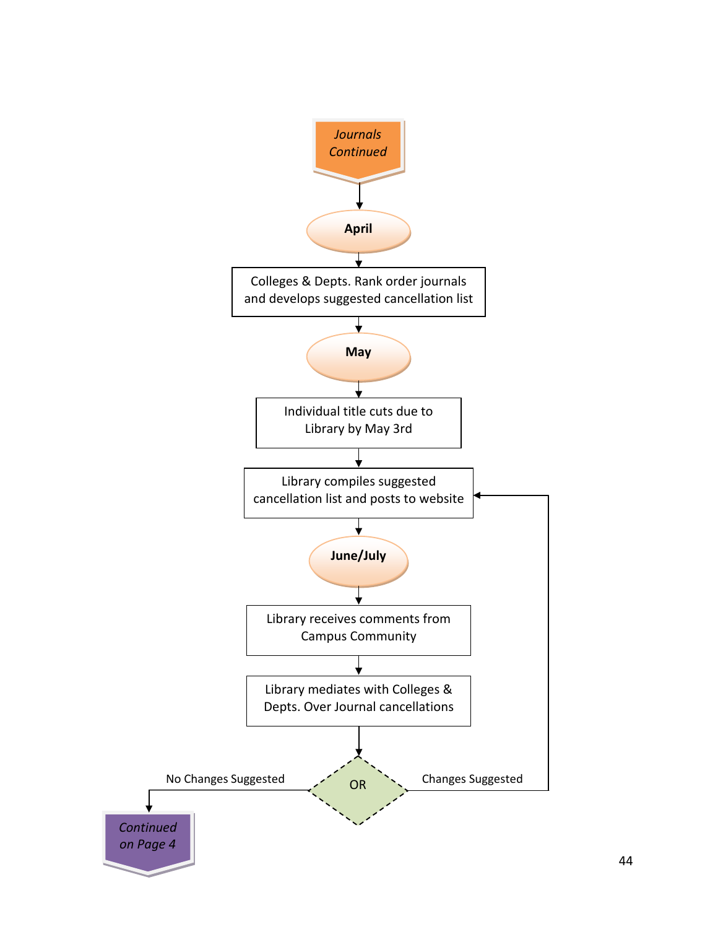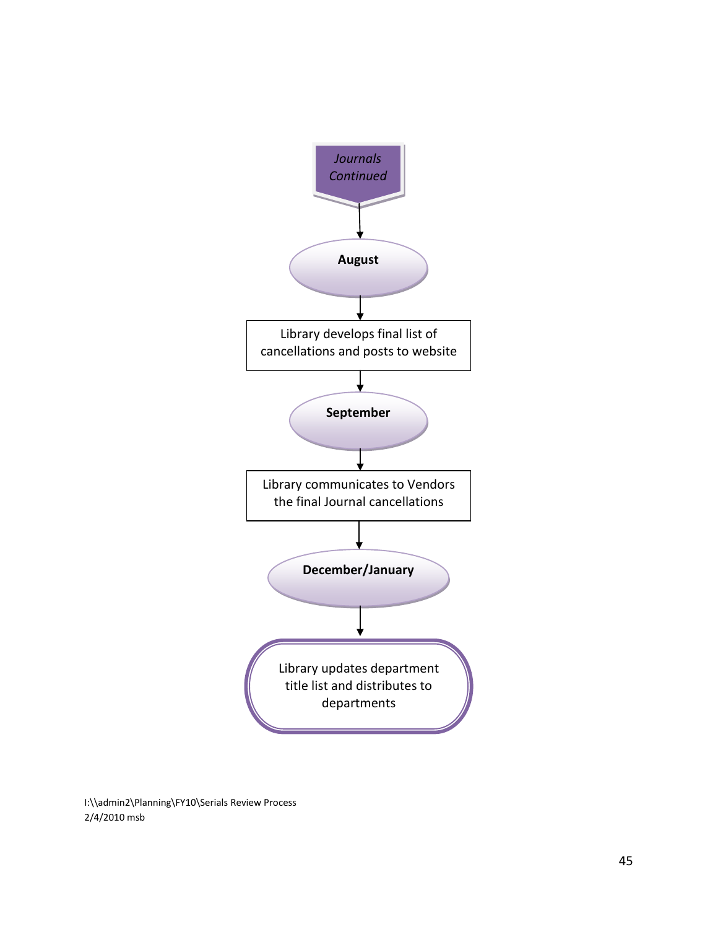

I:\\admin2\Planning\FY10\Serials Review Process 2/4/2010 msb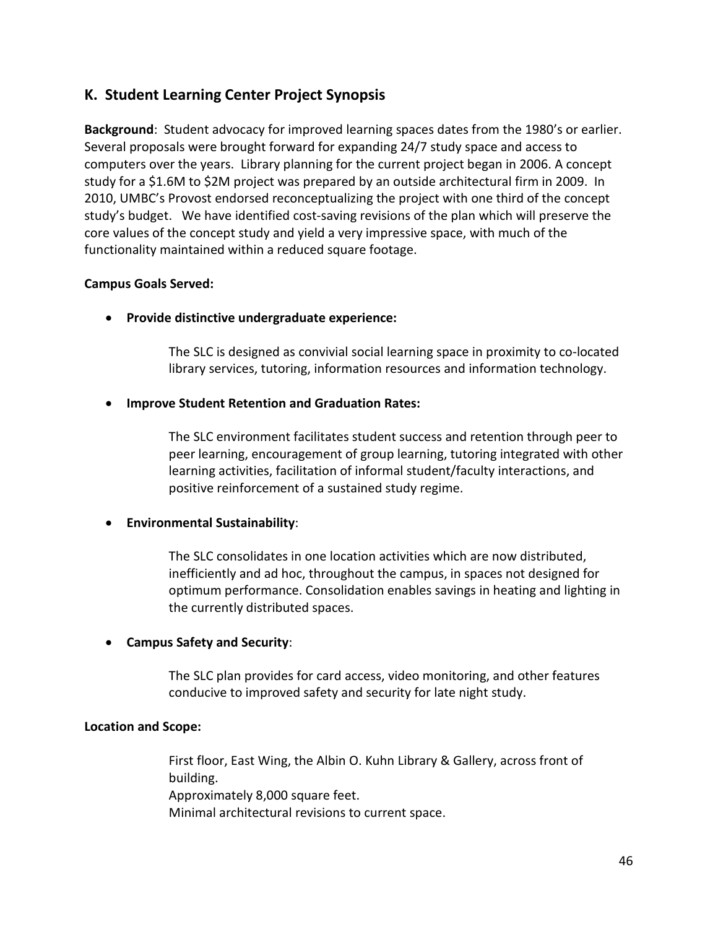## **K. Student Learning Center Project Synopsis**

**Background**: Student advocacy for improved learning spaces dates from the 1980's or earlier. Several proposals were brought forward for expanding 24/7 study space and access to computers over the years. Library planning for the current project began in 2006. A concept study for a \$1.6M to \$2M project was prepared by an outside architectural firm in 2009. In 2010, UMBC's Provost endorsed reconceptualizing the project with one third of the concept study's budget. We have identified cost-saving revisions of the plan which will preserve the core values of the concept study and yield a very impressive space, with much of the functionality maintained within a reduced square footage.

#### **Campus Goals Served:**

• **Provide distinctive undergraduate experience:**

The SLC is designed as convivial social learning space in proximity to co-located library services, tutoring, information resources and information technology.

#### • **Improve Student Retention and Graduation Rates:**

The SLC environment facilitates student success and retention through peer to peer learning, encouragement of group learning, tutoring integrated with other learning activities, facilitation of informal student/faculty interactions, and positive reinforcement of a sustained study regime.

#### • **Environmental Sustainability**:

The SLC consolidates in one location activities which are now distributed, inefficiently and ad hoc, throughout the campus, in spaces not designed for optimum performance. Consolidation enables savings in heating and lighting in the currently distributed spaces.

#### • **Campus Safety and Security**:

The SLC plan provides for card access, video monitoring, and other features conducive to improved safety and security for late night study.

#### **Location and Scope:**

First floor, East Wing, the Albin O. Kuhn Library & Gallery, across front of building. Approximately 8,000 square feet. Minimal architectural revisions to current space.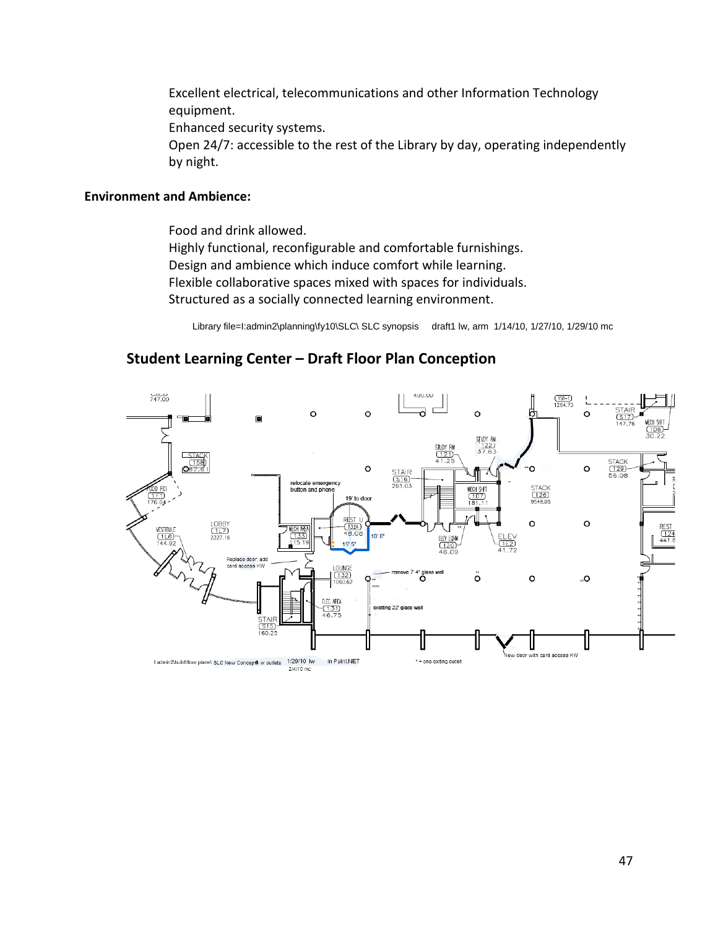Excellent electrical, telecommunications and other Information Technology equipment.

Enhanced security systems.

Open 24/7: accessible to the rest of the Library by day, operating independently by night.

#### **Environment and Ambience:**

Food and drink allowed.

Highly functional, reconfigurable and comfortable furnishings. Design and ambience which induce comfort while learning. Flexible collaborative spaces mixed with spaces for individuals. Structured as a socially connected learning environment.

Library file=I:admin2\planning\fy10\SLC\ SLC synopsis draft1 lw, arm 1/14/10, 1/27/10, 1/29/10 mc

#### $747.00$  $\frac{(158-1)}{1264.73}$  $\overline{a}$  $\Omega$  $\circ$  $\circ$  $\Omega$ STUDY RM STUDY RM<br>(121)<br>41.25  $\frac{122}{37.83}$ STACK<br>(129)<br>56.08  $\circ$  $\circ$  $\circ$ STAIR<br>
(S16)<br>
261.03 relocate emergency<br>button and phone STACK<br>(126)<br>9548.05  $\frac{107}{181.1}$ 19' to door LOBBY<br>(1L7)<br>2327.16  $\circ$  $\circ$  $\frac{(132A)}{48.0}$ 10' 8 ELEV EQR<br>(120)<br>46.09 15 5 Replace door; add card access HV OUNG  $\stackrel{\scriptscriptstyle\shortparallel}{\circ}$ ပ္ပိ  $\circ$ O., ARE/

existing 22' glass wall

\* = one exiting outlet

## **Student Learning Center – Draft Floor Plan Conception**

1/29/10 lw

2/4/10 mc

l:admin2\build\floor plans\ SLC New Concepts w outlets

in Paint.NET

lew door with card access HW

 $\frac{(12)}{441}$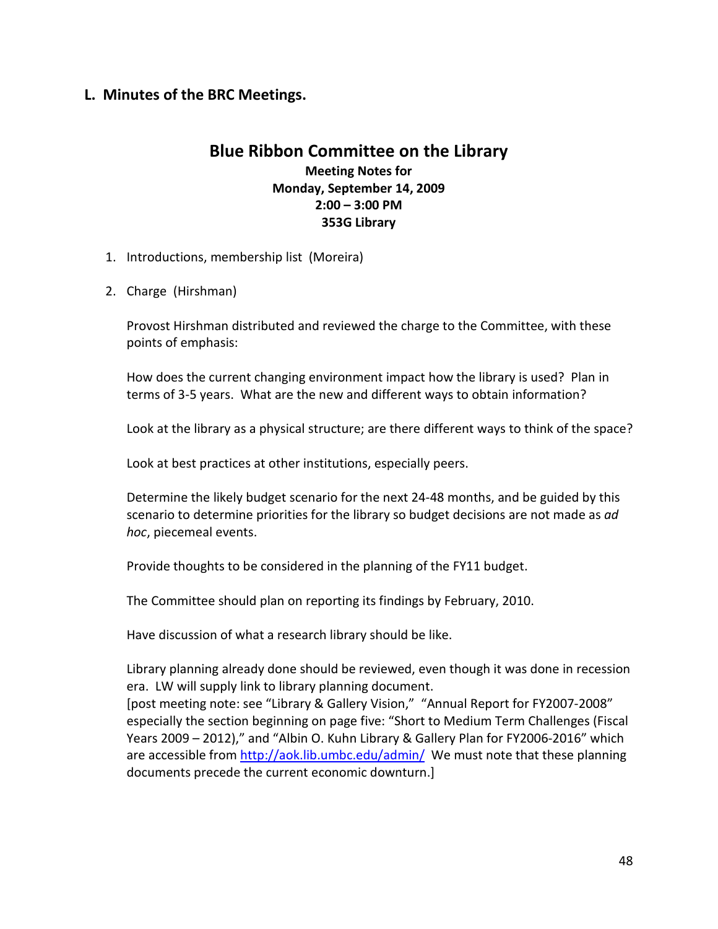## **L. Minutes of the BRC Meetings.**

## **Blue Ribbon Committee on the Library**

**Meeting Notes for Monday, September 14, 2009 2:00 – 3:00 PM 353G Library**

- 1. Introductions, membership list (Moreira)
- 2. Charge (Hirshman)

Provost Hirshman distributed and reviewed the charge to the Committee, with these points of emphasis:

How does the current changing environment impact how the library is used? Plan in terms of 3-5 years. What are the new and different ways to obtain information?

Look at the library as a physical structure; are there different ways to think of the space?

Look at best practices at other institutions, especially peers.

Determine the likely budget scenario for the next 24-48 months, and be guided by this scenario to determine priorities for the library so budget decisions are not made as *ad hoc*, piecemeal events.

Provide thoughts to be considered in the planning of the FY11 budget.

The Committee should plan on reporting its findings by February, 2010.

Have discussion of what a research library should be like.

Library planning already done should be reviewed, even though it was done in recession era. LW will supply link to library planning document.

[post meeting note: see "Library & Gallery Vision," "Annual Report for FY2007-2008" especially the section beginning on page five: "Short to Medium Term Challenges (Fiscal Years 2009 – 2012)," and "Albin O. Kuhn Library & Gallery Plan for FY2006-2016" which are accessible from<http://aok.lib.umbc.edu/admin/>We must note that these planning documents precede the current economic downturn.]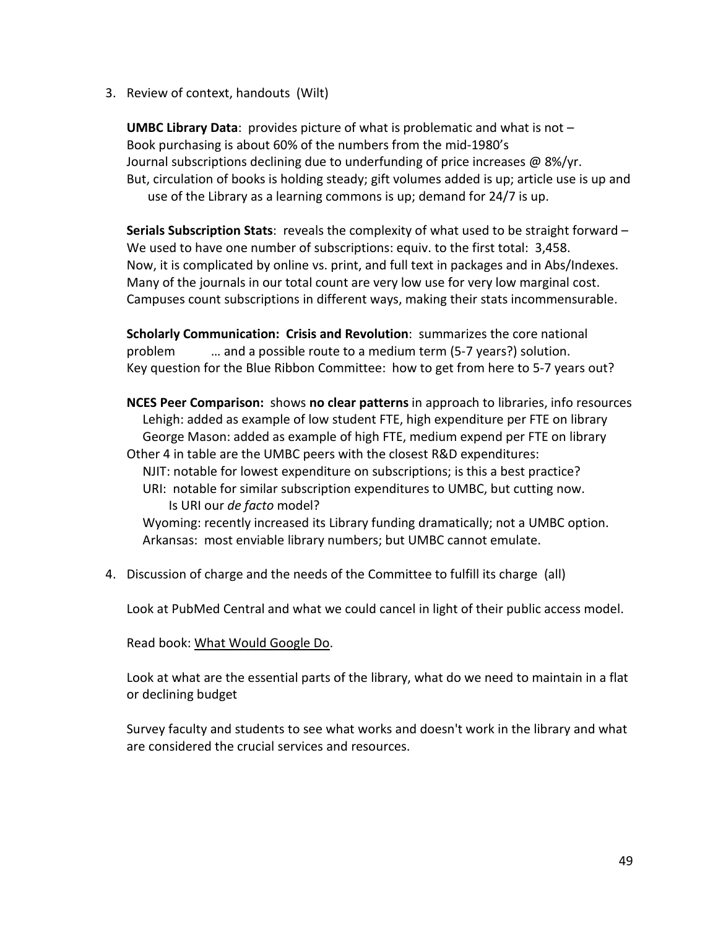3. Review of context, handouts (Wilt)

**UMBC Library Data**: provides picture of what is problematic and what is not – Book purchasing is about 60% of the numbers from the mid-1980's Journal subscriptions declining due to underfunding of price increases @ 8%/yr. But, circulation of books is holding steady; gift volumes added is up; article use is up and use of the Library as a learning commons is up; demand for 24/7 is up.

**Serials Subscription Stats**: reveals the complexity of what used to be straight forward – We used to have one number of subscriptions: equiv. to the first total: 3,458. Now, it is complicated by online vs. print, and full text in packages and in Abs/Indexes. Many of the journals in our total count are very low use for very low marginal cost. Campuses count subscriptions in different ways, making their stats incommensurable.

**Scholarly Communication: Crisis and Revolution**: summarizes the core national problem … and a possible route to a medium term (5-7 years?) solution. Key question for the Blue Ribbon Committee: how to get from here to 5-7 years out?

**NCES Peer Comparison:** shows **no clear patterns** in approach to libraries, info resources Lehigh: added as example of low student FTE, high expenditure per FTE on library George Mason: added as example of high FTE, medium expend per FTE on library Other 4 in table are the UMBC peers with the closest R&D expenditures: NJIT: notable for lowest expenditure on subscriptions; is this a best practice? URI: notable for similar subscription expenditures to UMBC, but cutting now. Is URI our *de facto* model? Wyoming: recently increased its Library funding dramatically; not a UMBC option. Arkansas: most enviable library numbers; but UMBC cannot emulate.

4. Discussion of charge and the needs of the Committee to fulfill its charge (all)

Look at PubMed Central and what we could cancel in light of their public access model.

#### Read book: What Would Google Do.

Look at what are the essential parts of the library, what do we need to maintain in a flat or declining budget

Survey faculty and students to see what works and doesn't work in the library and what are considered the crucial services and resources.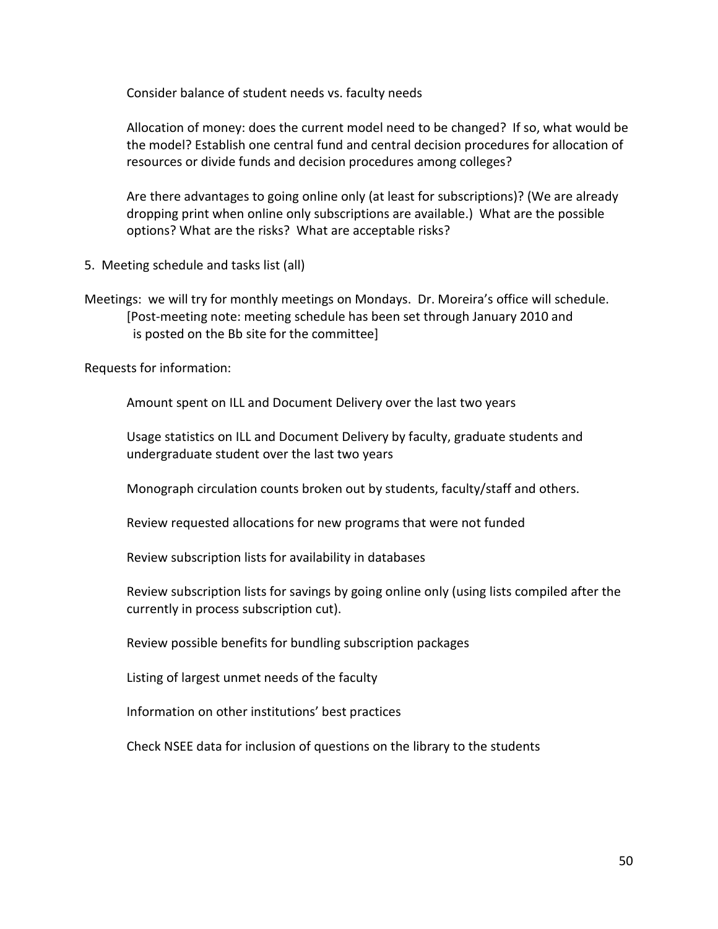Consider balance of student needs vs. faculty needs

Allocation of money: does the current model need to be changed? If so, what would be the model? Establish one central fund and central decision procedures for allocation of resources or divide funds and decision procedures among colleges?

Are there advantages to going online only (at least for subscriptions)? (We are already dropping print when online only subscriptions are available.) What are the possible options? What are the risks? What are acceptable risks?

- 5. Meeting schedule and tasks list (all)
- Meetings: we will try for monthly meetings on Mondays. Dr. Moreira's office will schedule. [Post-meeting note: meeting schedule has been set through January 2010 and is posted on the Bb site for the committee]

Requests for information:

Amount spent on ILL and Document Delivery over the last two years

Usage statistics on ILL and Document Delivery by faculty, graduate students and undergraduate student over the last two years

Monograph circulation counts broken out by students, faculty/staff and others.

Review requested allocations for new programs that were not funded

Review subscription lists for availability in databases

Review subscription lists for savings by going online only (using lists compiled after the currently in process subscription cut).

Review possible benefits for bundling subscription packages

Listing of largest unmet needs of the faculty

Information on other institutions' best practices

Check NSEE data for inclusion of questions on the library to the students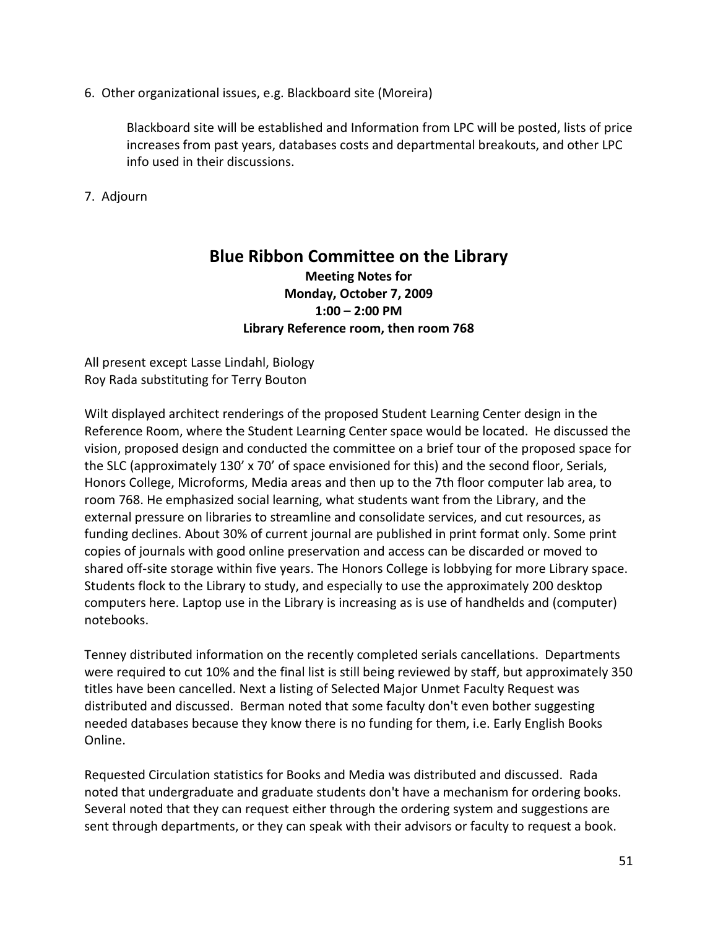6. Other organizational issues, e.g. Blackboard site (Moreira)

Blackboard site will be established and Information from LPC will be posted, lists of price increases from past years, databases costs and departmental breakouts, and other LPC info used in their discussions.

7. Adjourn

## **Blue Ribbon Committee on the Library Meeting Notes for Monday, October 7, 2009 1:00 – 2:00 PM Library Reference room, then room 768**

All present except Lasse Lindahl, Biology Roy Rada substituting for Terry Bouton

Wilt displayed architect renderings of the proposed Student Learning Center design in the Reference Room, where the Student Learning Center space would be located. He discussed the vision, proposed design and conducted the committee on a brief tour of the proposed space for the SLC (approximately 130' x 70' of space envisioned for this) and the second floor, Serials, Honors College, Microforms, Media areas and then up to the 7th floor computer lab area, to room 768. He emphasized social learning, what students want from the Library, and the external pressure on libraries to streamline and consolidate services, and cut resources, as funding declines. About 30% of current journal are published in print format only. Some print copies of journals with good online preservation and access can be discarded or moved to shared off-site storage within five years. The Honors College is lobbying for more Library space. Students flock to the Library to study, and especially to use the approximately 200 desktop computers here. Laptop use in the Library is increasing as is use of handhelds and (computer) notebooks.

Tenney distributed information on the recently completed serials cancellations. Departments were required to cut 10% and the final list is still being reviewed by staff, but approximately 350 titles have been cancelled. Next a listing of Selected Major Unmet Faculty Request was distributed and discussed. Berman noted that some faculty don't even bother suggesting needed databases because they know there is no funding for them, i.e. Early English Books Online.

Requested Circulation statistics for Books and Media was distributed and discussed. Rada noted that undergraduate and graduate students don't have a mechanism for ordering books. Several noted that they can request either through the ordering system and suggestions are sent through departments, or they can speak with their advisors or faculty to request a book.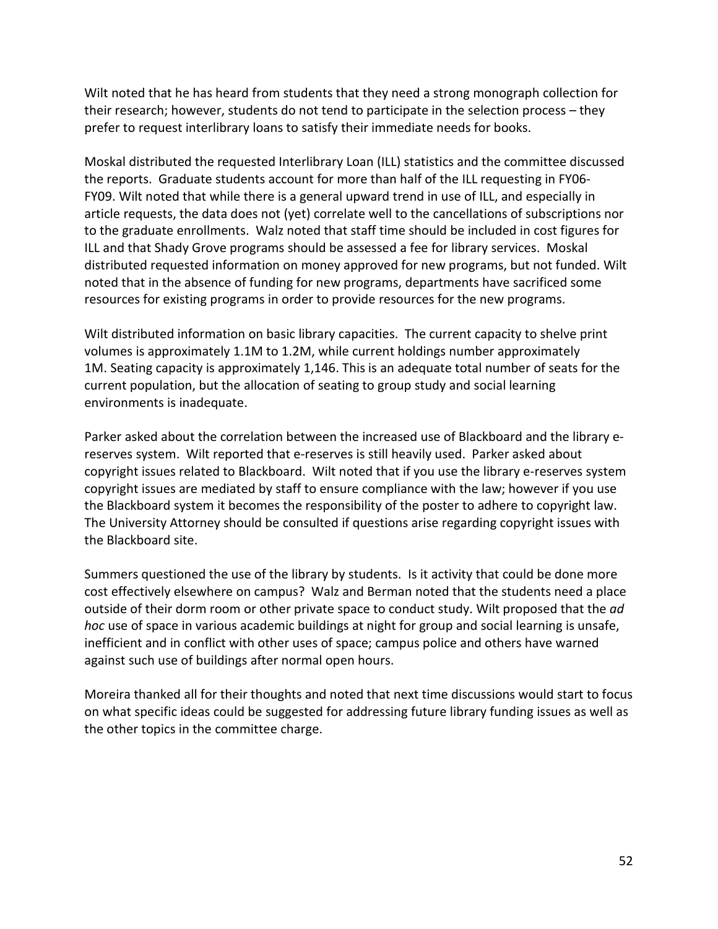Wilt noted that he has heard from students that they need a strong monograph collection for their research; however, students do not tend to participate in the selection process – they prefer to request interlibrary loans to satisfy their immediate needs for books.

Moskal distributed the requested Interlibrary Loan (ILL) statistics and the committee discussed the reports. Graduate students account for more than half of the ILL requesting in FY06- FY09. Wilt noted that while there is a general upward trend in use of ILL, and especially in article requests, the data does not (yet) correlate well to the cancellations of subscriptions nor to the graduate enrollments. Walz noted that staff time should be included in cost figures for ILL and that Shady Grove programs should be assessed a fee for library services. Moskal distributed requested information on money approved for new programs, but not funded. Wilt noted that in the absence of funding for new programs, departments have sacrificed some resources for existing programs in order to provide resources for the new programs.

Wilt distributed information on basic library capacities. The current capacity to shelve print volumes is approximately 1.1M to 1.2M, while current holdings number approximately 1M. Seating capacity is approximately 1,146. This is an adequate total number of seats for the current population, but the allocation of seating to group study and social learning environments is inadequate.

Parker asked about the correlation between the increased use of Blackboard and the library ereserves system. Wilt reported that e-reserves is still heavily used. Parker asked about copyright issues related to Blackboard. Wilt noted that if you use the library e-reserves system copyright issues are mediated by staff to ensure compliance with the law; however if you use the Blackboard system it becomes the responsibility of the poster to adhere to copyright law. The University Attorney should be consulted if questions arise regarding copyright issues with the Blackboard site.

Summers questioned the use of the library by students. Is it activity that could be done more cost effectively elsewhere on campus? Walz and Berman noted that the students need a place outside of their dorm room or other private space to conduct study. Wilt proposed that the *ad hoc* use of space in various academic buildings at night for group and social learning is unsafe, inefficient and in conflict with other uses of space; campus police and others have warned against such use of buildings after normal open hours.

Moreira thanked all for their thoughts and noted that next time discussions would start to focus on what specific ideas could be suggested for addressing future library funding issues as well as the other topics in the committee charge.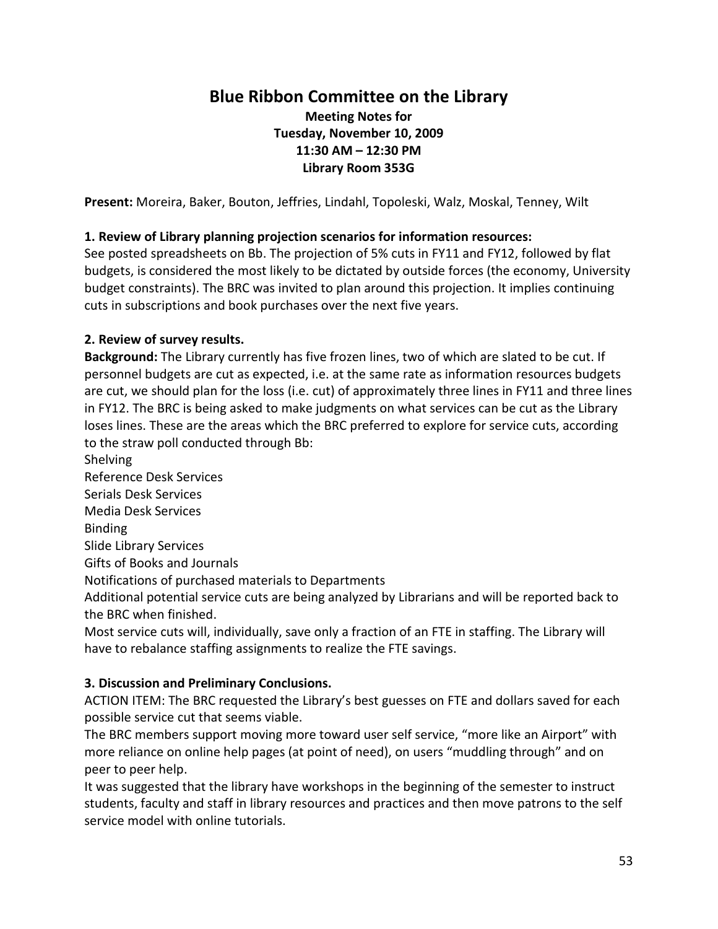# **Blue Ribbon Committee on the Library**

## **Meeting Notes for Tuesday, November 10, 2009 11:30 AM – 12:30 PM Library Room 353G**

**Present:** Moreira, Baker, Bouton, Jeffries, Lindahl, Topoleski, Walz, Moskal, Tenney, Wilt

#### **1. Review of Library planning projection scenarios for information resources:**

See posted spreadsheets on Bb. The projection of 5% cuts in FY11 and FY12, followed by flat budgets, is considered the most likely to be dictated by outside forces (the economy, University budget constraints). The BRC was invited to plan around this projection. It implies continuing cuts in subscriptions and book purchases over the next five years.

#### **2. Review of survey results.**

**Background:** The Library currently has five frozen lines, two of which are slated to be cut. If personnel budgets are cut as expected, i.e. at the same rate as information resources budgets are cut, we should plan for the loss (i.e. cut) of approximately three lines in FY11 and three lines in FY12. The BRC is being asked to make judgments on what services can be cut as the Library loses lines. These are the areas which the BRC preferred to explore for service cuts, according to the straw poll conducted through Bb:

Shelving

Reference Desk Services

Serials Desk Services

Media Desk Services

Binding

Slide Library Services

Gifts of Books and Journals

Notifications of purchased materials to Departments

Additional potential service cuts are being analyzed by Librarians and will be reported back to the BRC when finished.

Most service cuts will, individually, save only a fraction of an FTE in staffing. The Library will have to rebalance staffing assignments to realize the FTE savings.

#### **3. Discussion and Preliminary Conclusions.**

ACTION ITEM: The BRC requested the Library's best guesses on FTE and dollars saved for each possible service cut that seems viable.

The BRC members support moving more toward user self service, "more like an Airport" with more reliance on online help pages (at point of need), on users "muddling through" and on peer to peer help.

It was suggested that the library have workshops in the beginning of the semester to instruct students, faculty and staff in library resources and practices and then move patrons to the self service model with online tutorials.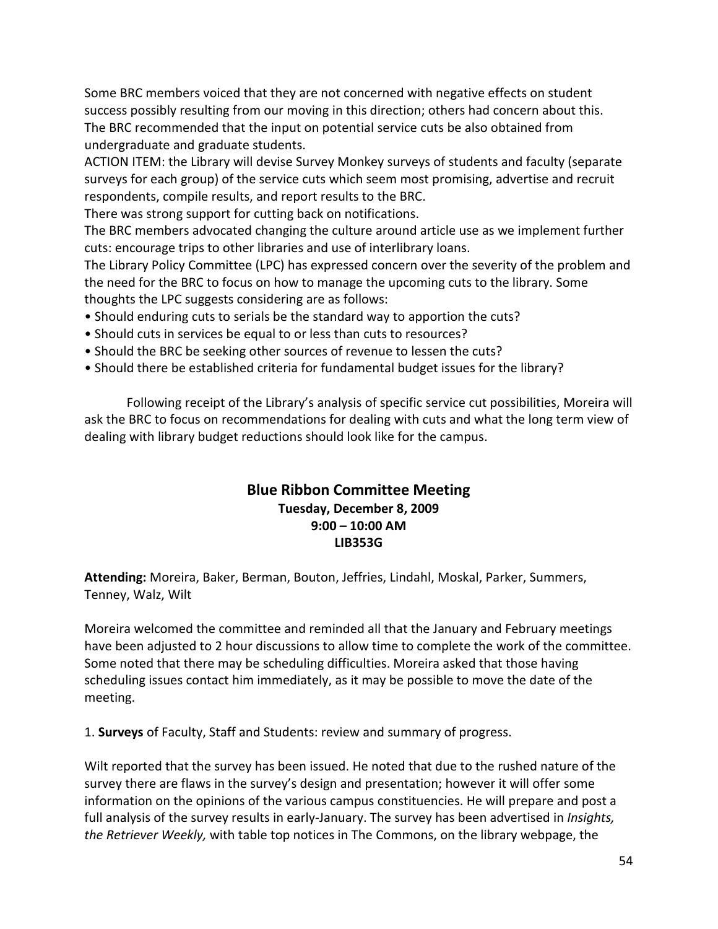Some BRC members voiced that they are not concerned with negative effects on student success possibly resulting from our moving in this direction; others had concern about this. The BRC recommended that the input on potential service cuts be also obtained from undergraduate and graduate students.

ACTION ITEM: the Library will devise Survey Monkey surveys of students and faculty (separate surveys for each group) of the service cuts which seem most promising, advertise and recruit respondents, compile results, and report results to the BRC.

There was strong support for cutting back on notifications.

The BRC members advocated changing the culture around article use as we implement further cuts: encourage trips to other libraries and use of interlibrary loans.

The Library Policy Committee (LPC) has expressed concern over the severity of the problem and the need for the BRC to focus on how to manage the upcoming cuts to the library. Some thoughts the LPC suggests considering are as follows:

- Should enduring cuts to serials be the standard way to apportion the cuts?
- Should cuts in services be equal to or less than cuts to resources?
- Should the BRC be seeking other sources of revenue to lessen the cuts?
- Should there be established criteria for fundamental budget issues for the library?

Following receipt of the Library's analysis of specific service cut possibilities, Moreira will ask the BRC to focus on recommendations for dealing with cuts and what the long term view of dealing with library budget reductions should look like for the campus.

## **Blue Ribbon Committee Meeting Tuesday, December 8, 2009 9:00 – 10:00 AM LIB353G**

**Attending:** Moreira, Baker, Berman, Bouton, Jeffries, Lindahl, Moskal, Parker, Summers, Tenney, Walz, Wilt

Moreira welcomed the committee and reminded all that the January and February meetings have been adjusted to 2 hour discussions to allow time to complete the work of the committee. Some noted that there may be scheduling difficulties. Moreira asked that those having scheduling issues contact him immediately, as it may be possible to move the date of the meeting.

1. **Surveys** of Faculty, Staff and Students: review and summary of progress.

Wilt reported that the survey has been issued. He noted that due to the rushed nature of the survey there are flaws in the survey's design and presentation; however it will offer some information on the opinions of the various campus constituencies. He will prepare and post a full analysis of the survey results in early-January. The survey has been advertised in *Insights, the Retriever Weekly,* with table top notices in The Commons, on the library webpage, the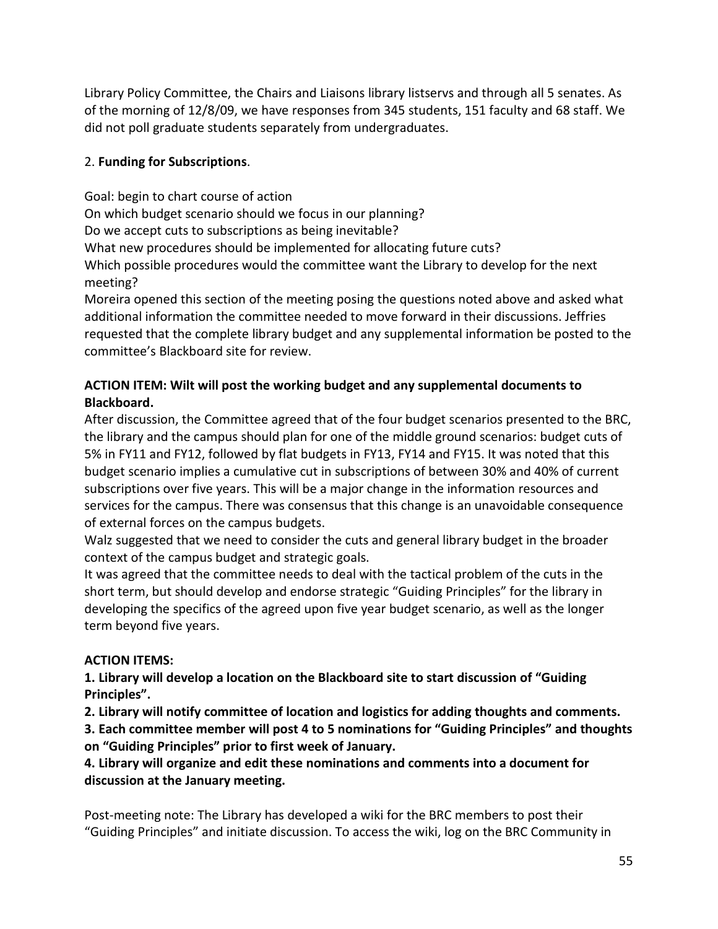Library Policy Committee, the Chairs and Liaisons library listservs and through all 5 senates. As of the morning of 12/8/09, we have responses from 345 students, 151 faculty and 68 staff. We did not poll graduate students separately from undergraduates.

#### 2. **Funding for Subscriptions**.

Goal: begin to chart course of action On which budget scenario should we focus in our planning? Do we accept cuts to subscriptions as being inevitable? What new procedures should be implemented for allocating future cuts? Which possible procedures would the committee want the Library to develop for the next meeting?

Moreira opened this section of the meeting posing the questions noted above and asked what additional information the committee needed to move forward in their discussions. Jeffries requested that the complete library budget and any supplemental information be posted to the committee's Blackboard site for review.

## **ACTION ITEM: Wilt will post the working budget and any supplemental documents to Blackboard.**

After discussion, the Committee agreed that of the four budget scenarios presented to the BRC, the library and the campus should plan for one of the middle ground scenarios: budget cuts of 5% in FY11 and FY12, followed by flat budgets in FY13, FY14 and FY15. It was noted that this budget scenario implies a cumulative cut in subscriptions of between 30% and 40% of current subscriptions over five years. This will be a major change in the information resources and services for the campus. There was consensus that this change is an unavoidable consequence of external forces on the campus budgets.

Walz suggested that we need to consider the cuts and general library budget in the broader context of the campus budget and strategic goals.

It was agreed that the committee needs to deal with the tactical problem of the cuts in the short term, but should develop and endorse strategic "Guiding Principles" for the library in developing the specifics of the agreed upon five year budget scenario, as well as the longer term beyond five years.

## **ACTION ITEMS:**

**1. Library will develop a location on the Blackboard site to start discussion of "Guiding Principles".**

**2. Library will notify committee of location and logistics for adding thoughts and comments.**

**3. Each committee member will post 4 to 5 nominations for "Guiding Principles" and thoughts on "Guiding Principles" prior to first week of January.**

**4. Library will organize and edit these nominations and comments into a document for discussion at the January meeting.**

Post-meeting note: The Library has developed a wiki for the BRC members to post their "Guiding Principles" and initiate discussion. To access the wiki, log on the BRC Community in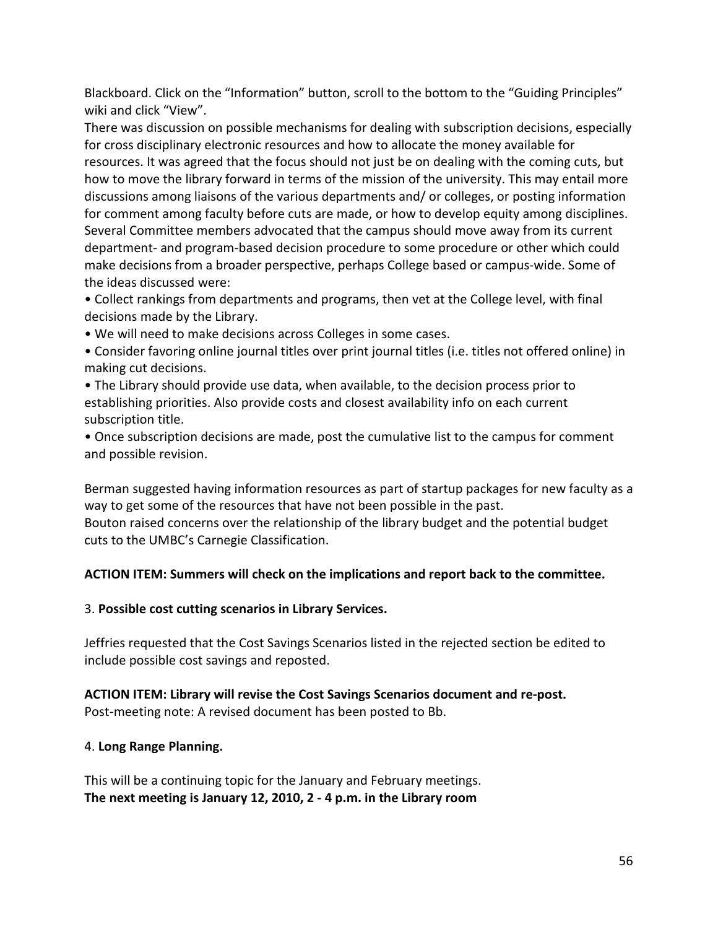Blackboard. Click on the "Information" button, scroll to the bottom to the "Guiding Principles" wiki and click "View".

There was discussion on possible mechanisms for dealing with subscription decisions, especially for cross disciplinary electronic resources and how to allocate the money available for resources. It was agreed that the focus should not just be on dealing with the coming cuts, but how to move the library forward in terms of the mission of the university. This may entail more discussions among liaisons of the various departments and/ or colleges, or posting information for comment among faculty before cuts are made, or how to develop equity among disciplines. Several Committee members advocated that the campus should move away from its current department- and program-based decision procedure to some procedure or other which could make decisions from a broader perspective, perhaps College based or campus-wide. Some of the ideas discussed were:

• Collect rankings from departments and programs, then vet at the College level, with final decisions made by the Library.

• We will need to make decisions across Colleges in some cases.

• Consider favoring online journal titles over print journal titles (i.e. titles not offered online) in making cut decisions.

• The Library should provide use data, when available, to the decision process prior to establishing priorities. Also provide costs and closest availability info on each current subscription title.

• Once subscription decisions are made, post the cumulative list to the campus for comment and possible revision.

Berman suggested having information resources as part of startup packages for new faculty as a way to get some of the resources that have not been possible in the past. Bouton raised concerns over the relationship of the library budget and the potential budget cuts to the UMBC's Carnegie Classification.

#### **ACTION ITEM: Summers will check on the implications and report back to the committee.**

#### 3. **Possible cost cutting scenarios in Library Services.**

Jeffries requested that the Cost Savings Scenarios listed in the rejected section be edited to include possible cost savings and reposted.

#### **ACTION ITEM: Library will revise the Cost Savings Scenarios document and re-post.**  Post-meeting note: A revised document has been posted to Bb.

#### 4. **Long Range Planning.**

This will be a continuing topic for the January and February meetings. **The next meeting is January 12, 2010, 2 - 4 p.m. in the Library room**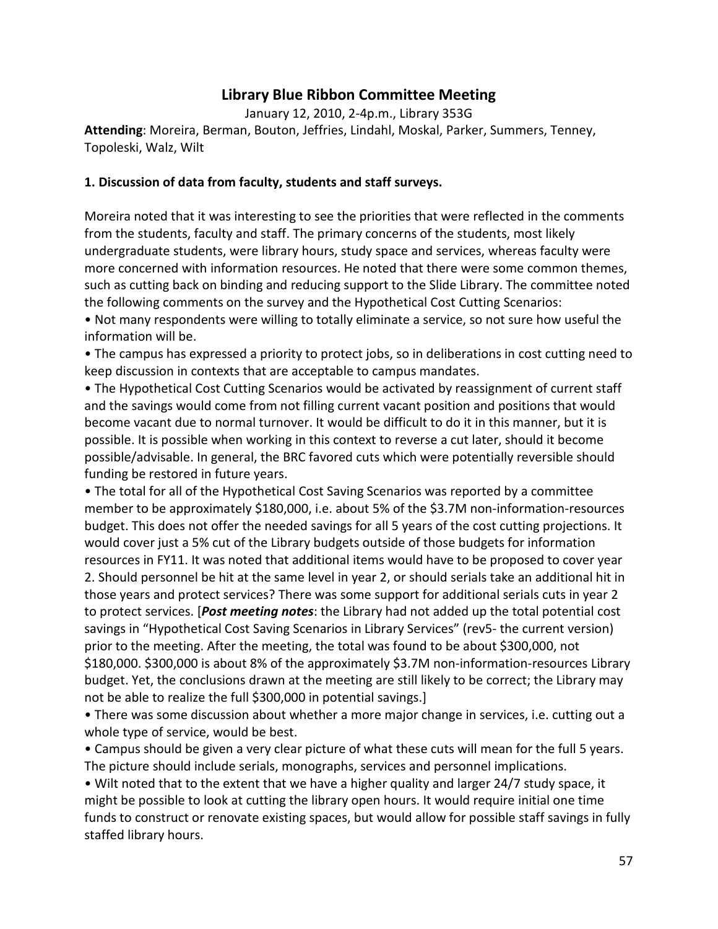## **Library Blue Ribbon Committee Meeting**

January 12, 2010, 2-4p.m., Library 353G

**Attending**: Moreira, Berman, Bouton, Jeffries, Lindahl, Moskal, Parker, Summers, Tenney, Topoleski, Walz, Wilt

#### **1. Discussion of data from faculty, students and staff surveys.**

Moreira noted that it was interesting to see the priorities that were reflected in the comments from the students, faculty and staff. The primary concerns of the students, most likely undergraduate students, were library hours, study space and services, whereas faculty were more concerned with information resources. He noted that there were some common themes, such as cutting back on binding and reducing support to the Slide Library. The committee noted the following comments on the survey and the Hypothetical Cost Cutting Scenarios:

• Not many respondents were willing to totally eliminate a service, so not sure how useful the information will be.

• The campus has expressed a priority to protect jobs, so in deliberations in cost cutting need to keep discussion in contexts that are acceptable to campus mandates.

• The Hypothetical Cost Cutting Scenarios would be activated by reassignment of current staff and the savings would come from not filling current vacant position and positions that would become vacant due to normal turnover. It would be difficult to do it in this manner, but it is possible. It is possible when working in this context to reverse a cut later, should it become possible/advisable. In general, the BRC favored cuts which were potentially reversible should funding be restored in future years.

• The total for all of the Hypothetical Cost Saving Scenarios was reported by a committee member to be approximately \$180,000, i.e. about 5% of the \$3.7M non-information-resources budget. This does not offer the needed savings for all 5 years of the cost cutting projections. It would cover just a 5% cut of the Library budgets outside of those budgets for information resources in FY11. It was noted that additional items would have to be proposed to cover year 2. Should personnel be hit at the same level in year 2, or should serials take an additional hit in those years and protect services? There was some support for additional serials cuts in year 2 to protect services. [*Post meeting notes*: the Library had not added up the total potential cost savings in "Hypothetical Cost Saving Scenarios in Library Services" (rev5- the current version) prior to the meeting. After the meeting, the total was found to be about \$300,000, not \$180,000. \$300,000 is about 8% of the approximately \$3.7M non-information-resources Library budget. Yet, the conclusions drawn at the meeting are still likely to be correct; the Library may not be able to realize the full \$300,000 in potential savings.]

• There was some discussion about whether a more major change in services, i.e. cutting out a whole type of service, would be best.

• Campus should be given a very clear picture of what these cuts will mean for the full 5 years. The picture should include serials, monographs, services and personnel implications.

• Wilt noted that to the extent that we have a higher quality and larger 24/7 study space, it might be possible to look at cutting the library open hours. It would require initial one time funds to construct or renovate existing spaces, but would allow for possible staff savings in fully staffed library hours.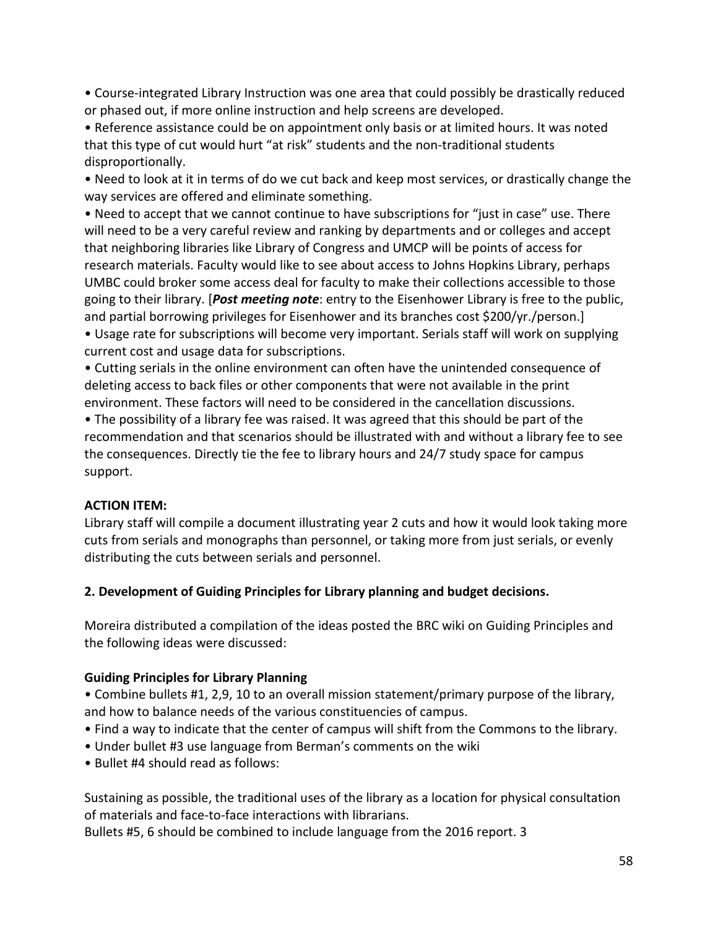• Course-integrated Library Instruction was one area that could possibly be drastically reduced or phased out, if more online instruction and help screens are developed.

• Reference assistance could be on appointment only basis or at limited hours. It was noted that this type of cut would hurt "at risk" students and the non-traditional students disproportionally.

• Need to look at it in terms of do we cut back and keep most services, or drastically change the way services are offered and eliminate something.

• Need to accept that we cannot continue to have subscriptions for "just in case" use. There will need to be a very careful review and ranking by departments and or colleges and accept that neighboring libraries like Library of Congress and UMCP will be points of access for research materials. Faculty would like to see about access to Johns Hopkins Library, perhaps UMBC could broker some access deal for faculty to make their collections accessible to those going to their library. [*Post meeting note*: entry to the Eisenhower Library is free to the public, and partial borrowing privileges for Eisenhower and its branches cost \$200/yr./person.] • Usage rate for subscriptions will become very important. Serials staff will work on supplying current cost and usage data for subscriptions.

• Cutting serials in the online environment can often have the unintended consequence of deleting access to back files or other components that were not available in the print environment. These factors will need to be considered in the cancellation discussions.

• The possibility of a library fee was raised. It was agreed that this should be part of the recommendation and that scenarios should be illustrated with and without a library fee to see the consequences. Directly tie the fee to library hours and 24/7 study space for campus support.

#### **ACTION ITEM:**

Library staff will compile a document illustrating year 2 cuts and how it would look taking more cuts from serials and monographs than personnel, or taking more from just serials, or evenly distributing the cuts between serials and personnel.

#### **2. Development of Guiding Principles for Library planning and budget decisions.**

Moreira distributed a compilation of the ideas posted the BRC wiki on Guiding Principles and the following ideas were discussed:

#### **Guiding Principles for Library Planning**

• Combine bullets #1, 2,9, 10 to an overall mission statement/primary purpose of the library, and how to balance needs of the various constituencies of campus.

- Find a way to indicate that the center of campus will shift from the Commons to the library.
- Under bullet #3 use language from Berman's comments on the wiki
- Bullet #4 should read as follows:

Sustaining as possible, the traditional uses of the library as a location for physical consultation of materials and face-to-face interactions with librarians.

Bullets #5, 6 should be combined to include language from the 2016 report. 3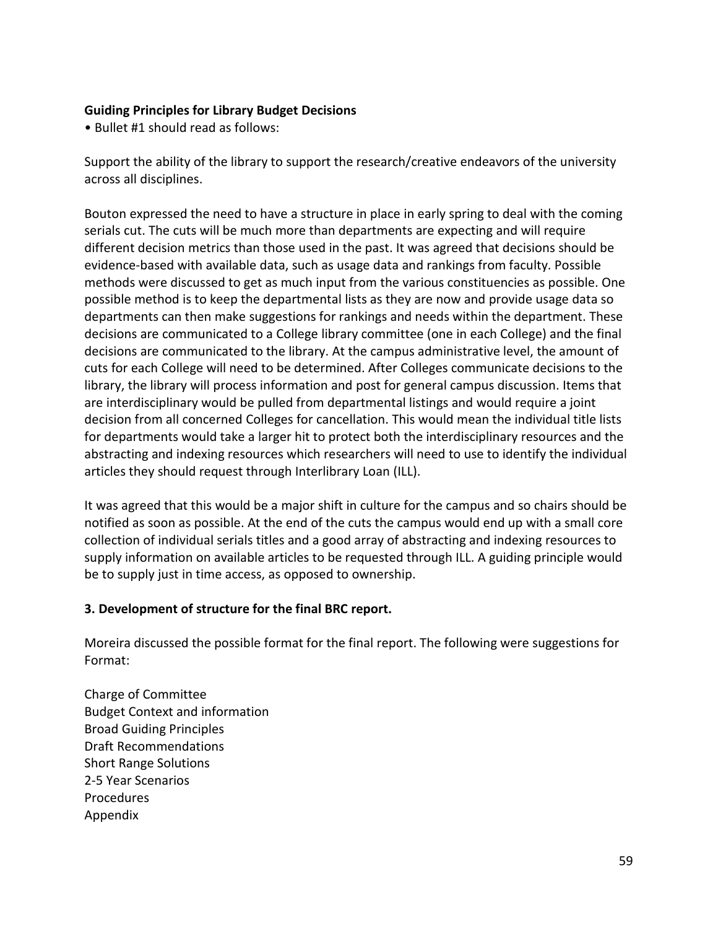#### **Guiding Principles for Library Budget Decisions**

• Bullet #1 should read as follows:

Support the ability of the library to support the research/creative endeavors of the university across all disciplines.

Bouton expressed the need to have a structure in place in early spring to deal with the coming serials cut. The cuts will be much more than departments are expecting and will require different decision metrics than those used in the past. It was agreed that decisions should be evidence-based with available data, such as usage data and rankings from faculty. Possible methods were discussed to get as much input from the various constituencies as possible. One possible method is to keep the departmental lists as they are now and provide usage data so departments can then make suggestions for rankings and needs within the department. These decisions are communicated to a College library committee (one in each College) and the final decisions are communicated to the library. At the campus administrative level, the amount of cuts for each College will need to be determined. After Colleges communicate decisions to the library, the library will process information and post for general campus discussion. Items that are interdisciplinary would be pulled from departmental listings and would require a joint decision from all concerned Colleges for cancellation. This would mean the individual title lists for departments would take a larger hit to protect both the interdisciplinary resources and the abstracting and indexing resources which researchers will need to use to identify the individual articles they should request through Interlibrary Loan (ILL).

It was agreed that this would be a major shift in culture for the campus and so chairs should be notified as soon as possible. At the end of the cuts the campus would end up with a small core collection of individual serials titles and a good array of abstracting and indexing resources to supply information on available articles to be requested through ILL. A guiding principle would be to supply just in time access, as opposed to ownership.

#### **3. Development of structure for the final BRC report.**

Moreira discussed the possible format for the final report. The following were suggestions for Format:

Charge of Committee Budget Context and information Broad Guiding Principles Draft Recommendations Short Range Solutions 2-5 Year Scenarios Procedures Appendix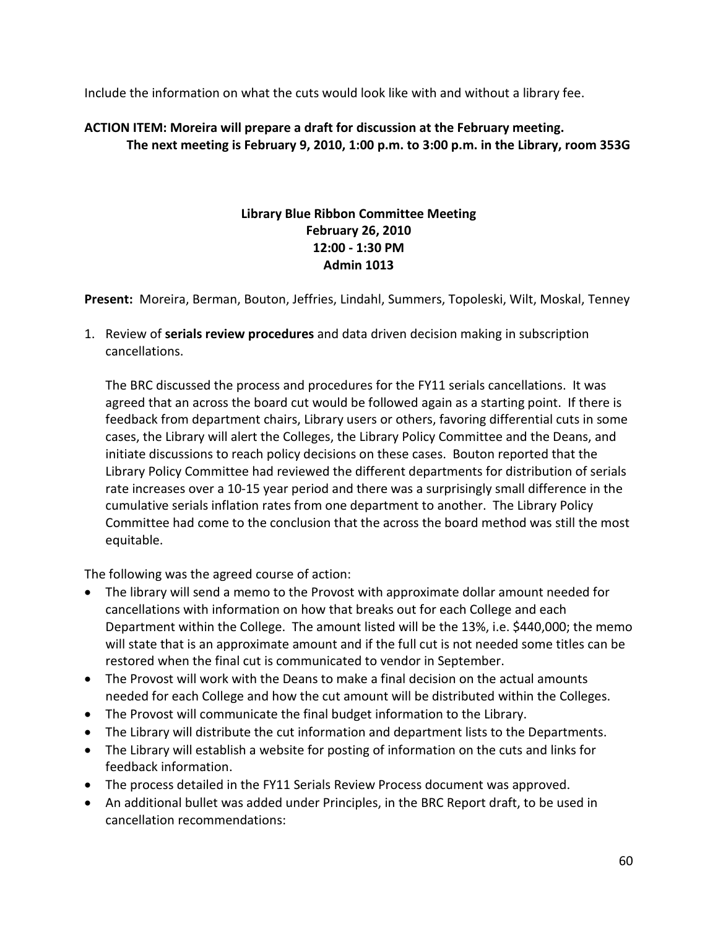Include the information on what the cuts would look like with and without a library fee.

#### **ACTION ITEM: Moreira will prepare a draft for discussion at the February meeting. The next meeting is February 9, 2010, 1:00 p.m. to 3:00 p.m. in the Library, room 353G**

#### **Library Blue Ribbon Committee Meeting February 26, 2010 12:00 - 1:30 PM Admin 1013**

**Present:** Moreira, Berman, Bouton, Jeffries, Lindahl, Summers, Topoleski, Wilt, Moskal, Tenney

1. Review of **serials review procedures** and data driven decision making in subscription cancellations.

The BRC discussed the process and procedures for the FY11 serials cancellations. It was agreed that an across the board cut would be followed again as a starting point. If there is feedback from department chairs, Library users or others, favoring differential cuts in some cases, the Library will alert the Colleges, the Library Policy Committee and the Deans, and initiate discussions to reach policy decisions on these cases. Bouton reported that the Library Policy Committee had reviewed the different departments for distribution of serials rate increases over a 10-15 year period and there was a surprisingly small difference in the cumulative serials inflation rates from one department to another. The Library Policy Committee had come to the conclusion that the across the board method was still the most equitable.

The following was the agreed course of action:

- The library will send a memo to the Provost with approximate dollar amount needed for cancellations with information on how that breaks out for each College and each Department within the College. The amount listed will be the 13%, i.e. \$440,000; the memo will state that is an approximate amount and if the full cut is not needed some titles can be restored when the final cut is communicated to vendor in September.
- The Provost will work with the Deans to make a final decision on the actual amounts needed for each College and how the cut amount will be distributed within the Colleges.
- The Provost will communicate the final budget information to the Library.
- The Library will distribute the cut information and department lists to the Departments.
- The Library will establish a website for posting of information on the cuts and links for feedback information.
- The process detailed in the FY11 Serials Review Process document was approved.
- An additional bullet was added under Principles, in the BRC Report draft, to be used in cancellation recommendations: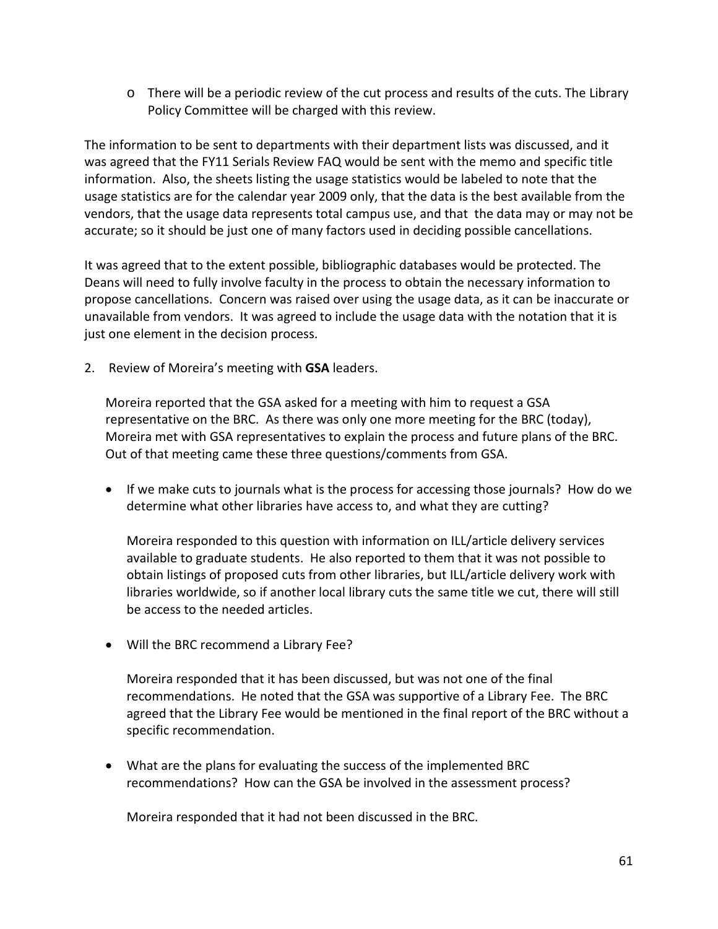o There will be a periodic review of the cut process and results of the cuts. The Library Policy Committee will be charged with this review.

The information to be sent to departments with their department lists was discussed, and it was agreed that the FY11 Serials Review FAQ would be sent with the memo and specific title information. Also, the sheets listing the usage statistics would be labeled to note that the usage statistics are for the calendar year 2009 only, that the data is the best available from the vendors, that the usage data represents total campus use, and that the data may or may not be accurate; so it should be just one of many factors used in deciding possible cancellations.

It was agreed that to the extent possible, bibliographic databases would be protected. The Deans will need to fully involve faculty in the process to obtain the necessary information to propose cancellations. Concern was raised over using the usage data, as it can be inaccurate or unavailable from vendors. It was agreed to include the usage data with the notation that it is just one element in the decision process.

2. Review of Moreira's meeting with **GSA** leaders.

Moreira reported that the GSA asked for a meeting with him to request a GSA representative on the BRC. As there was only one more meeting for the BRC (today), Moreira met with GSA representatives to explain the process and future plans of the BRC. Out of that meeting came these three questions/comments from GSA.

• If we make cuts to journals what is the process for accessing those journals? How do we determine what other libraries have access to, and what they are cutting?

Moreira responded to this question with information on ILL/article delivery services available to graduate students. He also reported to them that it was not possible to obtain listings of proposed cuts from other libraries, but ILL/article delivery work with libraries worldwide, so if another local library cuts the same title we cut, there will still be access to the needed articles.

• Will the BRC recommend a Library Fee?

Moreira responded that it has been discussed, but was not one of the final recommendations. He noted that the GSA was supportive of a Library Fee. The BRC agreed that the Library Fee would be mentioned in the final report of the BRC without a specific recommendation.

• What are the plans for evaluating the success of the implemented BRC recommendations? How can the GSA be involved in the assessment process?

Moreira responded that it had not been discussed in the BRC.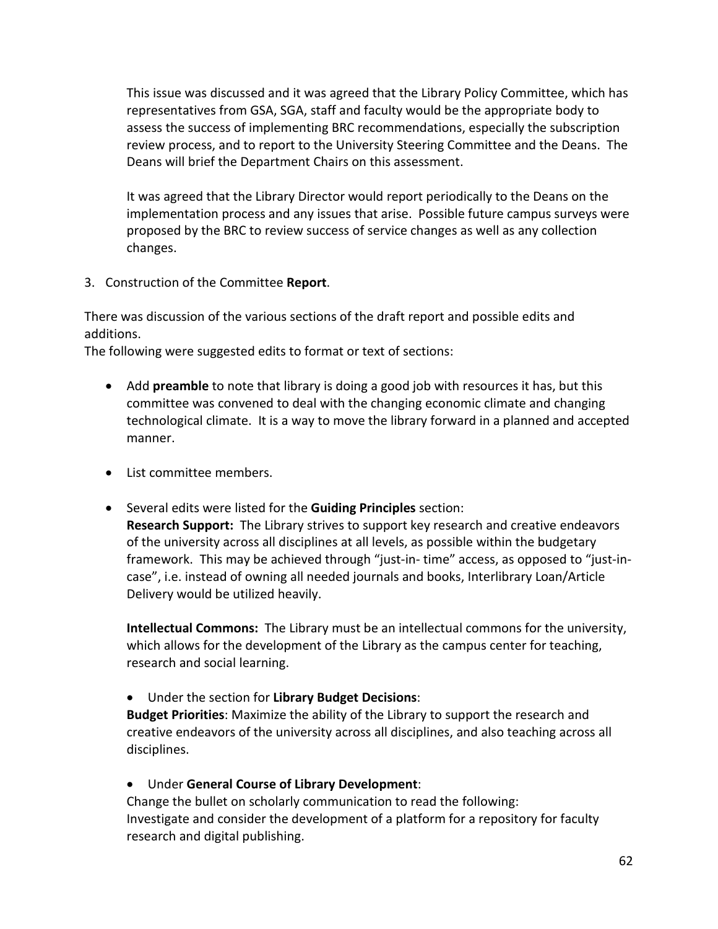This issue was discussed and it was agreed that the Library Policy Committee, which has representatives from GSA, SGA, staff and faculty would be the appropriate body to assess the success of implementing BRC recommendations, especially the subscription review process, and to report to the University Steering Committee and the Deans. The Deans will brief the Department Chairs on this assessment.

It was agreed that the Library Director would report periodically to the Deans on the implementation process and any issues that arise. Possible future campus surveys were proposed by the BRC to review success of service changes as well as any collection changes.

3. Construction of the Committee **Report**.

There was discussion of the various sections of the draft report and possible edits and additions.

The following were suggested edits to format or text of sections:

- Add **preamble** to note that library is doing a good job with resources it has, but this committee was convened to deal with the changing economic climate and changing technological climate. It is a way to move the library forward in a planned and accepted manner.
- List committee members.
- Several edits were listed for the **Guiding Principles** section:

**Research Support:** The Library strives to support key research and creative endeavors of the university across all disciplines at all levels, as possible within the budgetary framework. This may be achieved through "just-in- time" access, as opposed to "just-incase", i.e. instead of owning all needed journals and books, Interlibrary Loan/Article Delivery would be utilized heavily.

**Intellectual Commons:** The Library must be an intellectual commons for the university, which allows for the development of the Library as the campus center for teaching, research and social learning.

• Under the section for **Library Budget Decisions**:

**Budget Priorities**: Maximize the ability of the Library to support the research and creative endeavors of the university across all disciplines, and also teaching across all disciplines.

• Under **General Course of Library Development**:

Change the bullet on scholarly communication to read the following: Investigate and consider the development of a platform for a repository for faculty research and digital publishing.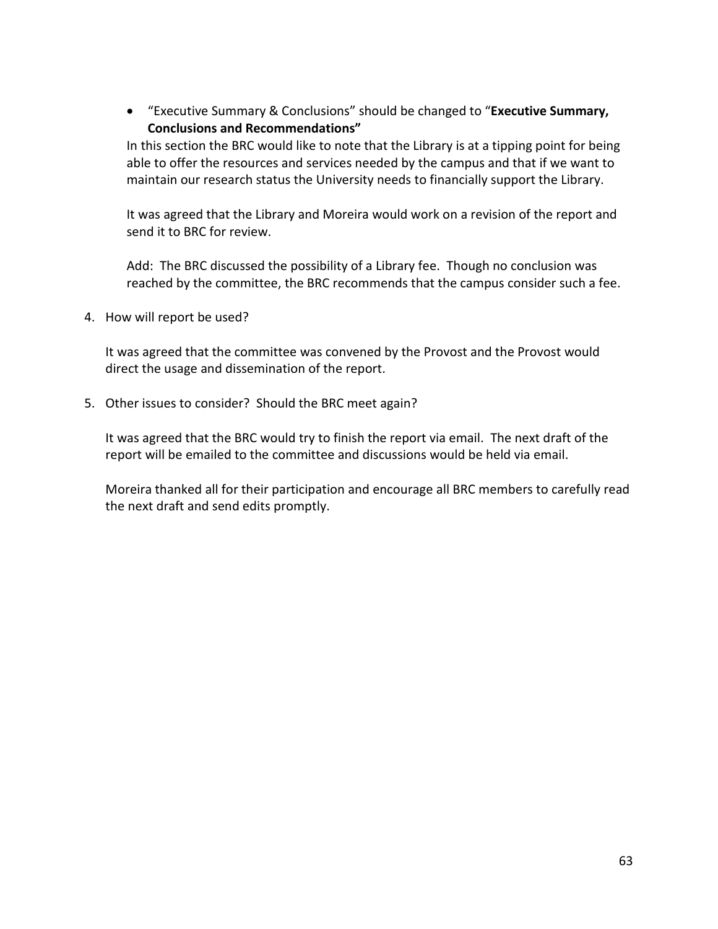• "Executive Summary & Conclusions" should be changed to "**Executive Summary, Conclusions and Recommendations"**

In this section the BRC would like to note that the Library is at a tipping point for being able to offer the resources and services needed by the campus and that if we want to maintain our research status the University needs to financially support the Library.

It was agreed that the Library and Moreira would work on a revision of the report and send it to BRC for review.

Add: The BRC discussed the possibility of a Library fee. Though no conclusion was reached by the committee, the BRC recommends that the campus consider such a fee.

4. How will report be used?

It was agreed that the committee was convened by the Provost and the Provost would direct the usage and dissemination of the report.

5. Other issues to consider? Should the BRC meet again?

It was agreed that the BRC would try to finish the report via email. The next draft of the report will be emailed to the committee and discussions would be held via email.

Moreira thanked all for their participation and encourage all BRC members to carefully read the next draft and send edits promptly.